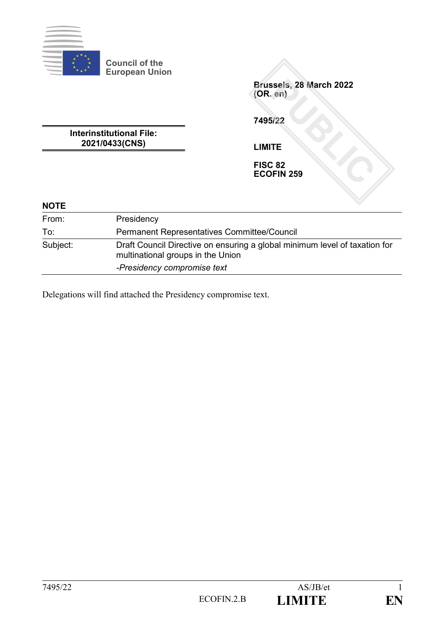

**Brussels, 28 March 2022 (OR. en)**

**7495/22**

**Interinstitutional File: 2021/0433(CNS)**

**Council of the European Union**

**LIMITE**

**FISC 82 ECOFIN 259**

| <b>NOTE</b> |                                                                                                                 |
|-------------|-----------------------------------------------------------------------------------------------------------------|
| From:       | Presidency                                                                                                      |
| To:         | <b>Permanent Representatives Committee/Council</b>                                                              |
| Subject:    | Draft Council Directive on ensuring a global minimum level of taxation for<br>multinational groups in the Union |
|             | -Presidency compromise text                                                                                     |

Delegations will find attached the Presidency compromise text.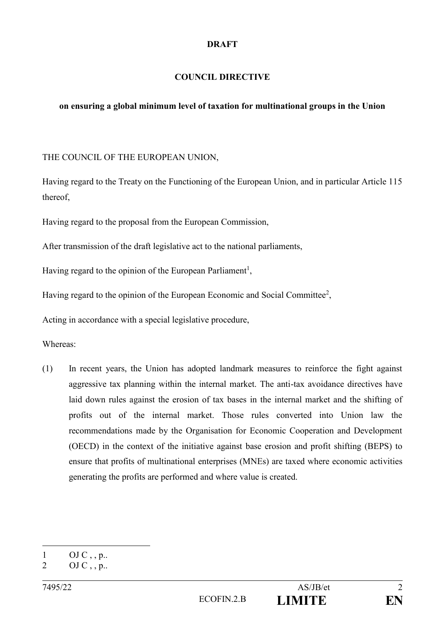#### **DRAFT**

## **COUNCIL DIRECTIVE**

## **on ensuring a global minimum level of taxation for multinational groups in the Union**

#### THE COUNCIL OF THE EUROPEAN UNION,

Having regard to the Treaty on the Functioning of the European Union, and in particular Article 115 thereof,

Having regard to the proposal from the European Commission,

After transmission of the draft legislative act to the national parliaments,

Having regard to the opinion of the European Parliament<sup>1</sup>,

Having regard to the opinion of the European Economic and Social Committee<sup>2</sup>,

Acting in accordance with a special legislative procedure,

Whereas:

(1) In recent years, the Union has adopted landmark measures to reinforce the fight against aggressive tax planning within the internal market. The anti-tax avoidance directives have laid down rules against the erosion of tax bases in the internal market and the shifting of profits out of the internal market. Those rules converted into Union law the recommendations made by the Organisation for Economic Cooperation and Development (OECD) in the context of the initiative against base erosion and profit shifting (BEPS) to ensure that profits of multinational enterprises (MNEs) are taxed where economic activities generating the profits are performed and where value is created.

<sup>1</sup>  $1$  OJ C, , p..

<sup>2</sup> OJ C, , p..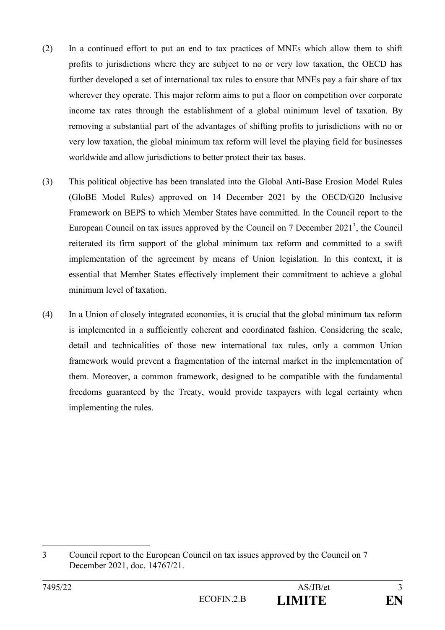- (2) In a continued effort to put an end to tax practices of MNEs which allow them to shift profits to jurisdictions where they are subject to no or very low taxation, the OECD has further developed a set of international tax rules to ensure that MNEs pay a fair share of tax wherever they operate. This major reform aims to put a floor on competition over corporate income tax rates through the establishment of a global minimum level of taxation. By removing a substantial part of the advantages of shifting profits to jurisdictions with no or very low taxation, the global minimum tax reform will level the playing field for businesses worldwide and allow jurisdictions to better protect their tax bases.
- (3) This political objective has been translated into the Global Anti-Base Erosion Model Rules (GloBE Model Rules) approved on 14 December 2021 by the OECD/G20 Inclusive Framework on BEPS to which Member States have committed. In the Council report to the European Council on tax issues approved by the Council on 7 December 2021<sup>3</sup>, the Council reiterated its firm support of the global minimum tax reform and committed to a swift implementation of the agreement by means of Union legislation. In this context, it is essential that Member States effectively implement their commitment to achieve a global minimum level of taxation.
- (4) In a Union of closely integrated economies, it is crucial that the global minimum tax reform is implemented in a sufficiently coherent and coordinated fashion. Considering the scale, detail and technicalities of those new international tax rules, only a common Union framework would prevent a fragmentation of the internal market in the implementation of them. Moreover, a common framework, designed to be compatible with the fundamental freedoms guaranteed by the Treaty, would provide taxpayers with legal certainty when implementing the rules.

<sup>3</sup> Council report to the European Council on tax issues approved by the Council on 7 December 2021, doc. 14767/21.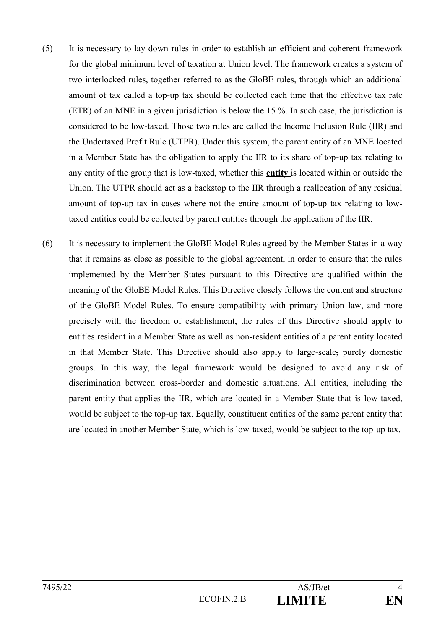- (5) It is necessary to lay down rules in order to establish an efficient and coherent framework for the global minimum level of taxation at Union level. The framework creates a system of two interlocked rules, together referred to as the GloBE rules, through which an additional amount of tax called a top-up tax should be collected each time that the effective tax rate (ETR) of an MNE in a given jurisdiction is below the 15 %. In such case, the jurisdiction is considered to be low-taxed. Those two rules are called the Income Inclusion Rule (IIR) and the Undertaxed Profit Rule (UTPR). Under this system, the parent entity of an MNE located in a Member State has the obligation to apply the IIR to its share of top-up tax relating to any entity of the group that is low-taxed, whether this **entity** is located within or outside the Union. The UTPR should act as a backstop to the IIR through a reallocation of any residual amount of top-up tax in cases where not the entire amount of top-up tax relating to lowtaxed entities could be collected by parent entities through the application of the IIR.
- (6) It is necessary to implement the GloBE Model Rules agreed by the Member States in a way that it remains as close as possible to the global agreement, in order to ensure that the rules implemented by the Member States pursuant to this Directive are qualified within the meaning of the GloBE Model Rules. This Directive closely follows the content and structure of the GloBE Model Rules. To ensure compatibility with primary Union law, and more precisely with the freedom of establishment, the rules of this Directive should apply to entities resident in a Member State as well as non-resident entities of a parent entity located in that Member State. This Directive should also apply to large-scale, purely domestic groups. In this way, the legal framework would be designed to avoid any risk of discrimination between cross-border and domestic situations. All entities, including the parent entity that applies the IIR, which are located in a Member State that is low-taxed, would be subject to the top-up tax. Equally, constituent entities of the same parent entity that are located in another Member State, which is low-taxed, would be subject to the top-up tax.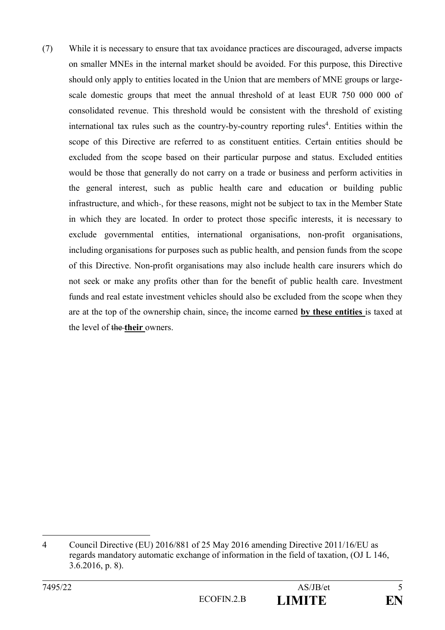(7) While it is necessary to ensure that tax avoidance practices are discouraged, adverse impacts on smaller MNEs in the internal market should be avoided. For this purpose, this Directive should only apply to entities located in the Union that are members of MNE groups or largescale domestic groups that meet the annual threshold of at least EUR 750 000 000 of consolidated revenue. This threshold would be consistent with the threshold of existing international tax rules such as the country-by-country reporting rules<sup>4</sup>. Entities within the scope of this Directive are referred to as constituent entities. Certain entities should be excluded from the scope based on their particular purpose and status. Excluded entities would be those that generally do not carry on a trade or business and perform activities in the general interest, such as public health care and education or building public infrastructure, and which-, for these reasons, might not be subject to tax in the Member State in which they are located. In order to protect those specific interests, it is necessary to exclude governmental entities, international organisations, non-profit organisations, including organisations for purposes such as public health, and pension funds from the scope of this Directive. Non-profit organisations may also include health care insurers which do not seek or make any profits other than for the benefit of public health care. Investment funds and real estate investment vehicles should also be excluded from the scope when they are at the top of the ownership chain, since, the income earned **by these entities** is taxed at the level of the **their** owners.

<sup>4</sup> Council Directive (EU) 2016/881 of 25 May 2016 amending Directive 2011/16/EU as regards mandatory automatic exchange of information in the field of taxation, (OJ L 146, 3.6.2016, p. 8).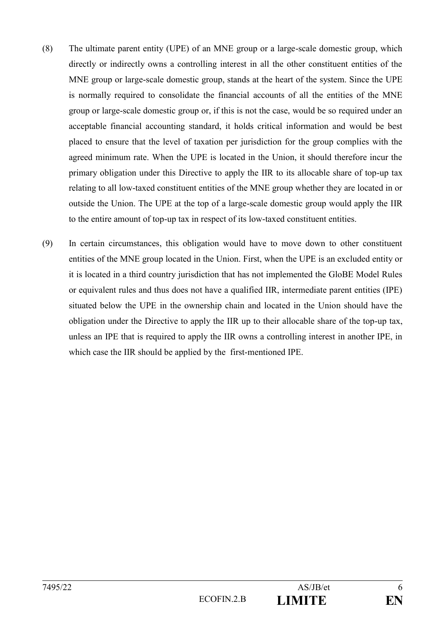- (8) The ultimate parent entity (UPE) of an MNE group or a large-scale domestic group, which directly or indirectly owns a controlling interest in all the other constituent entities of the MNE group or large-scale domestic group, stands at the heart of the system. Since the UPE is normally required to consolidate the financial accounts of all the entities of the MNE group or large-scale domestic group or, if this is not the case, would be so required under an acceptable financial accounting standard, it holds critical information and would be best placed to ensure that the level of taxation per jurisdiction for the group complies with the agreed minimum rate. When the UPE is located in the Union, it should therefore incur the primary obligation under this Directive to apply the IIR to its allocable share of top-up tax relating to all low-taxed constituent entities of the MNE group whether they are located in or outside the Union. The UPE at the top of a large-scale domestic group would apply the IIR to the entire amount of top-up tax in respect of its low-taxed constituent entities.
- (9) In certain circumstances, this obligation would have to move down to other constituent entities of the MNE group located in the Union. First, when the UPE is an excluded entity or it is located in a third country jurisdiction that has not implemented the GloBE Model Rules or equivalent rules and thus does not have a qualified IIR, intermediate parent entities (IPE) situated below the UPE in the ownership chain and located in the Union should have the obligation under the Directive to apply the IIR up to their allocable share of the top-up tax, unless an IPE that is required to apply the IIR owns a controlling interest in another IPE, in which case the IIR should be applied by the first-mentioned IPE.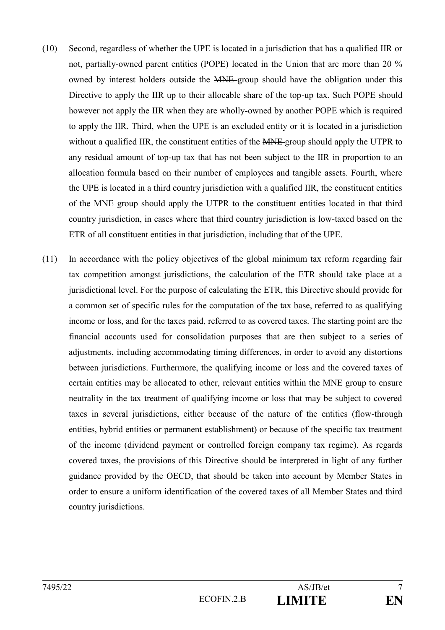- (10) Second, regardless of whether the UPE is located in a jurisdiction that has a qualified IIR or not, partially-owned parent entities (POPE) located in the Union that are more than 20 % owned by interest holders outside the MNE group should have the obligation under this Directive to apply the IIR up to their allocable share of the top-up tax. Such POPE should however not apply the IIR when they are wholly-owned by another POPE which is required to apply the IIR. Third, when the UPE is an excluded entity or it is located in a jurisdiction without a qualified IIR, the constituent entities of the MNE group should apply the UTPR to any residual amount of top-up tax that has not been subject to the IIR in proportion to an allocation formula based on their number of employees and tangible assets. Fourth, where the UPE is located in a third country jurisdiction with a qualified IIR, the constituent entities of the MNE group should apply the UTPR to the constituent entities located in that third country jurisdiction, in cases where that third country jurisdiction is low-taxed based on the ETR of all constituent entities in that jurisdiction, including that of the UPE.
- (11) In accordance with the policy objectives of the global minimum tax reform regarding fair tax competition amongst jurisdictions, the calculation of the ETR should take place at a jurisdictional level. For the purpose of calculating the ETR, this Directive should provide for a common set of specific rules for the computation of the tax base, referred to as qualifying income or loss, and for the taxes paid, referred to as covered taxes. The starting point are the financial accounts used for consolidation purposes that are then subject to a series of adjustments, including accommodating timing differences, in order to avoid any distortions between jurisdictions. Furthermore, the qualifying income or loss and the covered taxes of certain entities may be allocated to other, relevant entities within the MNE group to ensure neutrality in the tax treatment of qualifying income or loss that may be subject to covered taxes in several jurisdictions, either because of the nature of the entities (flow-through entities, hybrid entities or permanent establishment) or because of the specific tax treatment of the income (dividend payment or controlled foreign company tax regime). As regards covered taxes, the provisions of this Directive should be interpreted in light of any further guidance provided by the OECD, that should be taken into account by Member States in order to ensure a uniform identification of the covered taxes of all Member States and third country jurisdictions.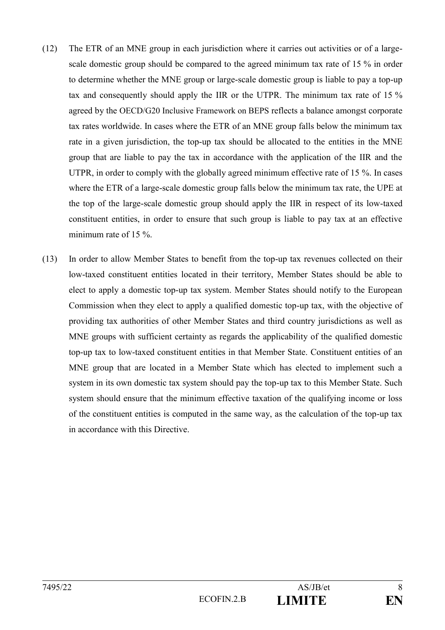- (12) The ETR of an MNE group in each jurisdiction where it carries out activities or of a largescale domestic group should be compared to the agreed minimum tax rate of 15 % in order to determine whether the MNE group or large-scale domestic group is liable to pay a top-up tax and consequently should apply the IIR or the UTPR. The minimum tax rate of 15 % agreed by the OECD/G20 Inclusive Framework on BEPS reflects a balance amongst corporate tax rates worldwide. In cases where the ETR of an MNE group falls below the minimum tax rate in a given jurisdiction, the top-up tax should be allocated to the entities in the MNE group that are liable to pay the tax in accordance with the application of the IIR and the UTPR, in order to comply with the globally agreed minimum effective rate of 15 %. In cases where the ETR of a large-scale domestic group falls below the minimum tax rate, the UPE at the top of the large-scale domestic group should apply the IIR in respect of its low-taxed constituent entities, in order to ensure that such group is liable to pay tax at an effective minimum rate of 15 %.
- (13) In order to allow Member States to benefit from the top-up tax revenues collected on their low-taxed constituent entities located in their territory, Member States should be able to elect to apply a domestic top-up tax system. Member States should notify to the European Commission when they elect to apply a qualified domestic top-up tax, with the objective of providing tax authorities of other Member States and third country jurisdictions as well as MNE groups with sufficient certainty as regards the applicability of the qualified domestic top-up tax to low-taxed constituent entities in that Member State. Constituent entities of an MNE group that are located in a Member State which has elected to implement such a system in its own domestic tax system should pay the top-up tax to this Member State. Such system should ensure that the minimum effective taxation of the qualifying income or loss of the constituent entities is computed in the same way, as the calculation of the top-up tax in accordance with this Directive.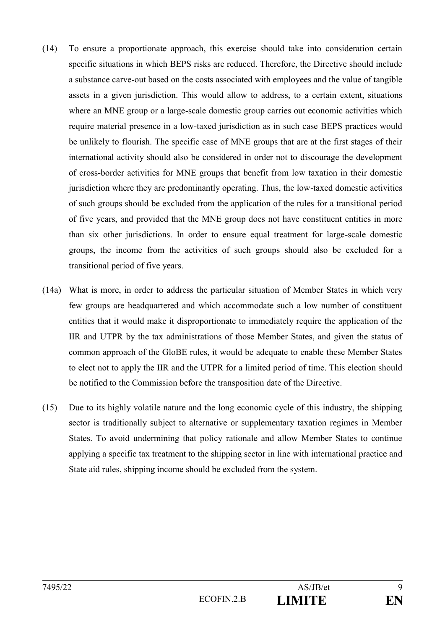- (14) To ensure a proportionate approach, this exercise should take into consideration certain specific situations in which BEPS risks are reduced. Therefore, the Directive should include a substance carve-out based on the costs associated with employees and the value of tangible assets in a given jurisdiction. This would allow to address, to a certain extent, situations where an MNE group or a large-scale domestic group carries out economic activities which require material presence in a low-taxed jurisdiction as in such case BEPS practices would be unlikely to flourish. The specific case of MNE groups that are at the first stages of their international activity should also be considered in order not to discourage the development of cross-border activities for MNE groups that benefit from low taxation in their domestic jurisdiction where they are predominantly operating. Thus, the low-taxed domestic activities of such groups should be excluded from the application of the rules for a transitional period of five years, and provided that the MNE group does not have constituent entities in more than six other jurisdictions. In order to ensure equal treatment for large-scale domestic groups, the income from the activities of such groups should also be excluded for a transitional period of five years.
- (14a) What is more, in order to address the particular situation of Member States in which very few groups are headquartered and which accommodate such a low number of constituent entities that it would make it disproportionate to immediately require the application of the IIR and UTPR by the tax administrations of those Member States, and given the status of common approach of the GloBE rules, it would be adequate to enable these Member States to elect not to apply the IIR and the UTPR for a limited period of time. This election should be notified to the Commission before the transposition date of the Directive.
- (15) Due to its highly volatile nature and the long economic cycle of this industry, the shipping sector is traditionally subject to alternative or supplementary taxation regimes in Member States. To avoid undermining that policy rationale and allow Member States to continue applying a specific tax treatment to the shipping sector in line with international practice and State aid rules, shipping income should be excluded from the system.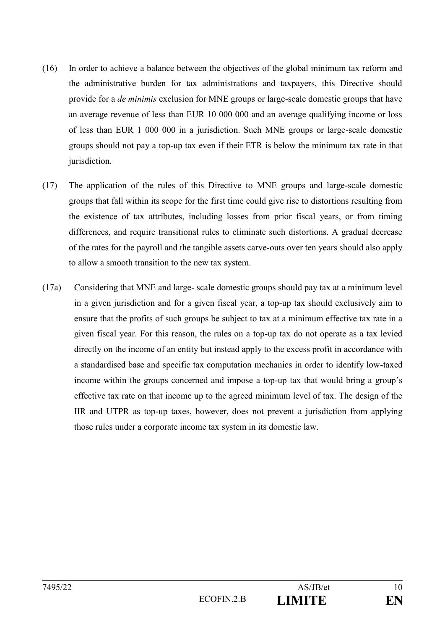- (16) In order to achieve a balance between the objectives of the global minimum tax reform and the administrative burden for tax administrations and taxpayers, this Directive should provide for a *de minimis* exclusion for MNE groups or large-scale domestic groups that have an average revenue of less than EUR 10 000 000 and an average qualifying income or loss of less than EUR 1 000 000 in a jurisdiction. Such MNE groups or large-scale domestic groups should not pay a top-up tax even if their ETR is below the minimum tax rate in that jurisdiction.
- (17) The application of the rules of this Directive to MNE groups and large-scale domestic groups that fall within its scope for the first time could give rise to distortions resulting from the existence of tax attributes, including losses from prior fiscal years, or from timing differences, and require transitional rules to eliminate such distortions. A gradual decrease of the rates for the payroll and the tangible assets carve-outs over ten years should also apply to allow a smooth transition to the new tax system.
- (17a) Considering that MNE and large- scale domestic groups should pay tax at a minimum level in a given jurisdiction and for a given fiscal year, a top-up tax should exclusively aim to ensure that the profits of such groups be subject to tax at a minimum effective tax rate in a given fiscal year. For this reason, the rules on a top-up tax do not operate as a tax levied directly on the income of an entity but instead apply to the excess profit in accordance with a standardised base and specific tax computation mechanics in order to identify low-taxed income within the groups concerned and impose a top-up tax that would bring a group's effective tax rate on that income up to the agreed minimum level of tax. The design of the IIR and UTPR as top-up taxes, however, does not prevent a jurisdiction from applying those rules under a corporate income tax system in its domestic law.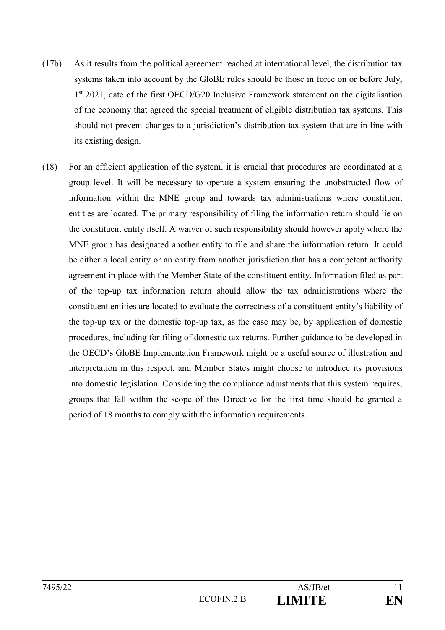- (17b) As it results from the political agreement reached at international level, the distribution tax systems taken into account by the GloBE rules should be those in force on or before July, 1<sup>st</sup> 2021, date of the first OECD/G20 Inclusive Framework statement on the digitalisation of the economy that agreed the special treatment of eligible distribution tax systems. This should not prevent changes to a jurisdiction's distribution tax system that are in line with its existing design.
- (18) For an efficient application of the system, it is crucial that procedures are coordinated at a group level. It will be necessary to operate a system ensuring the unobstructed flow of information within the MNE group and towards tax administrations where constituent entities are located. The primary responsibility of filing the information return should lie on the constituent entity itself. A waiver of such responsibility should however apply where the MNE group has designated another entity to file and share the information return. It could be either a local entity or an entity from another jurisdiction that has a competent authority agreement in place with the Member State of the constituent entity. Information filed as part of the top-up tax information return should allow the tax administrations where the constituent entities are located to evaluate the correctness of a constituent entity's liability of the top-up tax or the domestic top-up tax, as the case may be, by application of domestic procedures, including for filing of domestic tax returns. Further guidance to be developed in the OECD's GloBE Implementation Framework might be a useful source of illustration and interpretation in this respect, and Member States might choose to introduce its provisions into domestic legislation. Considering the compliance adjustments that this system requires, groups that fall within the scope of this Directive for the first time should be granted a period of 18 months to comply with the information requirements.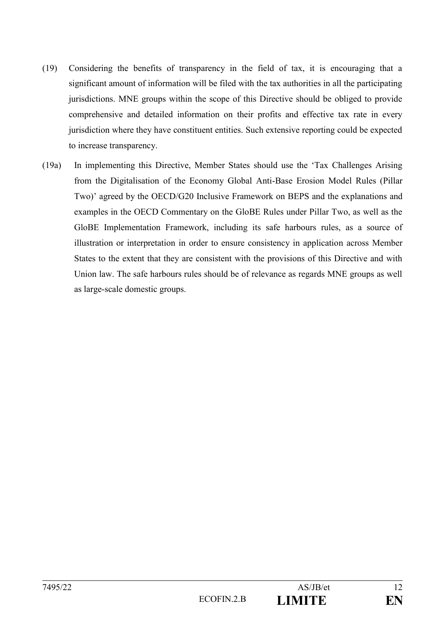- (19) Considering the benefits of transparency in the field of tax, it is encouraging that a significant amount of information will be filed with the tax authorities in all the participating jurisdictions. MNE groups within the scope of this Directive should be obliged to provide comprehensive and detailed information on their profits and effective tax rate in every jurisdiction where they have constituent entities. Such extensive reporting could be expected to increase transparency.
- (19a) In implementing this Directive, Member States should use the 'Tax Challenges Arising from the Digitalisation of the Economy Global Anti-Base Erosion Model Rules (Pillar Two)' agreed by the OECD/G20 Inclusive Framework on BEPS and the explanations and examples in the OECD Commentary on the GloBE Rules under Pillar Two, as well as the GloBE Implementation Framework, including its safe harbours rules, as a source of illustration or interpretation in order to ensure consistency in application across Member States to the extent that they are consistent with the provisions of this Directive and with Union law. The safe harbours rules should be of relevance as regards MNE groups as well as large-scale domestic groups.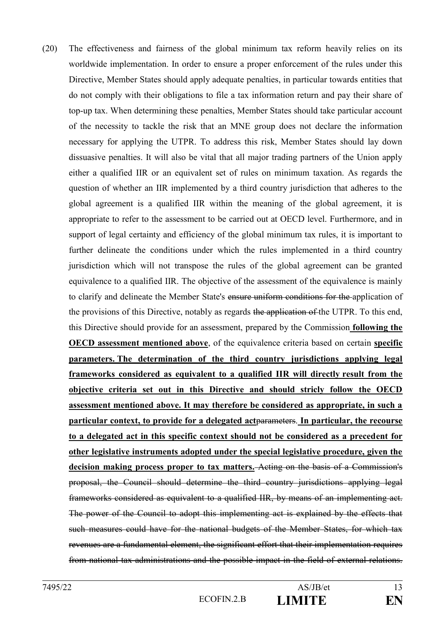(20) The effectiveness and fairness of the global minimum tax reform heavily relies on its worldwide implementation. In order to ensure a proper enforcement of the rules under this Directive, Member States should apply adequate penalties, in particular towards entities that do not comply with their obligations to file a tax information return and pay their share of top-up tax. When determining these penalties, Member States should take particular account of the necessity to tackle the risk that an MNE group does not declare the information necessary for applying the UTPR. To address this risk, Member States should lay down dissuasive penalties. It will also be vital that all major trading partners of the Union apply either a qualified IIR or an equivalent set of rules on minimum taxation. As regards the question of whether an IIR implemented by a third country jurisdiction that adheres to the global agreement is a qualified IIR within the meaning of the global agreement, it is appropriate to refer to the assessment to be carried out at OECD level. Furthermore, and in support of legal certainty and efficiency of the global minimum tax rules, it is important to further delineate the conditions under which the rules implemented in a third country jurisdiction which will not transpose the rules of the global agreement can be granted equivalence to a qualified IIR. The objective of the assessment of the equivalence is mainly to clarify and delineate the Member State's ensure uniform conditions for the application of the provisions of this Directive, notably as regards the application of the UTPR. To this end, this Directive should provide for an assessment, prepared by the Commission **following the OECD assessment mentioned above**, of the equivalence criteria based on certain **specific parameters. The determination of the third country jurisdictions applying legal frameworks considered as equivalent to a qualified IIR will directly result from the objective criteria set out in this Directive and should stricly follow the OECD assessment mentioned above. It may therefore be considered as appropriate, in such a particular context, to provide for a delegated act**parameters. **In particular, the recourse to a delegated act in this specific context should not be considered as a precedent for other legislative instruments adopted under the special legislative procedure, given the decision making process proper to tax matters.** Acting on the basis of a Commission's proposal, the Council should determine the third country jurisdictions applying legal frameworks considered as equivalent to a qualified IIR, by means of an implementing act. The power of the Council to adopt this implementing act is explained by the effects that such measures could have for the national budgets of the Member States, for which tax revenues are a fundamental element, the significant effort that their implementation requires from national tax administrations and the possible impact in the field of external relations.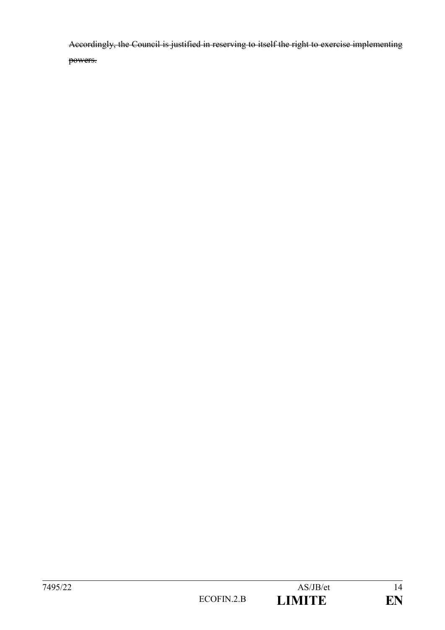Accordingly, the Council is justified in reserving to itself the right to exercise implementing powers.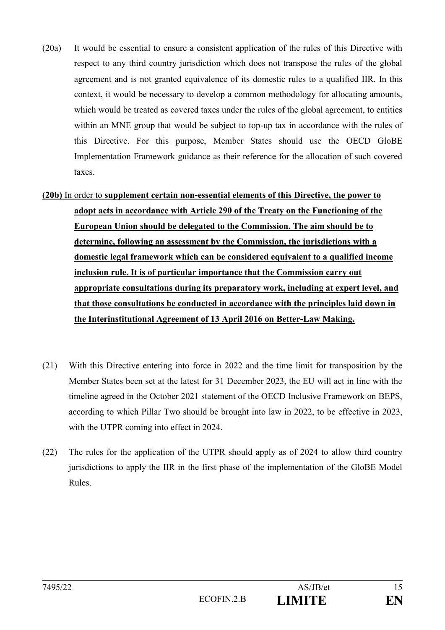- (20a) It would be essential to ensure a consistent application of the rules of this Directive with respect to any third country jurisdiction which does not transpose the rules of the global agreement and is not granted equivalence of its domestic rules to a qualified IIR. In this context, it would be necessary to develop a common methodology for allocating amounts, which would be treated as covered taxes under the rules of the global agreement, to entities within an MNE group that would be subject to top-up tax in accordance with the rules of this Directive. For this purpose, Member States should use the OECD GloBE Implementation Framework guidance as their reference for the allocation of such covered taxes.
- **(20b)** In order to **supplement certain non-essential elements of this Directive, the power to adopt acts in accordance with Article 290 of the Treaty on the Functioning of the European Union should be delegated to the Commission. The aim should be to determine, following an assessment by the Commission, the jurisdictions with a domestic legal framework which can be considered equivalent to a qualified income inclusion rule. It is of particular importance that the Commission carry out appropriate consultations during its preparatory work, including at expert level, and that those consultations be conducted in accordance with the principles laid down in the Interinstitutional Agreement of 13 April 2016 on Better-Law Making.**
- (21) With this Directive entering into force in 2022 and the time limit for transposition by the Member States been set at the latest for 31 December 2023, the EU will act in line with the timeline agreed in the October 2021 statement of the OECD Inclusive Framework on BEPS, according to which Pillar Two should be brought into law in 2022, to be effective in 2023, with the UTPR coming into effect in 2024.
- (22) The rules for the application of the UTPR should apply as of 2024 to allow third country jurisdictions to apply the IIR in the first phase of the implementation of the GloBE Model Rules.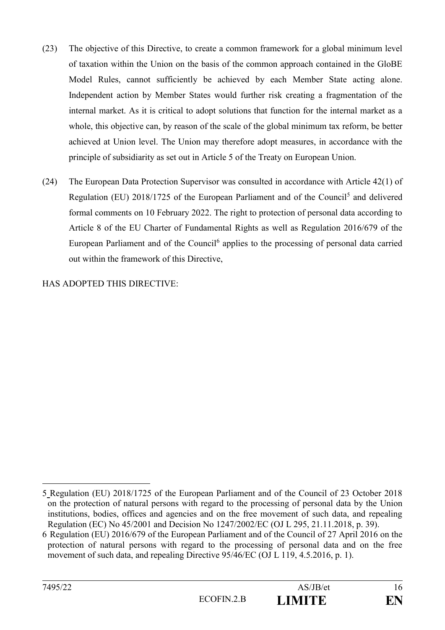- (23) The objective of this Directive, to create a common framework for a global minimum level of taxation within the Union on the basis of the common approach contained in the GloBE Model Rules, cannot sufficiently be achieved by each Member State acting alone. Independent action by Member States would further risk creating a fragmentation of the internal market. As it is critical to adopt solutions that function for the internal market as a whole, this objective can, by reason of the scale of the global minimum tax reform, be better achieved at Union level. The Union may therefore adopt measures, in accordance with the principle of subsidiarity as set out in Article 5 of the Treaty on European Union.
- (24) The European Data Protection Supervisor was consulted in accordance with Article 42(1) of Regulation (EU) 2018/1725 of the European Parliament and of the Council<sup>5</sup> and delivered formal comments on 10 February 2022. The right to protection of personal data according to Article 8 of the EU Charter of Fundamental Rights as well as Regulation 2016/679 of the European Parliament and of the Council<sup>6</sup> applies to the processing of personal data carried out within the framework of this Directive,

HAS ADOPTED THIS DIRECTIVE:

<sup>5</sup> Regulation (EU) 2018/1725 of the European Parliament and of the Council of 23 October 2018 on the protection of natural persons with regard to the processing of personal data by the Union institutions, bodies, offices and agencies and on the free movement of such data, and repealing Regulation (EC) No 45/2001 and Decision No 1247/2002/EC (OJ L 295, 21.11.2018, p. 39).

<sup>6</sup> Regulation (EU) 2016/679 of the European Parliament and of the Council of 27 April 2016 on the protection of natural persons with regard to the processing of personal data and on the free movement of such data, and repealing Directive 95/46/EC (OJ L 119, 4.5.2016, p. 1).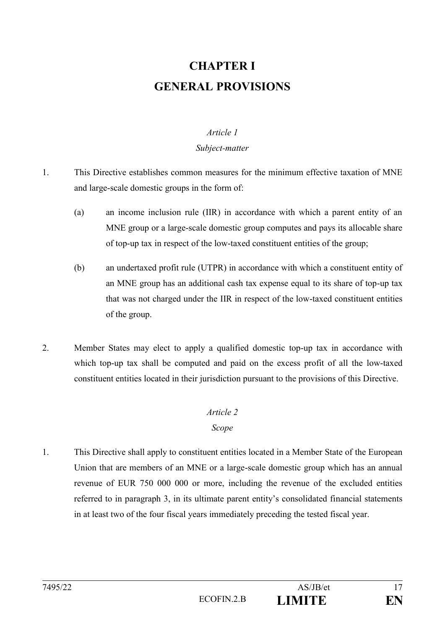# **CHAPTER I GENERAL PROVISIONS**

#### *Article 1*

#### *Subject-matter*

- 1. This Directive establishes common measures for the minimum effective taxation of MNE and large-scale domestic groups in the form of:
	- (a) an income inclusion rule (IIR) in accordance with which a parent entity of an MNE group or a large-scale domestic group computes and pays its allocable share of top-up tax in respect of the low-taxed constituent entities of the group;
	- (b) an undertaxed profit rule (UTPR) in accordance with which a constituent entity of an MNE group has an additional cash tax expense equal to its share of top-up tax that was not charged under the IIR in respect of the low-taxed constituent entities of the group.
- 2. Member States may elect to apply a qualified domestic top-up tax in accordance with which top-up tax shall be computed and paid on the excess profit of all the low-taxed constituent entities located in their jurisdiction pursuant to the provisions of this Directive.

# *Article 2*

# *Scope*

1. This Directive shall apply to constituent entities located in a Member State of the European Union that are members of an MNE or a large-scale domestic group which has an annual revenue of EUR 750 000 000 or more, including the revenue of the excluded entities referred to in paragraph 3, in its ultimate parent entity's consolidated financial statements in at least two of the four fiscal years immediately preceding the tested fiscal year.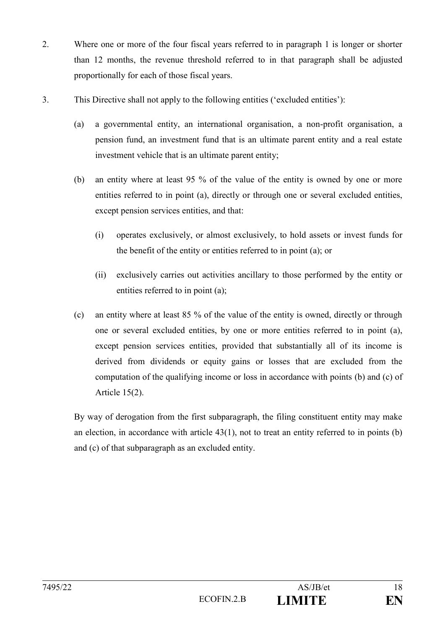- 2. Where one or more of the four fiscal years referred to in paragraph 1 is longer or shorter than 12 months, the revenue threshold referred to in that paragraph shall be adjusted proportionally for each of those fiscal years.
- 3. This Directive shall not apply to the following entities ('excluded entities'):
	- (a) a governmental entity, an international organisation, a non-profit organisation, a pension fund, an investment fund that is an ultimate parent entity and a real estate investment vehicle that is an ultimate parent entity;
	- (b) an entity where at least 95 % of the value of the entity is owned by one or more entities referred to in point (a), directly or through one or several excluded entities, except pension services entities, and that:
		- (i) operates exclusively, or almost exclusively, to hold assets or invest funds for the benefit of the entity or entities referred to in point (a); or
		- (ii) exclusively carries out activities ancillary to those performed by the entity or entities referred to in point (a);
	- (c) an entity where at least 85 % of the value of the entity is owned, directly or through one or several excluded entities, by one or more entities referred to in point (a), except pension services entities, provided that substantially all of its income is derived from dividends or equity gains or losses that are excluded from the computation of the qualifying income or loss in accordance with points (b) and (c) of Article 15(2).

By way of derogation from the first subparagraph, the filing constituent entity may make an election, in accordance with article 43(1), not to treat an entity referred to in points (b) and (c) of that subparagraph as an excluded entity.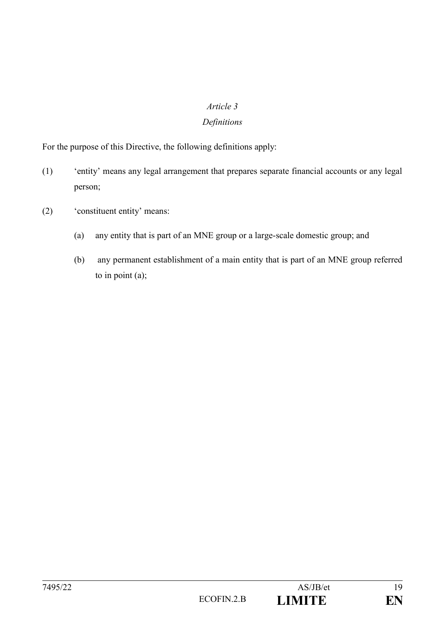#### *Article 3*

## *Definitions*

For the purpose of this Directive, the following definitions apply:

- (1) 'entity' means any legal arrangement that prepares separate financial accounts or any legal person;
- (2) 'constituent entity' means:
	- (a) any entity that is part of an MNE group or a large-scale domestic group; and
	- (b) any permanent establishment of a main entity that is part of an MNE group referred to in point  $(a)$ ;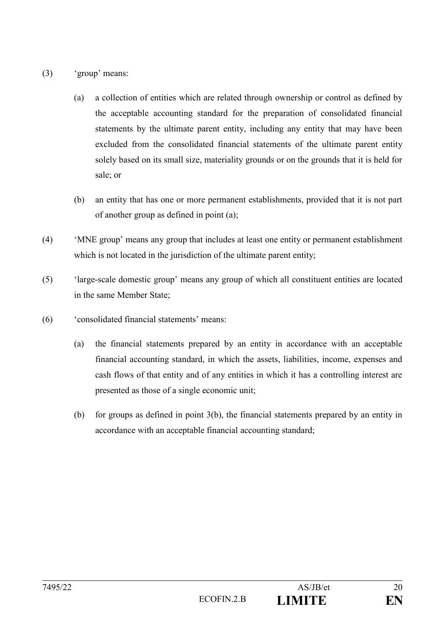- (3) 'group' means:
	- (a) a collection of entities which are related through ownership or control as defined by the acceptable accounting standard for the preparation of consolidated financial statements by the ultimate parent entity, including any entity that may have been excluded from the consolidated financial statements of the ultimate parent entity solely based on its small size, materiality grounds or on the grounds that it is held for sale; or
	- (b) an entity that has one or more permanent establishments, provided that it is not part of another group as defined in point (a);
- (4) 'MNE group' means any group that includes at least one entity or permanent establishment which is not located in the jurisdiction of the ultimate parent entity;
- (5) 'large-scale domestic group' means any group of which all constituent entities are located in the same Member State;
- (6) 'consolidated financial statements' means:
	- (a) the financial statements prepared by an entity in accordance with an acceptable financial accounting standard, in which the assets, liabilities, income, expenses and cash flows of that entity and of any entities in which it has a controlling interest are presented as those of a single economic unit;
	- (b) for groups as defined in point 3(b), the financial statements prepared by an entity in accordance with an acceptable financial accounting standard;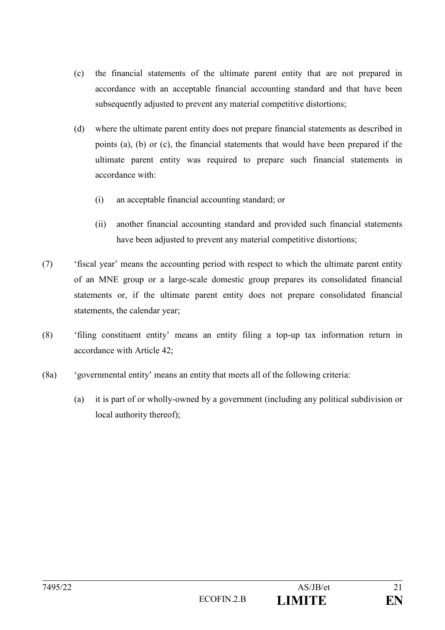- (c) the financial statements of the ultimate parent entity that are not prepared in accordance with an acceptable financial accounting standard and that have been subsequently adjusted to prevent any material competitive distortions;
- (d) where the ultimate parent entity does not prepare financial statements as described in points (a), (b) or (c), the financial statements that would have been prepared if the ultimate parent entity was required to prepare such financial statements in accordance with:
	- (i) an acceptable financial accounting standard; or
	- (ii) another financial accounting standard and provided such financial statements have been adjusted to prevent any material competitive distortions;
- (7) 'fiscal year' means the accounting period with respect to which the ultimate parent entity of an MNE group or a large-scale domestic group prepares its consolidated financial statements or, if the ultimate parent entity does not prepare consolidated financial statements, the calendar year;
- (8) 'filing constituent entity' means an entity filing a top-up tax information return in accordance with Article 42;
- (8a) 'governmental entity' means an entity that meets all of the following criteria:
	- (a) it is part of or wholly-owned by a government (including any political subdivision or local authority thereof);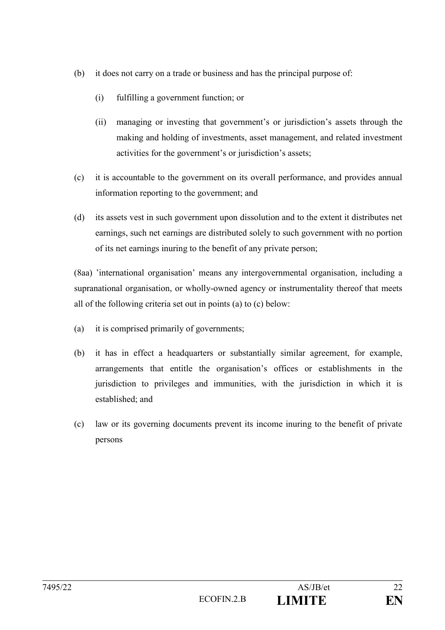- (b) it does not carry on a trade or business and has the principal purpose of:
	- (i) fulfilling a government function; or
	- (ii) managing or investing that government's or jurisdiction's assets through the making and holding of investments, asset management, and related investment activities for the government's or jurisdiction's assets;
- (c) it is accountable to the government on its overall performance, and provides annual information reporting to the government; and
- (d) its assets vest in such government upon dissolution and to the extent it distributes net earnings, such net earnings are distributed solely to such government with no portion of its net earnings inuring to the benefit of any private person;

(8aa) 'international organisation' means any intergovernmental organisation, including a supranational organisation, or wholly-owned agency or instrumentality thereof that meets all of the following criteria set out in points (a) to (c) below:

- (a) it is comprised primarily of governments;
- (b) it has in effect a headquarters or substantially similar agreement, for example, arrangements that entitle the organisation's offices or establishments in the jurisdiction to privileges and immunities, with the jurisdiction in which it is established; and
- (c) law or its governing documents prevent its income inuring to the benefit of private persons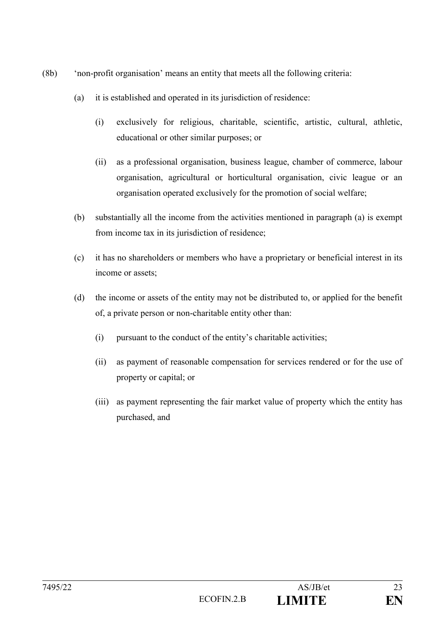- (8b) 'non-profit organisation' means an entity that meets all the following criteria:
	- (a) it is established and operated in its jurisdiction of residence:
		- (i) exclusively for religious, charitable, scientific, artistic, cultural, athletic, educational or other similar purposes; or
		- (ii) as a professional organisation, business league, chamber of commerce, labour organisation, agricultural or horticultural organisation, civic league or an organisation operated exclusively for the promotion of social welfare;
	- (b) substantially all the income from the activities mentioned in paragraph (a) is exempt from income tax in its jurisdiction of residence;
	- (c) it has no shareholders or members who have a proprietary or beneficial interest in its income or assets;
	- (d) the income or assets of the entity may not be distributed to, or applied for the benefit of, a private person or non-charitable entity other than:
		- (i) pursuant to the conduct of the entity's charitable activities;
		- (ii) as payment of reasonable compensation for services rendered or for the use of property or capital; or
		- (iii) as payment representing the fair market value of property which the entity has purchased, and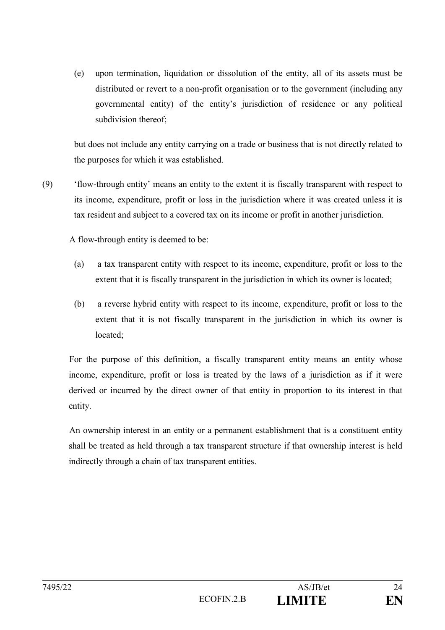(e) upon termination, liquidation or dissolution of the entity, all of its assets must be distributed or revert to a non-profit organisation or to the government (including any governmental entity) of the entity's jurisdiction of residence or any political subdivision thereof;

but does not include any entity carrying on a trade or business that is not directly related to the purposes for which it was established.

(9) 'flow-through entity' means an entity to the extent it is fiscally transparent with respect to its income, expenditure, profit or loss in the jurisdiction where it was created unless it is tax resident and subject to a covered tax on its income or profit in another jurisdiction.

A flow-through entity is deemed to be:

- (a) a tax transparent entity with respect to its income, expenditure, profit or loss to the extent that it is fiscally transparent in the jurisdiction in which its owner is located;
- (b) a reverse hybrid entity with respect to its income, expenditure, profit or loss to the extent that it is not fiscally transparent in the jurisdiction in which its owner is located;

For the purpose of this definition, a fiscally transparent entity means an entity whose income, expenditure, profit or loss is treated by the laws of a jurisdiction as if it were derived or incurred by the direct owner of that entity in proportion to its interest in that entity.

An ownership interest in an entity or a permanent establishment that is a constituent entity shall be treated as held through a tax transparent structure if that ownership interest is held indirectly through a chain of tax transparent entities.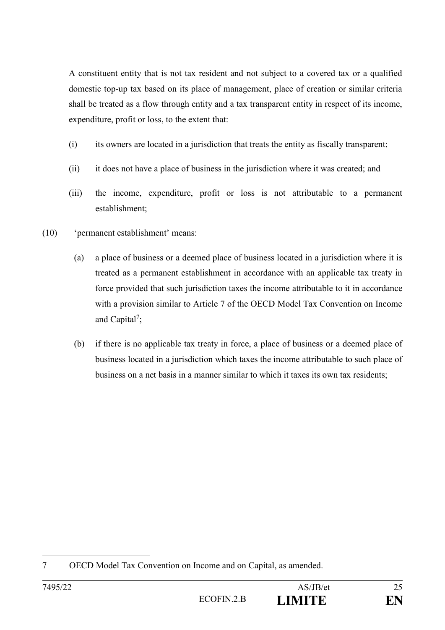A constituent entity that is not tax resident and not subject to a covered tax or a qualified domestic top-up tax based on its place of management, place of creation or similar criteria shall be treated as a flow through entity and a tax transparent entity in respect of its income, expenditure, profit or loss, to the extent that:

- (i) its owners are located in a jurisdiction that treats the entity as fiscally transparent;
- (ii) it does not have a place of business in the jurisdiction where it was created; and
- (iii) the income, expenditure, profit or loss is not attributable to a permanent establishment;
- (10) 'permanent establishment' means:
	- (a) a place of business or a deemed place of business located in a jurisdiction where it is treated as a permanent establishment in accordance with an applicable tax treaty in force provided that such jurisdiction taxes the income attributable to it in accordance with a provision similar to Article 7 of the OECD Model Tax Convention on Income and Capital<sup>7</sup>;
	- (b) if there is no applicable tax treaty in force, a place of business or a deemed place of business located in a jurisdiction which taxes the income attributable to such place of business on a net basis in a manner similar to which it taxes its own tax residents;

<sup>&</sup>lt;u>.</u> 7 OECD Model Tax Convention on Income and on Capital, as amended.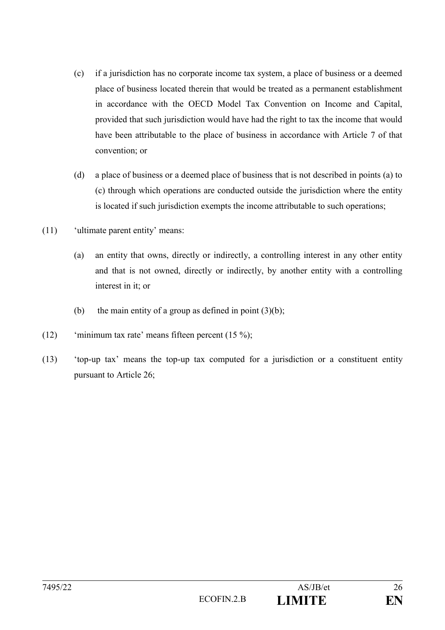- (c) if a jurisdiction has no corporate income tax system, a place of business or a deemed place of business located therein that would be treated as a permanent establishment in accordance with the OECD Model Tax Convention on Income and Capital, provided that such jurisdiction would have had the right to tax the income that would have been attributable to the place of business in accordance with Article 7 of that convention; or
- (d) a place of business or a deemed place of business that is not described in points (a) to (c) through which operations are conducted outside the jurisdiction where the entity is located if such jurisdiction exempts the income attributable to such operations;
- (11) 'ultimate parent entity' means:
	- (a) an entity that owns, directly or indirectly, a controlling interest in any other entity and that is not owned, directly or indirectly, by another entity with a controlling interest in it; or
	- (b) the main entity of a group as defined in point  $(3)(b)$ ;
- (12) 'minimum tax rate' means fifteen percent (15 %);
- (13) 'top-up tax' means the top-up tax computed for a jurisdiction or a constituent entity pursuant to Article 26;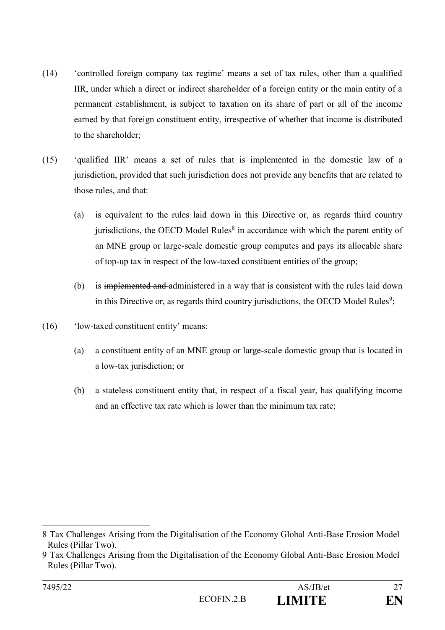- (14) 'controlled foreign company tax regime' means a set of tax rules, other than a qualified IIR, under which a direct or indirect shareholder of a foreign entity or the main entity of a permanent establishment, is subject to taxation on its share of part or all of the income earned by that foreign constituent entity, irrespective of whether that income is distributed to the shareholder;
- (15) 'qualified IIR' means a set of rules that is implemented in the domestic law of a jurisdiction, provided that such jurisdiction does not provide any benefits that are related to those rules, and that:
	- (a) is equivalent to the rules laid down in this Directive or, as regards third country jurisdictions, the OECD Model Rules $<sup>8</sup>$  in accordance with which the parent entity of</sup> an MNE group or large-scale domestic group computes and pays its allocable share of top-up tax in respect of the low-taxed constituent entities of the group;
	- (b) is implemented and administered in a way that is consistent with the rules laid down in this Directive or, as regards third country jurisdictions, the OECD Model Rules<sup>9</sup>;
- (16) 'low-taxed constituent entity' means:

- (a) a constituent entity of an MNE group or large-scale domestic group that is located in a low-tax jurisdiction; or
- (b) a stateless constituent entity that, in respect of a fiscal year, has qualifying income and an effective tax rate which is lower than the minimum tax rate;

<sup>8</sup> Tax Challenges Arising from the Digitalisation of the Economy Global Anti-Base Erosion Model Rules (Pillar Two).

<sup>9</sup> Tax Challenges Arising from the Digitalisation of the Economy Global Anti-Base Erosion Model Rules (Pillar Two).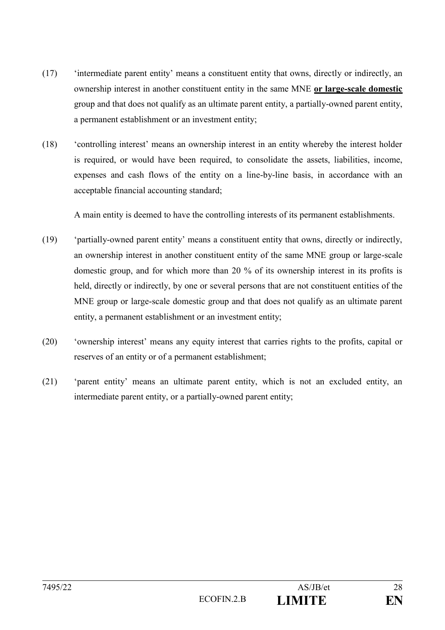- (17) 'intermediate parent entity' means a constituent entity that owns, directly or indirectly, an ownership interest in another constituent entity in the same MNE **or large-scale domestic**  group and that does not qualify as an ultimate parent entity, a partially-owned parent entity, a permanent establishment or an investment entity;
- (18) 'controlling interest' means an ownership interest in an entity whereby the interest holder is required, or would have been required, to consolidate the assets, liabilities, income, expenses and cash flows of the entity on a line-by-line basis, in accordance with an acceptable financial accounting standard;

A main entity is deemed to have the controlling interests of its permanent establishments.

- (19) 'partially-owned parent entity' means a constituent entity that owns, directly or indirectly, an ownership interest in another constituent entity of the same MNE group or large-scale domestic group, and for which more than 20 % of its ownership interest in its profits is held, directly or indirectly, by one or several persons that are not constituent entities of the MNE group or large-scale domestic group and that does not qualify as an ultimate parent entity, a permanent establishment or an investment entity;
- (20) 'ownership interest' means any equity interest that carries rights to the profits, capital or reserves of an entity or of a permanent establishment;
- (21) 'parent entity' means an ultimate parent entity, which is not an excluded entity, an intermediate parent entity, or a partially-owned parent entity;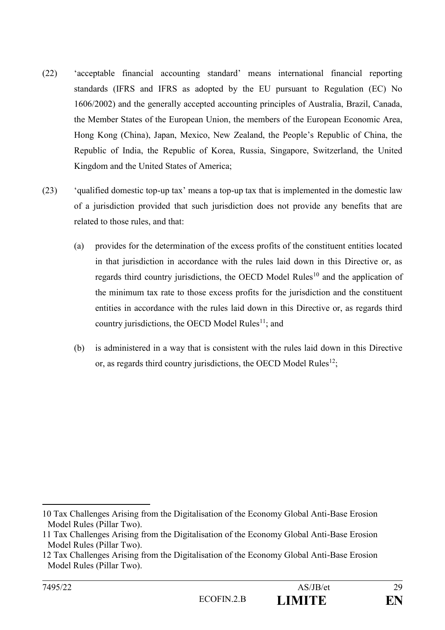- (22) 'acceptable financial accounting standard' means international financial reporting standards (IFRS and IFRS as adopted by the EU pursuant to Regulation (EC) No 1606/2002) and the generally accepted accounting principles of Australia, Brazil, Canada, the Member States of the European Union, the members of the European Economic Area, Hong Kong (China), Japan, Mexico, New Zealand, the People's Republic of China, the Republic of India, the Republic of Korea, Russia, Singapore, Switzerland, the United Kingdom and the United States of America;
- (23) 'qualified domestic top-up tax' means a top-up tax that is implemented in the domestic law of a jurisdiction provided that such jurisdiction does not provide any benefits that are related to those rules, and that:
	- (a) provides for the determination of the excess profits of the constituent entities located in that jurisdiction in accordance with the rules laid down in this Directive or, as regards third country jurisdictions, the OECD Model Rules<sup>10</sup> and the application of the minimum tax rate to those excess profits for the jurisdiction and the constituent entities in accordance with the rules laid down in this Directive or, as regards third country jurisdictions, the OECD Model Rules $<sup>11</sup>$ ; and</sup>
	- (b) is administered in a way that is consistent with the rules laid down in this Directive or, as regards third country jurisdictions, the OECD Model Rules<sup>12</sup>;

<sup>&</sup>lt;u>.</u> 10 Tax Challenges Arising from the Digitalisation of the Economy Global Anti-Base Erosion Model Rules (Pillar Two).

<sup>11</sup> Tax Challenges Arising from the Digitalisation of the Economy Global Anti-Base Erosion Model Rules (Pillar Two).

<sup>12</sup> Tax Challenges Arising from the Digitalisation of the Economy Global Anti-Base Erosion Model Rules (Pillar Two).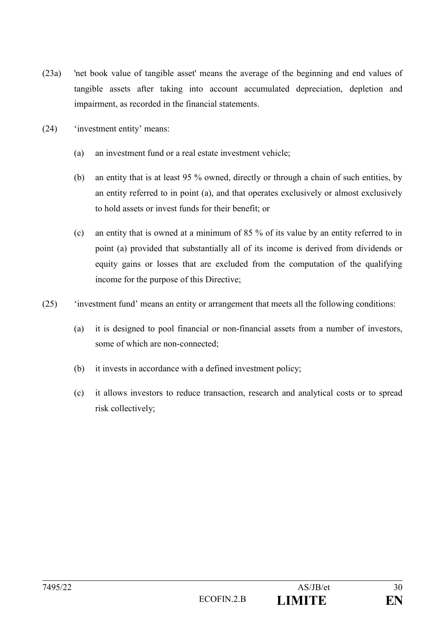- (23a) 'net book value of tangible asset' means the average of the beginning and end values of tangible assets after taking into account accumulated depreciation, depletion and impairment, as recorded in the financial statements.
- (24) 'investment entity' means:
	- (a) an investment fund or a real estate investment vehicle;
	- (b) an entity that is at least 95 % owned, directly or through a chain of such entities, by an entity referred to in point (a), and that operates exclusively or almost exclusively to hold assets or invest funds for their benefit; or
	- (c) an entity that is owned at a minimum of 85 % of its value by an entity referred to in point (a) provided that substantially all of its income is derived from dividends or equity gains or losses that are excluded from the computation of the qualifying income for the purpose of this Directive;
- (25) 'investment fund' means an entity or arrangement that meets all the following conditions:
	- (a) it is designed to pool financial or non-financial assets from a number of investors, some of which are non-connected;
	- (b) it invests in accordance with a defined investment policy;
	- (c) it allows investors to reduce transaction, research and analytical costs or to spread risk collectively;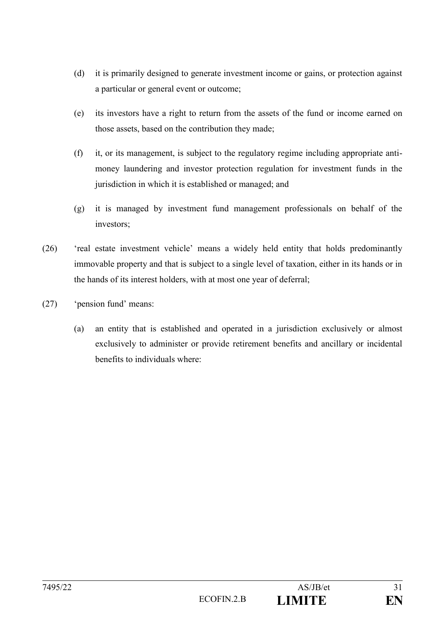- (d) it is primarily designed to generate investment income or gains, or protection against a particular or general event or outcome;
- (e) its investors have a right to return from the assets of the fund or income earned on those assets, based on the contribution they made;
- (f) it, or its management, is subject to the regulatory regime including appropriate antimoney laundering and investor protection regulation for investment funds in the jurisdiction in which it is established or managed; and
- (g) it is managed by investment fund management professionals on behalf of the investors;
- (26) 'real estate investment vehicle' means a widely held entity that holds predominantly immovable property and that is subject to a single level of taxation, either in its hands or in the hands of its interest holders, with at most one year of deferral;
- (27) 'pension fund' means:
	- (a) an entity that is established and operated in a jurisdiction exclusively or almost exclusively to administer or provide retirement benefits and ancillary or incidental benefits to individuals where: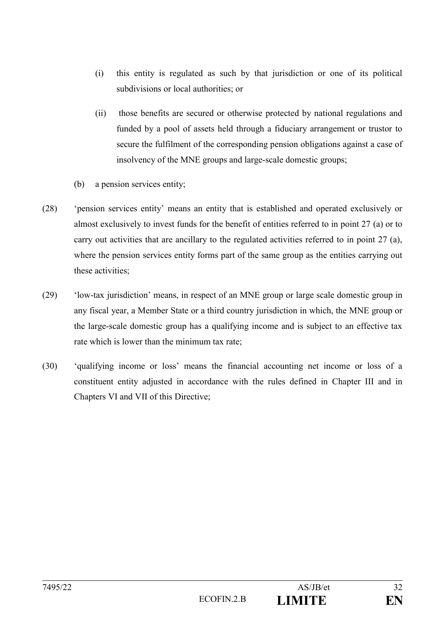- (i) this entity is regulated as such by that jurisdiction or one of its political subdivisions or local authorities; or
- (ii) those benefits are secured or otherwise protected by national regulations and funded by a pool of assets held through a fiduciary arrangement or trustor to secure the fulfilment of the corresponding pension obligations against a case of insolvency of the MNE groups and large-scale domestic groups;
- (b) a pension services entity;
- (28) 'pension services entity' means an entity that is established and operated exclusively or almost exclusively to invest funds for the benefit of entities referred to in point 27 (a) or to carry out activities that are ancillary to the regulated activities referred to in point 27 (a), where the pension services entity forms part of the same group as the entities carrying out these activities;
- (29) 'low-tax jurisdiction' means, in respect of an MNE group or large scale domestic group in any fiscal year, a Member State or a third country jurisdiction in which, the MNE group or the large-scale domestic group has a qualifying income and is subject to an effective tax rate which is lower than the minimum tax rate;
- (30) 'qualifying income or loss' means the financial accounting net income or loss of a constituent entity adjusted in accordance with the rules defined in Chapter III and in Chapters VI and VII of this Directive;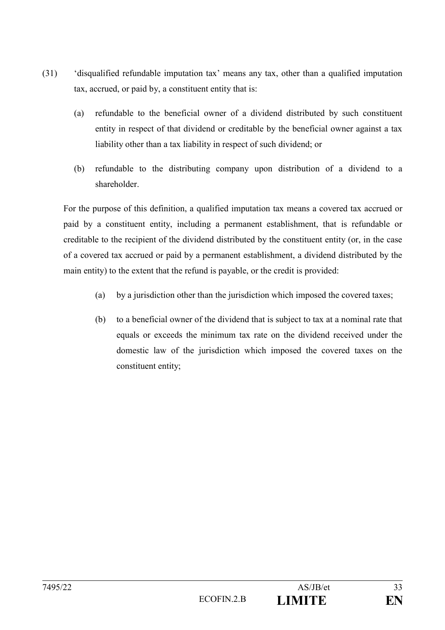- (31) 'disqualified refundable imputation tax' means any tax, other than a qualified imputation tax, accrued, or paid by, a constituent entity that is:
	- (a) refundable to the beneficial owner of a dividend distributed by such constituent entity in respect of that dividend or creditable by the beneficial owner against a tax liability other than a tax liability in respect of such dividend; or
	- (b) refundable to the distributing company upon distribution of a dividend to a shareholder.

For the purpose of this definition, a qualified imputation tax means a covered tax accrued or paid by a constituent entity, including a permanent establishment, that is refundable or creditable to the recipient of the dividend distributed by the constituent entity (or, in the case of a covered tax accrued or paid by a permanent establishment, a dividend distributed by the main entity) to the extent that the refund is payable, or the credit is provided:

- (a) by a jurisdiction other than the jurisdiction which imposed the covered taxes;
- (b) to a beneficial owner of the dividend that is subject to tax at a nominal rate that equals or exceeds the minimum tax rate on the dividend received under the domestic law of the jurisdiction which imposed the covered taxes on the constituent entity;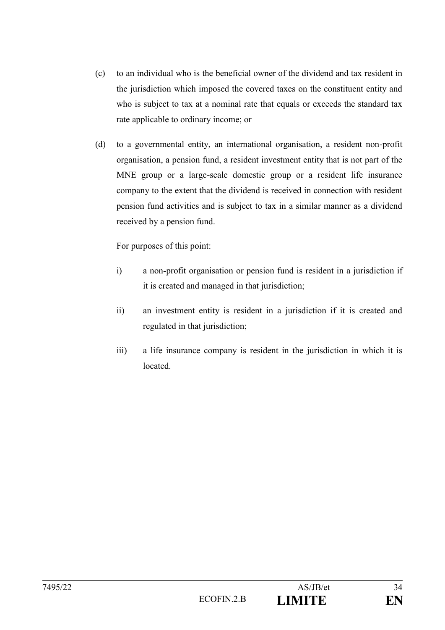- (c) to an individual who is the beneficial owner of the dividend and tax resident in the jurisdiction which imposed the covered taxes on the constituent entity and who is subject to tax at a nominal rate that equals or exceeds the standard tax rate applicable to ordinary income; or
- (d) to a governmental entity, an international organisation, a resident non-profit organisation, a pension fund, a resident investment entity that is not part of the MNE group or a large-scale domestic group or a resident life insurance company to the extent that the dividend is received in connection with resident pension fund activities and is subject to tax in a similar manner as a dividend received by a pension fund.

For purposes of this point:

- i) a non-profit organisation or pension fund is resident in a jurisdiction if it is created and managed in that jurisdiction;
- ii) an investment entity is resident in a jurisdiction if it is created and regulated in that jurisdiction;
- iii) a life insurance company is resident in the jurisdiction in which it is located.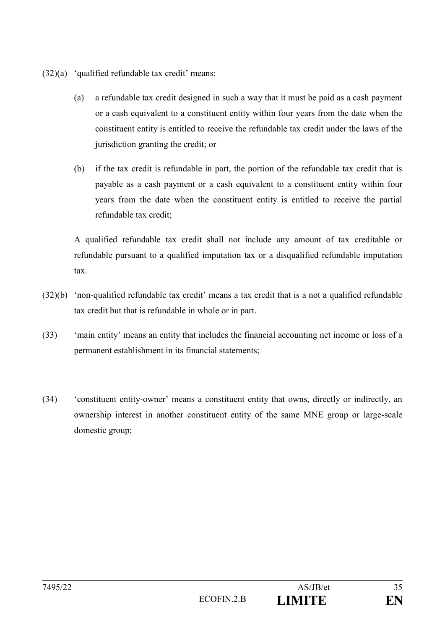- (32)(a) 'qualified refundable tax credit' means:
	- (a) a refundable tax credit designed in such a way that it must be paid as a cash payment or a cash equivalent to a constituent entity within four years from the date when the constituent entity is entitled to receive the refundable tax credit under the laws of the jurisdiction granting the credit; or
	- (b) if the tax credit is refundable in part, the portion of the refundable tax credit that is payable as a cash payment or a cash equivalent to a constituent entity within four years from the date when the constituent entity is entitled to receive the partial refundable tax credit;

A qualified refundable tax credit shall not include any amount of tax creditable or refundable pursuant to a qualified imputation tax or a disqualified refundable imputation tax.

- (32)(b) 'non-qualified refundable tax credit' means a tax credit that is a not a qualified refundable tax credit but that is refundable in whole or in part.
- (33) 'main entity' means an entity that includes the financial accounting net income or loss of a permanent establishment in its financial statements;
- (34) 'constituent entity-owner' means a constituent entity that owns, directly or indirectly, an ownership interest in another constituent entity of the same MNE group or large-scale domestic group;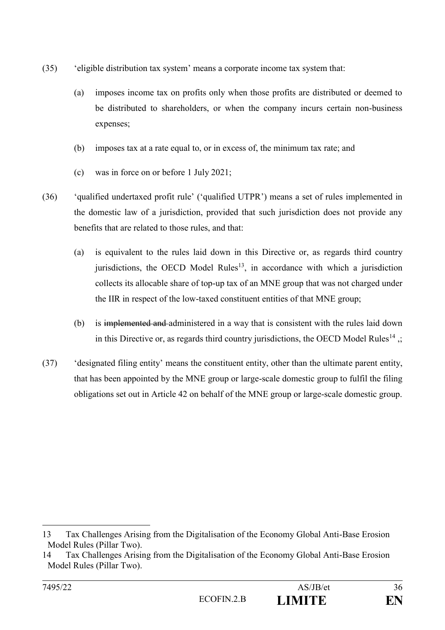- (35) 'eligible distribution tax system' means a corporate income tax system that:
	- (a) imposes income tax on profits only when those profits are distributed or deemed to be distributed to shareholders, or when the company incurs certain non-business expenses;
	- (b) imposes tax at a rate equal to, or in excess of, the minimum tax rate; and
	- (c) was in force on or before 1 July 2021;
- (36) 'qualified undertaxed profit rule' ('qualified UTPR') means a set of rules implemented in the domestic law of a jurisdiction, provided that such jurisdiction does not provide any benefits that are related to those rules, and that:
	- (a) is equivalent to the rules laid down in this Directive or, as regards third country jurisdictions, the OECD Model Rules<sup>13</sup>, in accordance with which a jurisdiction collects its allocable share of top-up tax of an MNE group that was not charged under the IIR in respect of the low-taxed constituent entities of that MNE group;
	- (b) is implemented and administered in a way that is consistent with the rules laid down in this Directive or, as regards third country jurisdictions, the OECD Model Rules<sup>14</sup>  $\ldots$
- (37) 'designated filing entity' means the constituent entity, other than the ultimate parent entity, that has been appointed by the MNE group or large-scale domestic group to fulfil the filing obligations set out in Article 42 on behalf of the MNE group or large-scale domestic group.

<sup>13</sup> Tax Challenges Arising from the Digitalisation of the Economy Global Anti-Base Erosion Model Rules (Pillar Two).

<sup>14</sup> Tax Challenges Arising from the Digitalisation of the Economy Global Anti-Base Erosion Model Rules (Pillar Two).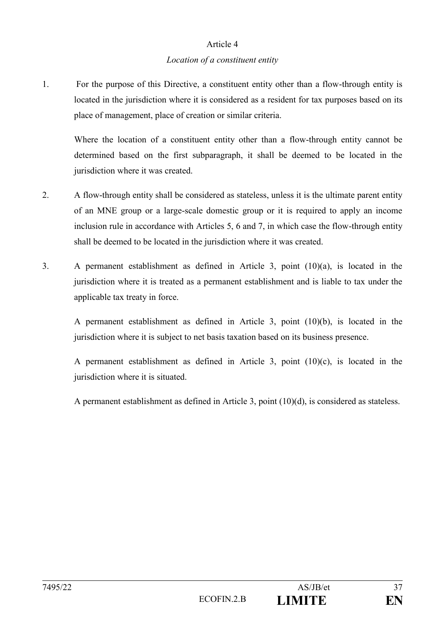### Article 4

### *Location of a constituent entity*

1. For the purpose of this Directive, a constituent entity other than a flow-through entity is located in the jurisdiction where it is considered as a resident for tax purposes based on its place of management, place of creation or similar criteria.

Where the location of a constituent entity other than a flow-through entity cannot be determined based on the first subparagraph, it shall be deemed to be located in the jurisdiction where it was created.

- 2. A flow-through entity shall be considered as stateless, unless it is the ultimate parent entity of an MNE group or a large-scale domestic group or it is required to apply an income inclusion rule in accordance with Articles 5, 6 and 7, in which case the flow-through entity shall be deemed to be located in the jurisdiction where it was created.
- 3. A permanent establishment as defined in Article 3, point (10)(a), is located in the jurisdiction where it is treated as a permanent establishment and is liable to tax under the applicable tax treaty in force.

A permanent establishment as defined in Article 3, point (10)(b), is located in the jurisdiction where it is subject to net basis taxation based on its business presence.

A permanent establishment as defined in Article 3, point (10)(c), is located in the jurisdiction where it is situated.

A permanent establishment as defined in Article 3, point (10)(d), is considered as stateless.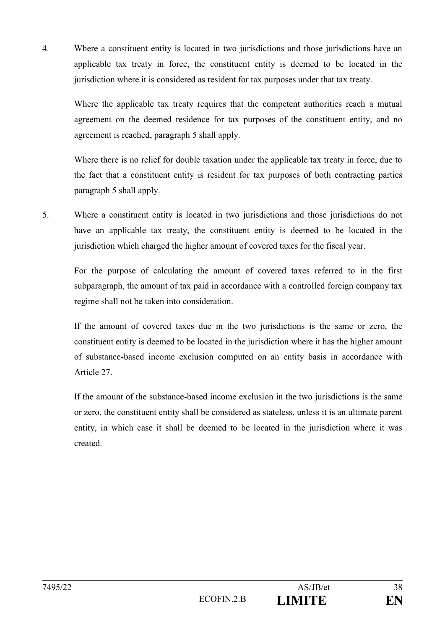4. Where a constituent entity is located in two jurisdictions and those jurisdictions have an applicable tax treaty in force, the constituent entity is deemed to be located in the jurisdiction where it is considered as resident for tax purposes under that tax treaty.

Where the applicable tax treaty requires that the competent authorities reach a mutual agreement on the deemed residence for tax purposes of the constituent entity, and no agreement is reached, paragraph 5 shall apply.

Where there is no relief for double taxation under the applicable tax treaty in force, due to the fact that a constituent entity is resident for tax purposes of both contracting parties paragraph 5 shall apply.

5. Where a constituent entity is located in two jurisdictions and those jurisdictions do not have an applicable tax treaty, the constituent entity is deemed to be located in the jurisdiction which charged the higher amount of covered taxes for the fiscal year.

For the purpose of calculating the amount of covered taxes referred to in the first subparagraph, the amount of tax paid in accordance with a controlled foreign company tax regime shall not be taken into consideration.

If the amount of covered taxes due in the two jurisdictions is the same or zero, the constituent entity is deemed to be located in the jurisdiction where it has the higher amount of substance-based income exclusion computed on an entity basis in accordance with Article 27.

If the amount of the substance-based income exclusion in the two jurisdictions is the same or zero, the constituent entity shall be considered as stateless, unless it is an ultimate parent entity, in which case it shall be deemed to be located in the jurisdiction where it was created.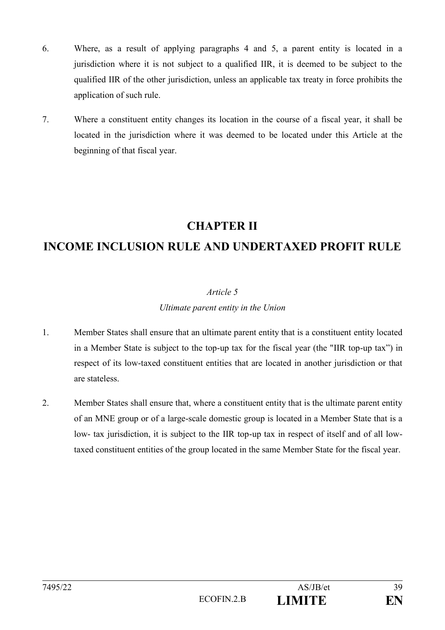- 6. Where, as a result of applying paragraphs 4 and 5, a parent entity is located in a jurisdiction where it is not subject to a qualified IIR, it is deemed to be subject to the qualified IIR of the other jurisdiction, unless an applicable tax treaty in force prohibits the application of such rule.
- 7. Where a constituent entity changes its location in the course of a fiscal year, it shall be located in the jurisdiction where it was deemed to be located under this Article at the beginning of that fiscal year.

# **CHAPTER II**

# **INCOME INCLUSION RULE AND UNDERTAXED PROFIT RULE**

## *Article 5*

### *Ultimate parent entity in the Union*

- 1. Member States shall ensure that an ultimate parent entity that is a constituent entity located in a Member State is subject to the top-up tax for the fiscal year (the "IIR top-up tax") in respect of its low-taxed constituent entities that are located in another jurisdiction or that are stateless.
- 2. Member States shall ensure that, where a constituent entity that is the ultimate parent entity of an MNE group or of a large-scale domestic group is located in a Member State that is a low- tax jurisdiction, it is subject to the IIR top-up tax in respect of itself and of all lowtaxed constituent entities of the group located in the same Member State for the fiscal year.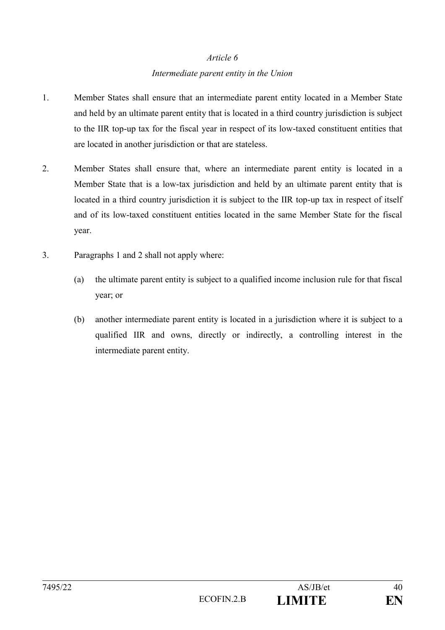## *Article 6 Intermediate parent entity in the Union*

- 1. Member States shall ensure that an intermediate parent entity located in a Member State and held by an ultimate parent entity that is located in a third country jurisdiction is subject to the IIR top-up tax for the fiscal year in respect of its low-taxed constituent entities that are located in another jurisdiction or that are stateless.
- 2. Member States shall ensure that, where an intermediate parent entity is located in a Member State that is a low-tax jurisdiction and held by an ultimate parent entity that is located in a third country jurisdiction it is subject to the IIR top-up tax in respect of itself and of its low-taxed constituent entities located in the same Member State for the fiscal year.
- 3. Paragraphs 1 and 2 shall not apply where:
	- (a) the ultimate parent entity is subject to a qualified income inclusion rule for that fiscal year; or
	- (b) another intermediate parent entity is located in a jurisdiction where it is subject to a qualified IIR and owns, directly or indirectly, a controlling interest in the intermediate parent entity.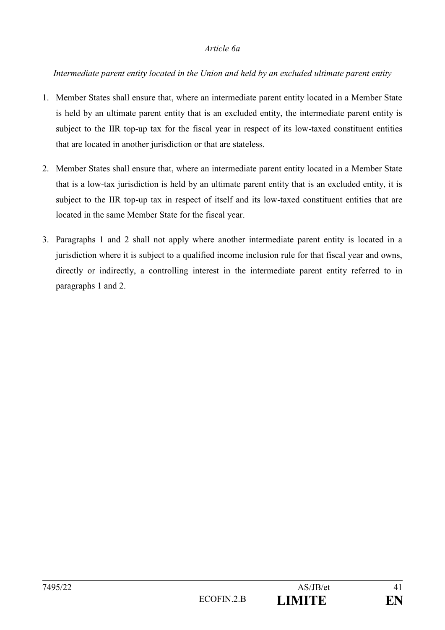#### *Article 6a*

### *Intermediate parent entity located in the Union and held by an excluded ultimate parent entity*

- 1. Member States shall ensure that, where an intermediate parent entity located in a Member State is held by an ultimate parent entity that is an excluded entity, the intermediate parent entity is subject to the IIR top-up tax for the fiscal year in respect of its low-taxed constituent entities that are located in another jurisdiction or that are stateless.
- 2. Member States shall ensure that, where an intermediate parent entity located in a Member State that is a low-tax jurisdiction is held by an ultimate parent entity that is an excluded entity, it is subject to the IIR top-up tax in respect of itself and its low-taxed constituent entities that are located in the same Member State for the fiscal year.
- 3. Paragraphs 1 and 2 shall not apply where another intermediate parent entity is located in a jurisdiction where it is subject to a qualified income inclusion rule for that fiscal year and owns, directly or indirectly, a controlling interest in the intermediate parent entity referred to in paragraphs 1 and 2.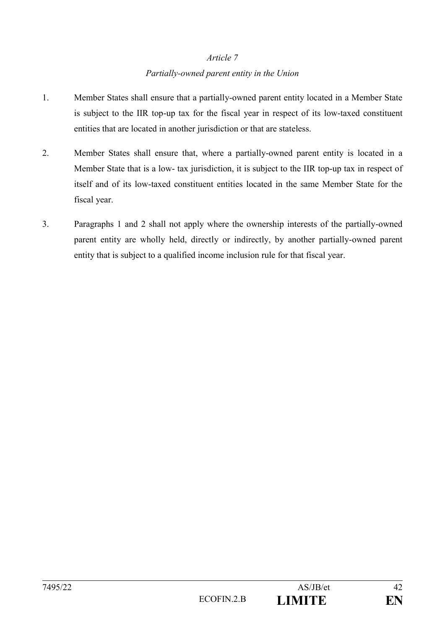## *Article 7 Partially-owned parent entity in the Union*

- 1. Member States shall ensure that a partially-owned parent entity located in a Member State is subject to the IIR top-up tax for the fiscal year in respect of its low-taxed constituent entities that are located in another jurisdiction or that are stateless.
- 2. Member States shall ensure that, where a partially-owned parent entity is located in a Member State that is a low- tax jurisdiction, it is subject to the IIR top-up tax in respect of itself and of its low-taxed constituent entities located in the same Member State for the fiscal year.
- 3. Paragraphs 1 and 2 shall not apply where the ownership interests of the partially-owned parent entity are wholly held, directly or indirectly, by another partially-owned parent entity that is subject to a qualified income inclusion rule for that fiscal year.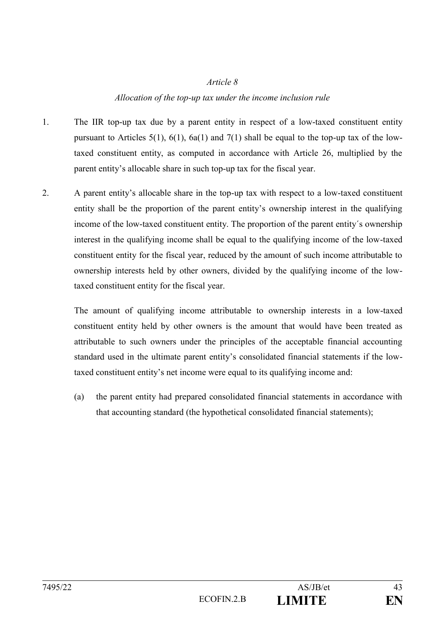#### *Article 8*

#### *Allocation of the top-up tax under the income inclusion rule*

- 1. The IIR top-up tax due by a parent entity in respect of a low-taxed constituent entity pursuant to Articles  $5(1)$ ,  $6(1)$ ,  $6a(1)$  and  $7(1)$  shall be equal to the top-up tax of the lowtaxed constituent entity, as computed in accordance with Article 26, multiplied by the parent entity's allocable share in such top-up tax for the fiscal year.
- 2. A parent entity's allocable share in the top-up tax with respect to a low-taxed constituent entity shall be the proportion of the parent entity's ownership interest in the qualifying income of the low-taxed constituent entity. The proportion of the parent entity´s ownership interest in the qualifying income shall be equal to the qualifying income of the low-taxed constituent entity for the fiscal year, reduced by the amount of such income attributable to ownership interests held by other owners, divided by the qualifying income of the lowtaxed constituent entity for the fiscal year.

The amount of qualifying income attributable to ownership interests in a low-taxed constituent entity held by other owners is the amount that would have been treated as attributable to such owners under the principles of the acceptable financial accounting standard used in the ultimate parent entity's consolidated financial statements if the lowtaxed constituent entity's net income were equal to its qualifying income and:

(a) the parent entity had prepared consolidated financial statements in accordance with that accounting standard (the hypothetical consolidated financial statements);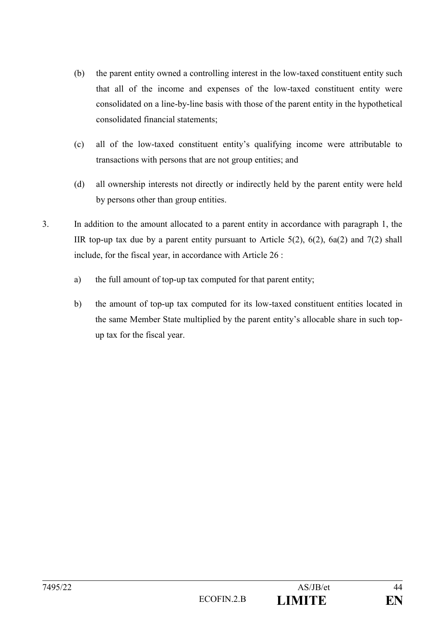- (b) the parent entity owned a controlling interest in the low-taxed constituent entity such that all of the income and expenses of the low-taxed constituent entity were consolidated on a line-by-line basis with those of the parent entity in the hypothetical consolidated financial statements;
- (c) all of the low-taxed constituent entity's qualifying income were attributable to transactions with persons that are not group entities; and
- (d) all ownership interests not directly or indirectly held by the parent entity were held by persons other than group entities.
- 3. In addition to the amount allocated to a parent entity in accordance with paragraph 1, the IIR top-up tax due by a parent entity pursuant to Article  $5(2)$ ,  $6(2)$ ,  $6a(2)$  and  $7(2)$  shall include, for the fiscal year, in accordance with Article 26 :
	- a) the full amount of top-up tax computed for that parent entity;
	- b) the amount of top-up tax computed for its low-taxed constituent entities located in the same Member State multiplied by the parent entity's allocable share in such topup tax for the fiscal year.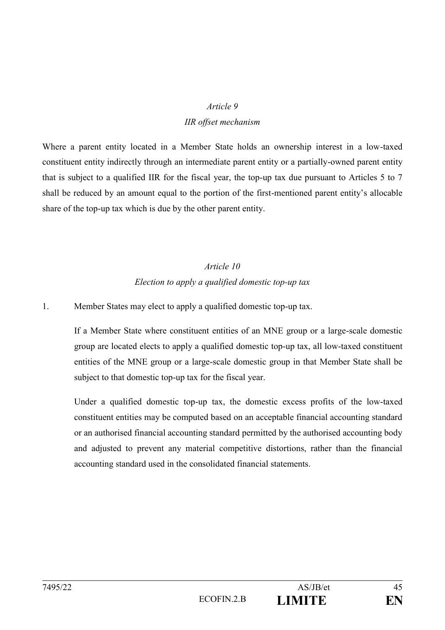### *Article 9*

### *IIR offset mechanism*

Where a parent entity located in a Member State holds an ownership interest in a low-taxed constituent entity indirectly through an intermediate parent entity or a partially-owned parent entity that is subject to a qualified IIR for the fiscal year, the top-up tax due pursuant to Articles 5 to 7 shall be reduced by an amount equal to the portion of the first-mentioned parent entity's allocable share of the top-up tax which is due by the other parent entity.

# *Article 10 Election to apply a qualified domestic top-up tax*

### 1. Member States may elect to apply a qualified domestic top-up tax.

If a Member State where constituent entities of an MNE group or a large-scale domestic group are located elects to apply a qualified domestic top-up tax, all low-taxed constituent entities of the MNE group or a large-scale domestic group in that Member State shall be subject to that domestic top-up tax for the fiscal year.

Under a qualified domestic top-up tax, the domestic excess profits of the low-taxed constituent entities may be computed based on an acceptable financial accounting standard or an authorised financial accounting standard permitted by the authorised accounting body and adjusted to prevent any material competitive distortions, rather than the financial accounting standard used in the consolidated financial statements.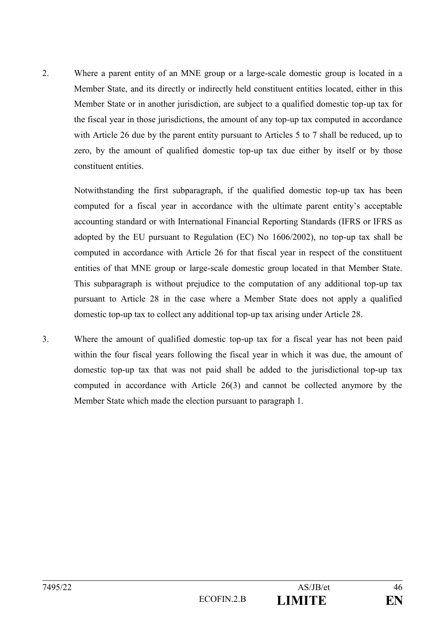2. Where a parent entity of an MNE group or a large-scale domestic group is located in a Member State, and its directly or indirectly held constituent entities located, either in this Member State or in another jurisdiction, are subject to a qualified domestic top-up tax for the fiscal year in those jurisdictions, the amount of any top-up tax computed in accordance with Article 26 due by the parent entity pursuant to Articles 5 to 7 shall be reduced, up to zero, by the amount of qualified domestic top-up tax due either by itself or by those constituent entities.

Notwithstanding the first subparagraph, if the qualified domestic top-up tax has been computed for a fiscal year in accordance with the ultimate parent entity's acceptable accounting standard or with International Financial Reporting Standards (IFRS or IFRS as adopted by the EU pursuant to Regulation (EC) No 1606/2002), no top-up tax shall be computed in accordance with Article 26 for that fiscal year in respect of the constituent entities of that MNE group or large-scale domestic group located in that Member State. This subparagraph is without prejudice to the computation of any additional top-up tax pursuant to Article 28 in the case where a Member State does not apply a qualified domestic top-up tax to collect any additional top-up tax arising under Article 28.

3. Where the amount of qualified domestic top-up tax for a fiscal year has not been paid within the four fiscal years following the fiscal year in which it was due, the amount of domestic top-up tax that was not paid shall be added to the jurisdictional top-up tax computed in accordance with Article 26(3) and cannot be collected anymore by the Member State which made the election pursuant to paragraph 1.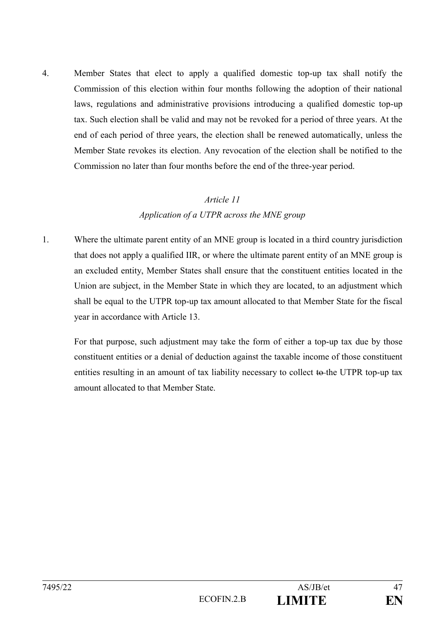4. Member States that elect to apply a qualified domestic top-up tax shall notify the Commission of this election within four months following the adoption of their national laws, regulations and administrative provisions introducing a qualified domestic top-up tax. Such election shall be valid and may not be revoked for a period of three years. At the end of each period of three years, the election shall be renewed automatically, unless the Member State revokes its election. Any revocation of the election shall be notified to the Commission no later than four months before the end of the three-year period.

# *Article 11 Application of a UTPR across the MNE group*

1. Where the ultimate parent entity of an MNE group is located in a third country jurisdiction that does not apply a qualified IIR, or where the ultimate parent entity of an MNE group is an excluded entity, Member States shall ensure that the constituent entities located in the Union are subject, in the Member State in which they are located, to an adjustment which shall be equal to the UTPR top-up tax amount allocated to that Member State for the fiscal year in accordance with Article 13.

For that purpose, such adjustment may take the form of either a top-up tax due by those constituent entities or a denial of deduction against the taxable income of those constituent entities resulting in an amount of tax liability necessary to collect to the UTPR top-up tax amount allocated to that Member State.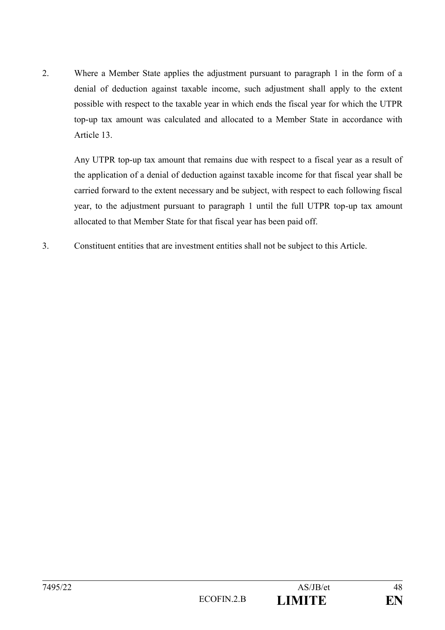2. Where a Member State applies the adjustment pursuant to paragraph 1 in the form of a denial of deduction against taxable income, such adjustment shall apply to the extent possible with respect to the taxable year in which ends the fiscal year for which the UTPR top-up tax amount was calculated and allocated to a Member State in accordance with Article 13.

Any UTPR top-up tax amount that remains due with respect to a fiscal year as a result of the application of a denial of deduction against taxable income for that fiscal year shall be carried forward to the extent necessary and be subject, with respect to each following fiscal year, to the adjustment pursuant to paragraph 1 until the full UTPR top-up tax amount allocated to that Member State for that fiscal year has been paid off.

3. Constituent entities that are investment entities shall not be subject to this Article.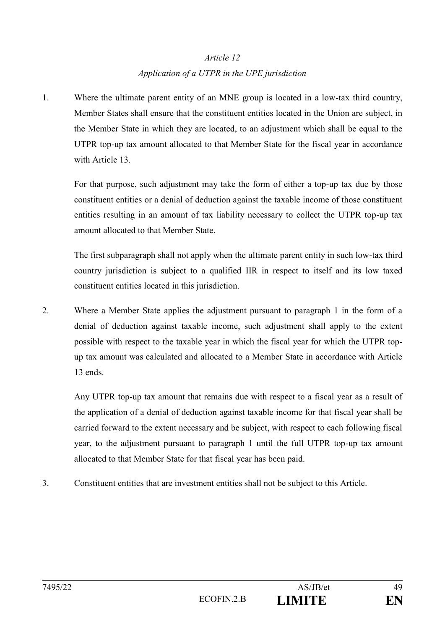## *Article 12 Application of a UTPR in the UPE jurisdiction*

1. Where the ultimate parent entity of an MNE group is located in a low-tax third country, Member States shall ensure that the constituent entities located in the Union are subject, in the Member State in which they are located, to an adjustment which shall be equal to the UTPR top-up tax amount allocated to that Member State for the fiscal year in accordance with Article 13.

For that purpose, such adjustment may take the form of either a top-up tax due by those constituent entities or a denial of deduction against the taxable income of those constituent entities resulting in an amount of tax liability necessary to collect the UTPR top-up tax amount allocated to that Member State.

The first subparagraph shall not apply when the ultimate parent entity in such low-tax third country jurisdiction is subject to a qualified IIR in respect to itself and its low taxed constituent entities located in this jurisdiction.

2. Where a Member State applies the adjustment pursuant to paragraph 1 in the form of a denial of deduction against taxable income, such adjustment shall apply to the extent possible with respect to the taxable year in which the fiscal year for which the UTPR topup tax amount was calculated and allocated to a Member State in accordance with Article 13 ends.

Any UTPR top-up tax amount that remains due with respect to a fiscal year as a result of the application of a denial of deduction against taxable income for that fiscal year shall be carried forward to the extent necessary and be subject, with respect to each following fiscal year, to the adjustment pursuant to paragraph 1 until the full UTPR top-up tax amount allocated to that Member State for that fiscal year has been paid.

3. Constituent entities that are investment entities shall not be subject to this Article.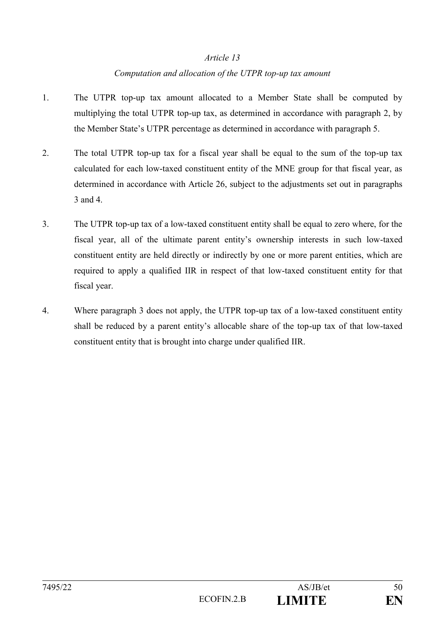### *Article 13*

### *Computation and allocation of the UTPR top-up tax amount*

- 1. The UTPR top-up tax amount allocated to a Member State shall be computed by multiplying the total UTPR top-up tax, as determined in accordance with paragraph 2, by the Member State's UTPR percentage as determined in accordance with paragraph 5.
- 2. The total UTPR top-up tax for a fiscal year shall be equal to the sum of the top-up tax calculated for each low-taxed constituent entity of the MNE group for that fiscal year, as determined in accordance with Article 26, subject to the adjustments set out in paragraphs 3 and 4.
- 3. The UTPR top-up tax of a low-taxed constituent entity shall be equal to zero where, for the fiscal year, all of the ultimate parent entity's ownership interests in such low-taxed constituent entity are held directly or indirectly by one or more parent entities, which are required to apply a qualified IIR in respect of that low-taxed constituent entity for that fiscal year.
- 4. Where paragraph 3 does not apply, the UTPR top-up tax of a low-taxed constituent entity shall be reduced by a parent entity's allocable share of the top-up tax of that low-taxed constituent entity that is brought into charge under qualified IIR.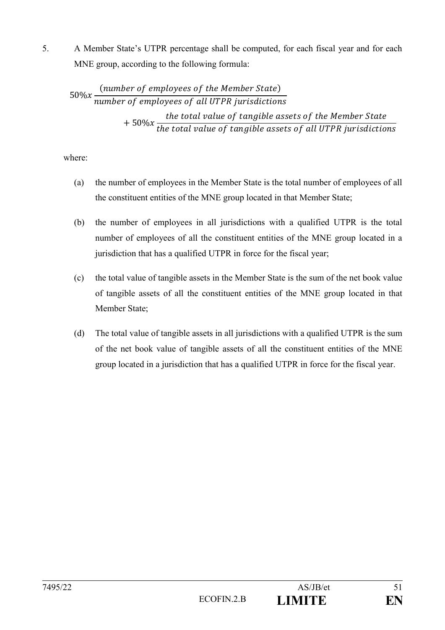5. A Member State's UTPR percentage shall be computed, for each fiscal year and for each MNE group, according to the following formula:

$$
50\%x \frac{(number\ of\ employees\ of\ the\ Member\ State)}{number\ of\ employees\ of\ all\ UTPR\ justaities}
$$
  
+ 50%x  $\frac{the\ total\ value\ of\ tangle\ assets\ of\ the\ Member\ State}{the\ total\ value\ of\ tangle\ assets\ of\ all\ UTPR\ justaities}$ 

where:

- (a) the number of employees in the Member State is the total number of employees of all the constituent entities of the MNE group located in that Member State;
- (b) the number of employees in all jurisdictions with a qualified UTPR is the total number of employees of all the constituent entities of the MNE group located in a jurisdiction that has a qualified UTPR in force for the fiscal year;
- (c) the total value of tangible assets in the Member State is the sum of the net book value of tangible assets of all the constituent entities of the MNE group located in that Member State;
- (d) The total value of tangible assets in all jurisdictions with a qualified UTPR is the sum of the net book value of tangible assets of all the constituent entities of the MNE group located in a jurisdiction that has a qualified UTPR in force for the fiscal year.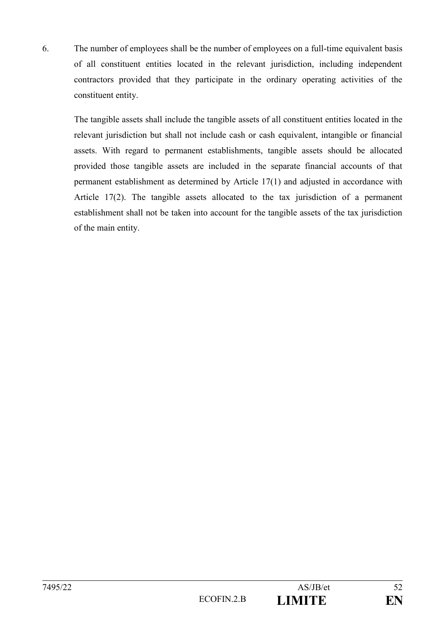6. The number of employees shall be the number of employees on a full-time equivalent basis of all constituent entities located in the relevant jurisdiction, including independent contractors provided that they participate in the ordinary operating activities of the constituent entity.

The tangible assets shall include the tangible assets of all constituent entities located in the relevant jurisdiction but shall not include cash or cash equivalent, intangible or financial assets. With regard to permanent establishments, tangible assets should be allocated provided those tangible assets are included in the separate financial accounts of that permanent establishment as determined by Article 17(1) and adjusted in accordance with Article 17(2). The tangible assets allocated to the tax jurisdiction of a permanent establishment shall not be taken into account for the tangible assets of the tax jurisdiction of the main entity.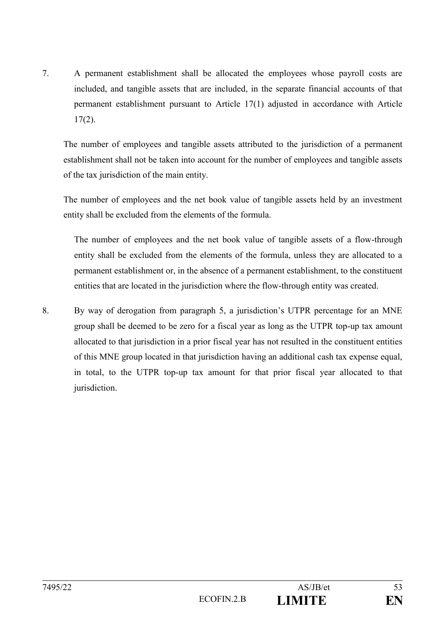7. A permanent establishment shall be allocated the employees whose payroll costs are included, and tangible assets that are included, in the separate financial accounts of that permanent establishment pursuant to Article 17(1) adjusted in accordance with Article 17(2).

The number of employees and tangible assets attributed to the jurisdiction of a permanent establishment shall not be taken into account for the number of employees and tangible assets of the tax jurisdiction of the main entity.

The number of employees and the net book value of tangible assets held by an investment entity shall be excluded from the elements of the formula.

The number of employees and the net book value of tangible assets of a flow-through entity shall be excluded from the elements of the formula, unless they are allocated to a permanent establishment or, in the absence of a permanent establishment, to the constituent entities that are located in the jurisdiction where the flow-through entity was created.

8. By way of derogation from paragraph 5, a jurisdiction's UTPR percentage for an MNE group shall be deemed to be zero for a fiscal year as long as the UTPR top-up tax amount allocated to that jurisdiction in a prior fiscal year has not resulted in the constituent entities of this MNE group located in that jurisdiction having an additional cash tax expense equal, in total, to the UTPR top-up tax amount for that prior fiscal year allocated to that jurisdiction.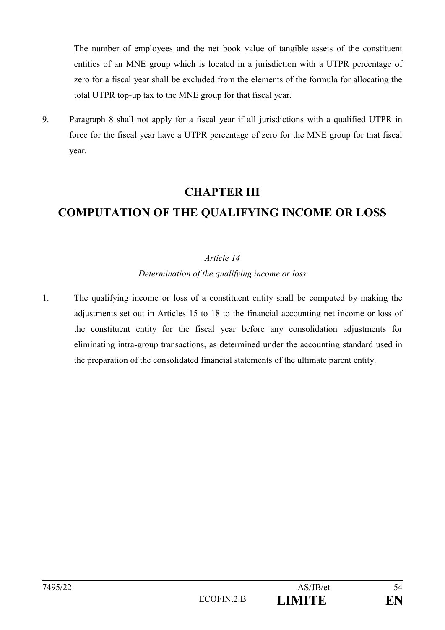The number of employees and the net book value of tangible assets of the constituent entities of an MNE group which is located in a jurisdiction with a UTPR percentage of zero for a fiscal year shall be excluded from the elements of the formula for allocating the total UTPR top-up tax to the MNE group for that fiscal year.

9. Paragraph 8 shall not apply for a fiscal year if all jurisdictions with a qualified UTPR in force for the fiscal year have a UTPR percentage of zero for the MNE group for that fiscal year.

# **CHAPTER III**

# **COMPUTATION OF THE QUALIFYING INCOME OR LOSS**

## *Article 14*

*Determination of the qualifying income or loss*

1. The qualifying income or loss of a constituent entity shall be computed by making the adjustments set out in Articles 15 to 18 to the financial accounting net income or loss of the constituent entity for the fiscal year before any consolidation adjustments for eliminating intra-group transactions, as determined under the accounting standard used in the preparation of the consolidated financial statements of the ultimate parent entity.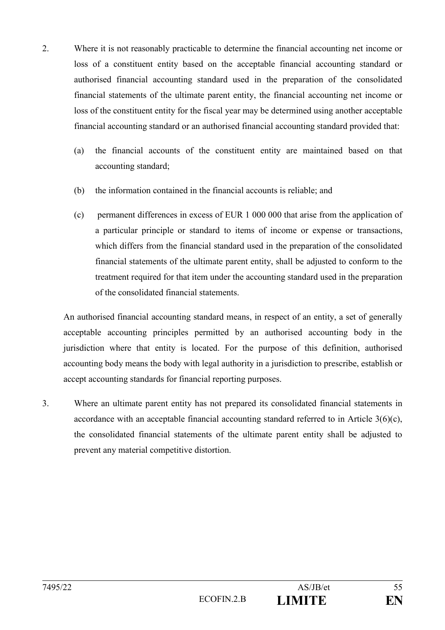- 2. Where it is not reasonably practicable to determine the financial accounting net income or loss of a constituent entity based on the acceptable financial accounting standard or authorised financial accounting standard used in the preparation of the consolidated financial statements of the ultimate parent entity, the financial accounting net income or loss of the constituent entity for the fiscal year may be determined using another acceptable financial accounting standard or an authorised financial accounting standard provided that:
	- (a) the financial accounts of the constituent entity are maintained based on that accounting standard;
	- (b) the information contained in the financial accounts is reliable; and
	- (c) permanent differences in excess of EUR 1 000 000 that arise from the application of a particular principle or standard to items of income or expense or transactions, which differs from the financial standard used in the preparation of the consolidated financial statements of the ultimate parent entity, shall be adjusted to conform to the treatment required for that item under the accounting standard used in the preparation of the consolidated financial statements.

An authorised financial accounting standard means, in respect of an entity, a set of generally acceptable accounting principles permitted by an authorised accounting body in the jurisdiction where that entity is located. For the purpose of this definition, authorised accounting body means the body with legal authority in a jurisdiction to prescribe, establish or accept accounting standards for financial reporting purposes.

3. Where an ultimate parent entity has not prepared its consolidated financial statements in accordance with an acceptable financial accounting standard referred to in Article 3(6)(c), the consolidated financial statements of the ultimate parent entity shall be adjusted to prevent any material competitive distortion.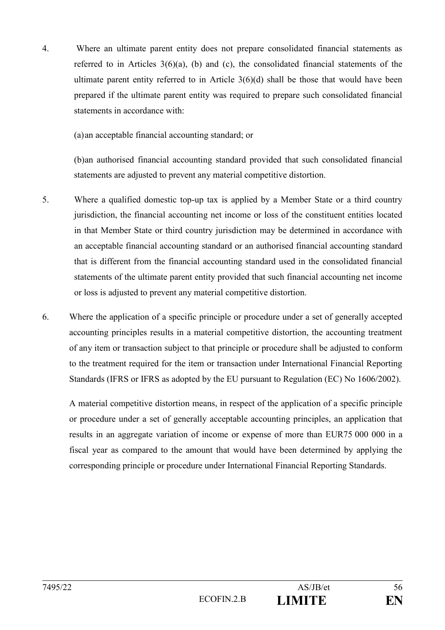4. Where an ultimate parent entity does not prepare consolidated financial statements as referred to in Articles 3(6)(a), (b) and (c), the consolidated financial statements of the ultimate parent entity referred to in Article 3(6)(d) shall be those that would have been prepared if the ultimate parent entity was required to prepare such consolidated financial statements in accordance with:

(a)an acceptable financial accounting standard; or

(b)an authorised financial accounting standard provided that such consolidated financial statements are adjusted to prevent any material competitive distortion.

- 5. Where a qualified domestic top-up tax is applied by a Member State or a third country jurisdiction, the financial accounting net income or loss of the constituent entities located in that Member State or third country jurisdiction may be determined in accordance with an acceptable financial accounting standard or an authorised financial accounting standard that is different from the financial accounting standard used in the consolidated financial statements of the ultimate parent entity provided that such financial accounting net income or loss is adjusted to prevent any material competitive distortion.
- 6. Where the application of a specific principle or procedure under a set of generally accepted accounting principles results in a material competitive distortion, the accounting treatment of any item or transaction subject to that principle or procedure shall be adjusted to conform to the treatment required for the item or transaction under International Financial Reporting Standards (IFRS or IFRS as adopted by the EU pursuant to Regulation (EC) No 1606/2002).

A material competitive distortion means, in respect of the application of a specific principle or procedure under a set of generally acceptable accounting principles, an application that results in an aggregate variation of income or expense of more than EUR75 000 000 in a fiscal year as compared to the amount that would have been determined by applying the corresponding principle or procedure under International Financial Reporting Standards.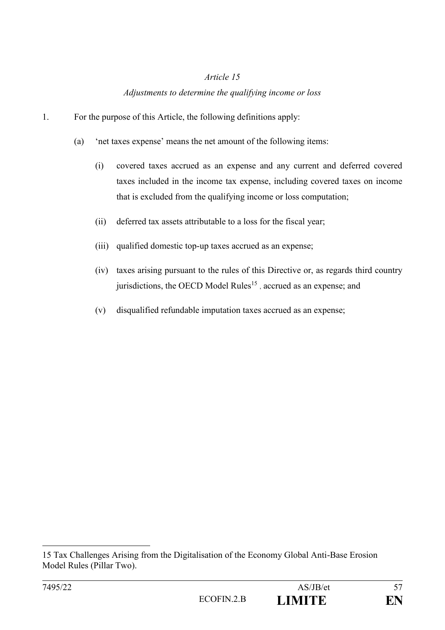### *Article 15*

### *Adjustments to determine the qualifying income or loss*

- 1. For the purpose of this Article, the following definitions apply:
	- (a) 'net taxes expense' means the net amount of the following items:
		- (i) covered taxes accrued as an expense and any current and deferred covered taxes included in the income tax expense, including covered taxes on income that is excluded from the qualifying income or loss computation;
		- (ii) deferred tax assets attributable to a loss for the fiscal year;
		- (iii) qualified domestic top-up taxes accrued as an expense;
		- (iv) taxes arising pursuant to the rules of this Directive or, as regards third country jurisdictions, the OECD Model Rules<sup>15</sup>, accrued as an expense; and
		- (v) disqualified refundable imputation taxes accrued as an expense;

1

<sup>15</sup> Tax Challenges Arising from the Digitalisation of the Economy Global Anti-Base Erosion Model Rules (Pillar Two).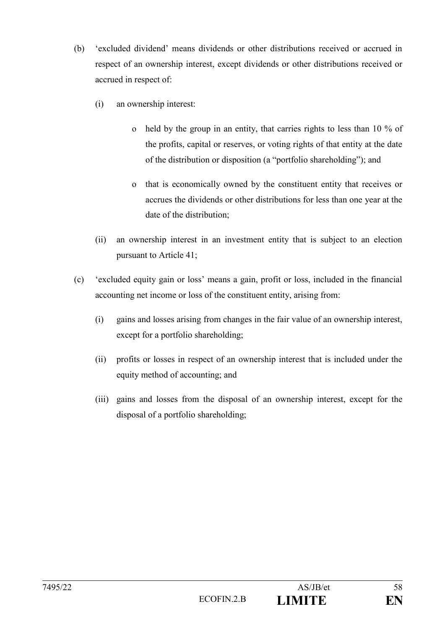- (b) 'excluded dividend' means dividends or other distributions received or accrued in respect of an ownership interest, except dividends or other distributions received or accrued in respect of:
	- (i) an ownership interest:
		- o held by the group in an entity, that carries rights to less than 10 % of the profits, capital or reserves, or voting rights of that entity at the date of the distribution or disposition (a "portfolio shareholding"); and
		- o that is economically owned by the constituent entity that receives or accrues the dividends or other distributions for less than one year at the date of the distribution;
	- (ii) an ownership interest in an investment entity that is subject to an election pursuant to Article 41;
- (c) 'excluded equity gain or loss' means a gain, profit or loss, included in the financial accounting net income or loss of the constituent entity, arising from:
	- (i) gains and losses arising from changes in the fair value of an ownership interest, except for a portfolio shareholding;
	- (ii) profits or losses in respect of an ownership interest that is included under the equity method of accounting; and
	- (iii) gains and losses from the disposal of an ownership interest, except for the disposal of a portfolio shareholding;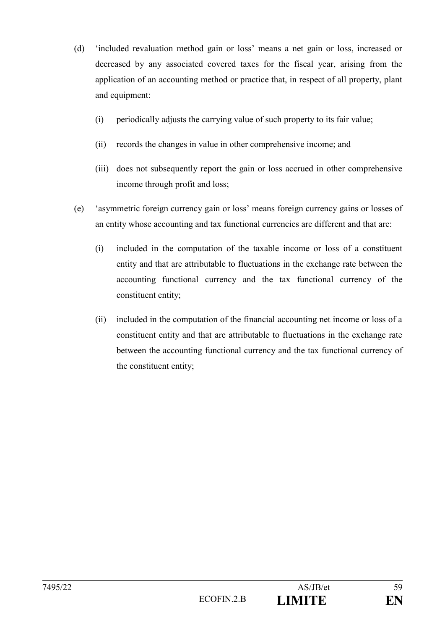- (d) 'included revaluation method gain or loss' means a net gain or loss, increased or decreased by any associated covered taxes for the fiscal year, arising from the application of an accounting method or practice that, in respect of all property, plant and equipment:
	- (i) periodically adjusts the carrying value of such property to its fair value;
	- (ii) records the changes in value in other comprehensive income; and
	- (iii) does not subsequently report the gain or loss accrued in other comprehensive income through profit and loss;
- (e) 'asymmetric foreign currency gain or loss' means foreign currency gains or losses of an entity whose accounting and tax functional currencies are different and that are:
	- (i) included in the computation of the taxable income or loss of a constituent entity and that are attributable to fluctuations in the exchange rate between the accounting functional currency and the tax functional currency of the constituent entity;
	- (ii) included in the computation of the financial accounting net income or loss of a constituent entity and that are attributable to fluctuations in the exchange rate between the accounting functional currency and the tax functional currency of the constituent entity;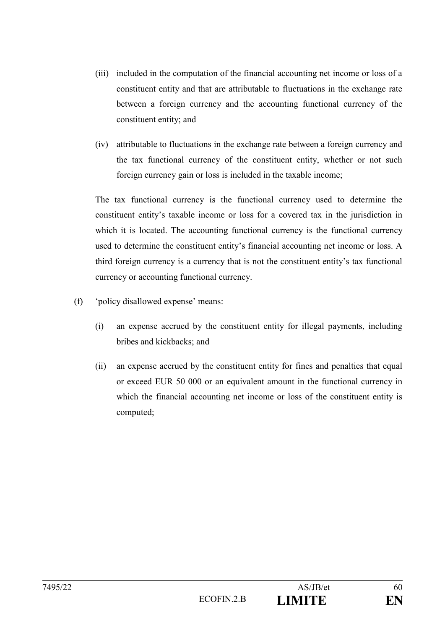- (iii) included in the computation of the financial accounting net income or loss of a constituent entity and that are attributable to fluctuations in the exchange rate between a foreign currency and the accounting functional currency of the constituent entity; and
- (iv) attributable to fluctuations in the exchange rate between a foreign currency and the tax functional currency of the constituent entity, whether or not such foreign currency gain or loss is included in the taxable income;

The tax functional currency is the functional currency used to determine the constituent entity's taxable income or loss for a covered tax in the jurisdiction in which it is located. The accounting functional currency is the functional currency used to determine the constituent entity's financial accounting net income or loss. A third foreign currency is a currency that is not the constituent entity's tax functional currency or accounting functional currency.

- (f) 'policy disallowed expense' means:
	- (i) an expense accrued by the constituent entity for illegal payments, including bribes and kickbacks; and
	- (ii) an expense accrued by the constituent entity for fines and penalties that equal or exceed EUR 50 000 or an equivalent amount in the functional currency in which the financial accounting net income or loss of the constituent entity is computed;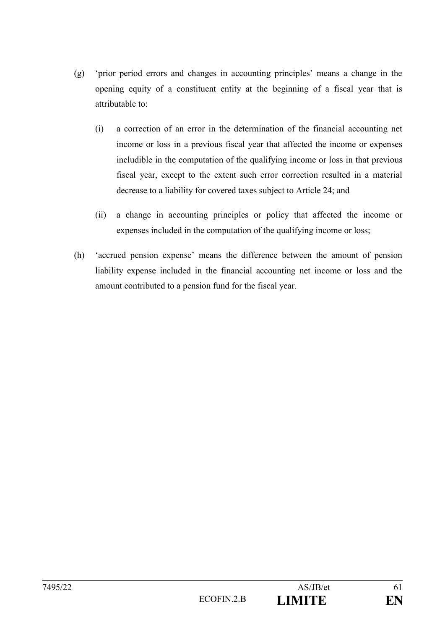- (g) 'prior period errors and changes in accounting principles' means a change in the opening equity of a constituent entity at the beginning of a fiscal year that is attributable to:
	- (i) a correction of an error in the determination of the financial accounting net income or loss in a previous fiscal year that affected the income or expenses includible in the computation of the qualifying income or loss in that previous fiscal year, except to the extent such error correction resulted in a material decrease to a liability for covered taxes subject to Article 24; and
	- (ii) a change in accounting principles or policy that affected the income or expenses included in the computation of the qualifying income or loss;
- (h) 'accrued pension expense' means the difference between the amount of pension liability expense included in the financial accounting net income or loss and the amount contributed to a pension fund for the fiscal year.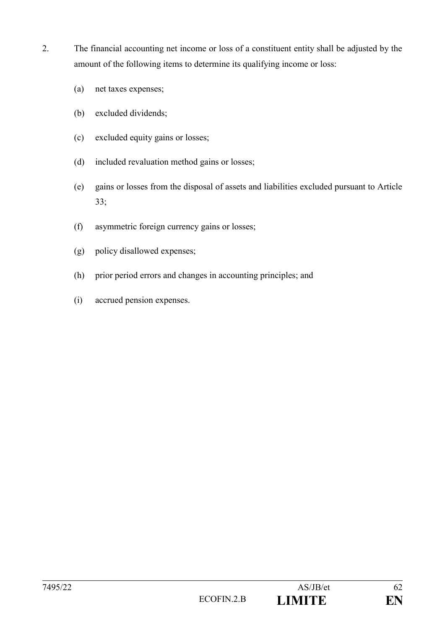- 2. The financial accounting net income or loss of a constituent entity shall be adjusted by the amount of the following items to determine its qualifying income or loss:
	- (a) net taxes expenses;
	- (b) excluded dividends;
	- (c) excluded equity gains or losses;
	- (d) included revaluation method gains or losses;
	- (e) gains or losses from the disposal of assets and liabilities excluded pursuant to Article 33;
	- (f) asymmetric foreign currency gains or losses;
	- (g) policy disallowed expenses;
	- (h) prior period errors and changes in accounting principles; and
	- (i) accrued pension expenses.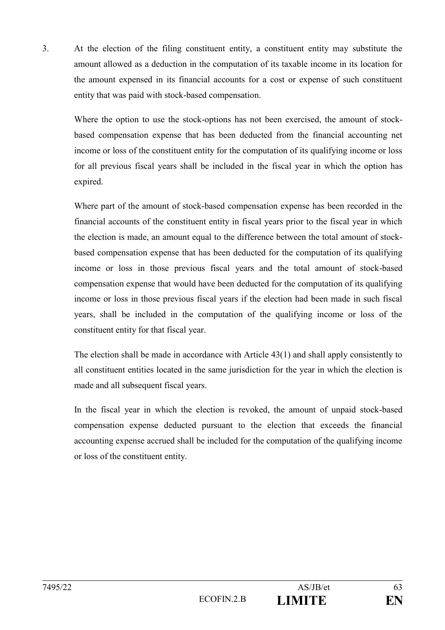3. At the election of the filing constituent entity, a constituent entity may substitute the amount allowed as a deduction in the computation of its taxable income in its location for the amount expensed in its financial accounts for a cost or expense of such constituent entity that was paid with stock-based compensation.

Where the option to use the stock-options has not been exercised, the amount of stockbased compensation expense that has been deducted from the financial accounting net income or loss of the constituent entity for the computation of its qualifying income or loss for all previous fiscal years shall be included in the fiscal year in which the option has expired.

Where part of the amount of stock-based compensation expense has been recorded in the financial accounts of the constituent entity in fiscal years prior to the fiscal year in which the election is made, an amount equal to the difference between the total amount of stockbased compensation expense that has been deducted for the computation of its qualifying income or loss in those previous fiscal years and the total amount of stock-based compensation expense that would have been deducted for the computation of its qualifying income or loss in those previous fiscal years if the election had been made in such fiscal years, shall be included in the computation of the qualifying income or loss of the constituent entity for that fiscal year.

The election shall be made in accordance with Article 43(1) and shall apply consistently to all constituent entities located in the same jurisdiction for the year in which the election is made and all subsequent fiscal years.

In the fiscal year in which the election is revoked, the amount of unpaid stock-based compensation expense deducted pursuant to the election that exceeds the financial accounting expense accrued shall be included for the computation of the qualifying income or loss of the constituent entity.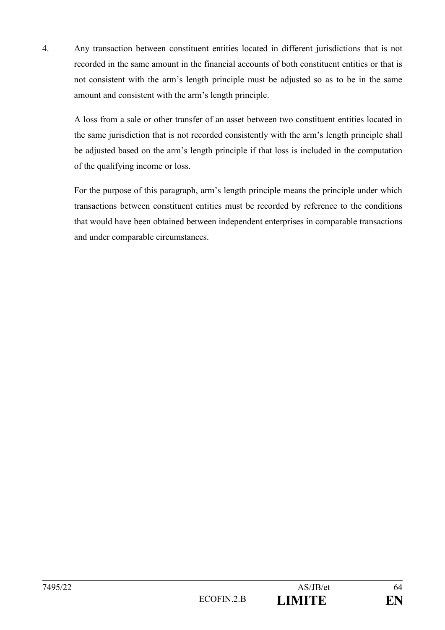4. Any transaction between constituent entities located in different jurisdictions that is not recorded in the same amount in the financial accounts of both constituent entities or that is not consistent with the arm's length principle must be adjusted so as to be in the same amount and consistent with the arm's length principle.

A loss from a sale or other transfer of an asset between two constituent entities located in the same jurisdiction that is not recorded consistently with the arm's length principle shall be adjusted based on the arm's length principle if that loss is included in the computation of the qualifying income or loss.

For the purpose of this paragraph, arm's length principle means the principle under which transactions between constituent entities must be recorded by reference to the conditions that would have been obtained between independent enterprises in comparable transactions and under comparable circumstances.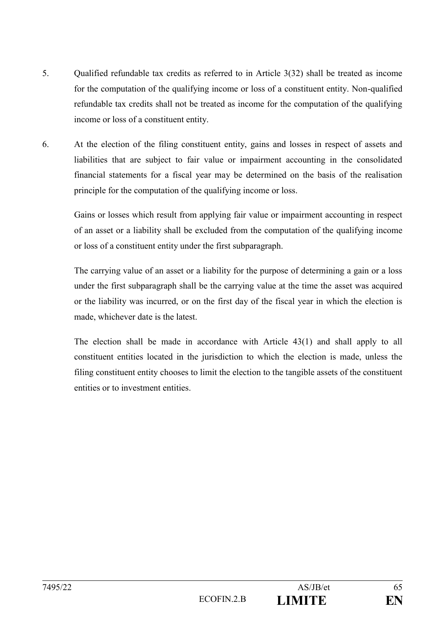- 5. Qualified refundable tax credits as referred to in Article 3(32) shall be treated as income for the computation of the qualifying income or loss of a constituent entity. Non-qualified refundable tax credits shall not be treated as income for the computation of the qualifying income or loss of a constituent entity.
- 6. At the election of the filing constituent entity, gains and losses in respect of assets and liabilities that are subject to fair value or impairment accounting in the consolidated financial statements for a fiscal year may be determined on the basis of the realisation principle for the computation of the qualifying income or loss.

Gains or losses which result from applying fair value or impairment accounting in respect of an asset or a liability shall be excluded from the computation of the qualifying income or loss of a constituent entity under the first subparagraph.

The carrying value of an asset or a liability for the purpose of determining a gain or a loss under the first subparagraph shall be the carrying value at the time the asset was acquired or the liability was incurred, or on the first day of the fiscal year in which the election is made, whichever date is the latest.

The election shall be made in accordance with Article 43(1) and shall apply to all constituent entities located in the jurisdiction to which the election is made, unless the filing constituent entity chooses to limit the election to the tangible assets of the constituent entities or to investment entities.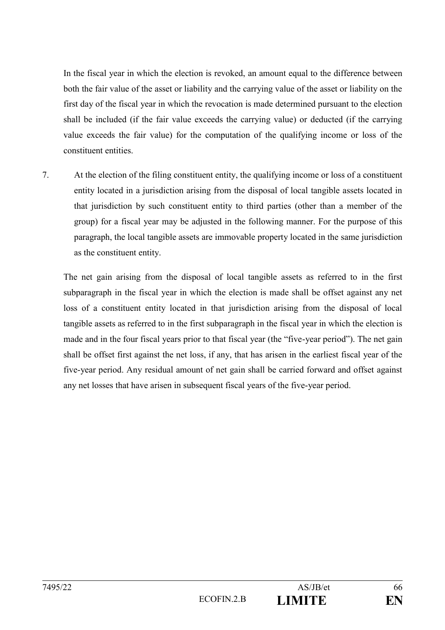In the fiscal year in which the election is revoked, an amount equal to the difference between both the fair value of the asset or liability and the carrying value of the asset or liability on the first day of the fiscal year in which the revocation is made determined pursuant to the election shall be included (if the fair value exceeds the carrying value) or deducted (if the carrying value exceeds the fair value) for the computation of the qualifying income or loss of the constituent entities.

7. At the election of the filing constituent entity, the qualifying income or loss of a constituent entity located in a jurisdiction arising from the disposal of local tangible assets located in that jurisdiction by such constituent entity to third parties (other than a member of the group) for a fiscal year may be adjusted in the following manner. For the purpose of this paragraph, the local tangible assets are immovable property located in the same jurisdiction as the constituent entity.

The net gain arising from the disposal of local tangible assets as referred to in the first subparagraph in the fiscal year in which the election is made shall be offset against any net loss of a constituent entity located in that jurisdiction arising from the disposal of local tangible assets as referred to in the first subparagraph in the fiscal year in which the election is made and in the four fiscal years prior to that fiscal year (the "five-year period"). The net gain shall be offset first against the net loss, if any, that has arisen in the earliest fiscal year of the five-year period. Any residual amount of net gain shall be carried forward and offset against any net losses that have arisen in subsequent fiscal years of the five-year period.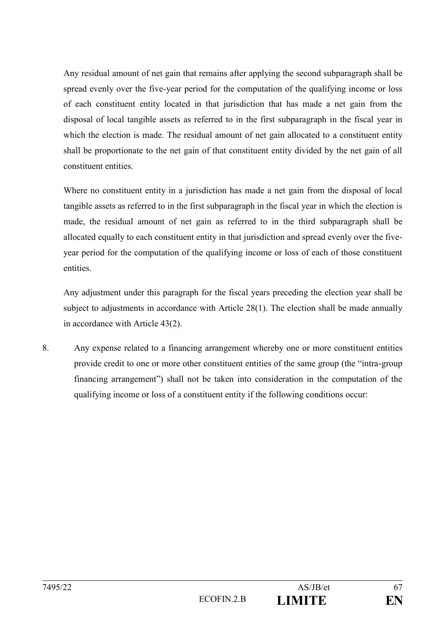Any residual amount of net gain that remains after applying the second subparagraph shall be spread evenly over the five-year period for the computation of the qualifying income or loss of each constituent entity located in that jurisdiction that has made a net gain from the disposal of local tangible assets as referred to in the first subparagraph in the fiscal year in which the election is made. The residual amount of net gain allocated to a constituent entity shall be proportionate to the net gain of that constituent entity divided by the net gain of all constituent entities.

Where no constituent entity in a jurisdiction has made a net gain from the disposal of local tangible assets as referred to in the first subparagraph in the fiscal year in which the election is made, the residual amount of net gain as referred to in the third subparagraph shall be allocated equally to each constituent entity in that jurisdiction and spread evenly over the fiveyear period for the computation of the qualifying income or loss of each of those constituent entities.

Any adjustment under this paragraph for the fiscal years preceding the election year shall be subject to adjustments in accordance with Article 28(1). The election shall be made annually in accordance with Article 43(2).

8. Any expense related to a financing arrangement whereby one or more constituent entities provide credit to one or more other constituent entities of the same group (the "intra-group financing arrangement") shall not be taken into consideration in the computation of the qualifying income or loss of a constituent entity if the following conditions occur: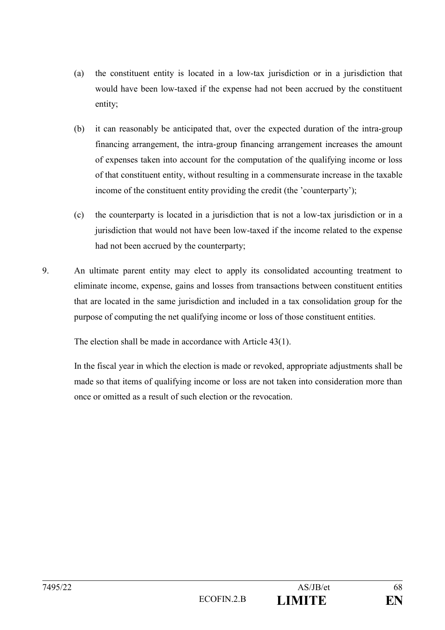- (a) the constituent entity is located in a low-tax jurisdiction or in a jurisdiction that would have been low-taxed if the expense had not been accrued by the constituent entity;
- (b) it can reasonably be anticipated that, over the expected duration of the intra-group financing arrangement, the intra-group financing arrangement increases the amount of expenses taken into account for the computation of the qualifying income or loss of that constituent entity, without resulting in a commensurate increase in the taxable income of the constituent entity providing the credit (the 'counterparty');
- (c) the counterparty is located in a jurisdiction that is not a low-tax jurisdiction or in a jurisdiction that would not have been low-taxed if the income related to the expense had not been accrued by the counterparty;
- 9. An ultimate parent entity may elect to apply its consolidated accounting treatment to eliminate income, expense, gains and losses from transactions between constituent entities that are located in the same jurisdiction and included in a tax consolidation group for the purpose of computing the net qualifying income or loss of those constituent entities.

The election shall be made in accordance with Article 43(1).

In the fiscal year in which the election is made or revoked, appropriate adjustments shall be made so that items of qualifying income or loss are not taken into consideration more than once or omitted as a result of such election or the revocation.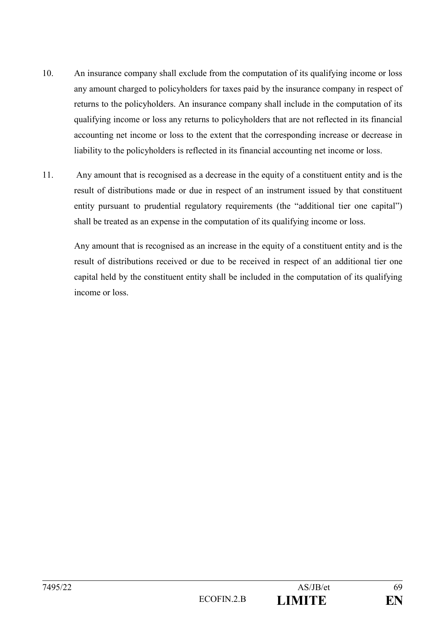- 10. An insurance company shall exclude from the computation of its qualifying income or loss any amount charged to policyholders for taxes paid by the insurance company in respect of returns to the policyholders. An insurance company shall include in the computation of its qualifying income or loss any returns to policyholders that are not reflected in its financial accounting net income or loss to the extent that the corresponding increase or decrease in liability to the policyholders is reflected in its financial accounting net income or loss.
- 11. Any amount that is recognised as a decrease in the equity of a constituent entity and is the result of distributions made or due in respect of an instrument issued by that constituent entity pursuant to prudential regulatory requirements (the "additional tier one capital") shall be treated as an expense in the computation of its qualifying income or loss.

Any amount that is recognised as an increase in the equity of a constituent entity and is the result of distributions received or due to be received in respect of an additional tier one capital held by the constituent entity shall be included in the computation of its qualifying income or loss.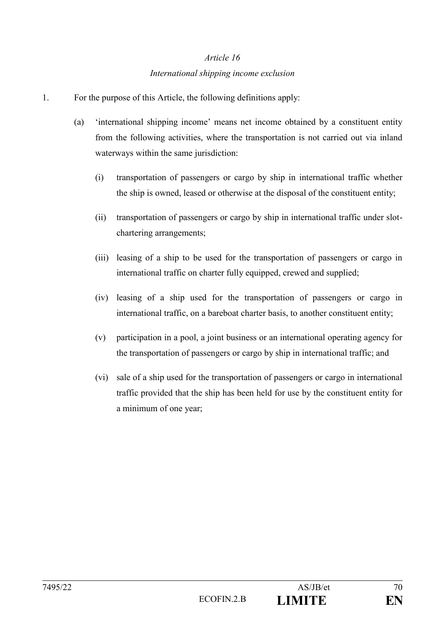# *Article 16 International shipping income exclusion*

- 1. For the purpose of this Article, the following definitions apply:
	- (a) 'international shipping income' means net income obtained by a constituent entity from the following activities, where the transportation is not carried out via inland waterways within the same jurisdiction:
		- (i) transportation of passengers or cargo by ship in international traffic whether the ship is owned, leased or otherwise at the disposal of the constituent entity;
		- (ii) transportation of passengers or cargo by ship in international traffic under slotchartering arrangements;
		- (iii) leasing of a ship to be used for the transportation of passengers or cargo in international traffic on charter fully equipped, crewed and supplied;
		- (iv) leasing of a ship used for the transportation of passengers or cargo in international traffic, on a bareboat charter basis, to another constituent entity;
		- (v) participation in a pool, a joint business or an international operating agency for the transportation of passengers or cargo by ship in international traffic; and
		- (vi) sale of a ship used for the transportation of passengers or cargo in international traffic provided that the ship has been held for use by the constituent entity for a minimum of one year;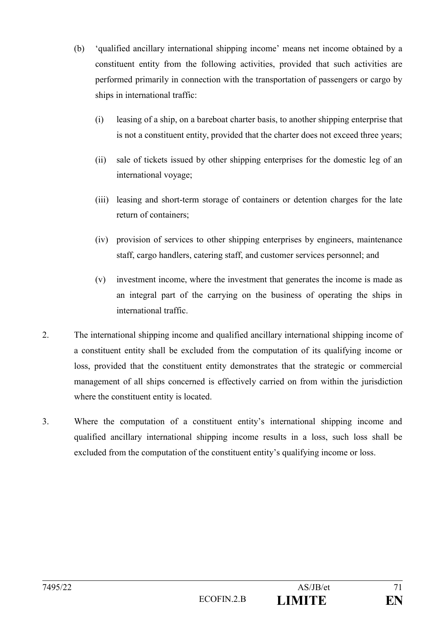- (b) 'qualified ancillary international shipping income' means net income obtained by a constituent entity from the following activities, provided that such activities are performed primarily in connection with the transportation of passengers or cargo by ships in international traffic:
	- (i) leasing of a ship, on a bareboat charter basis, to another shipping enterprise that is not a constituent entity, provided that the charter does not exceed three years;
	- (ii) sale of tickets issued by other shipping enterprises for the domestic leg of an international voyage;
	- (iii) leasing and short-term storage of containers or detention charges for the late return of containers;
	- (iv) provision of services to other shipping enterprises by engineers, maintenance staff, cargo handlers, catering staff, and customer services personnel; and
	- (v) investment income, where the investment that generates the income is made as an integral part of the carrying on the business of operating the ships in international traffic.
- 2. The international shipping income and qualified ancillary international shipping income of a constituent entity shall be excluded from the computation of its qualifying income or loss, provided that the constituent entity demonstrates that the strategic or commercial management of all ships concerned is effectively carried on from within the jurisdiction where the constituent entity is located.
- 3. Where the computation of a constituent entity's international shipping income and qualified ancillary international shipping income results in a loss, such loss shall be excluded from the computation of the constituent entity's qualifying income or loss.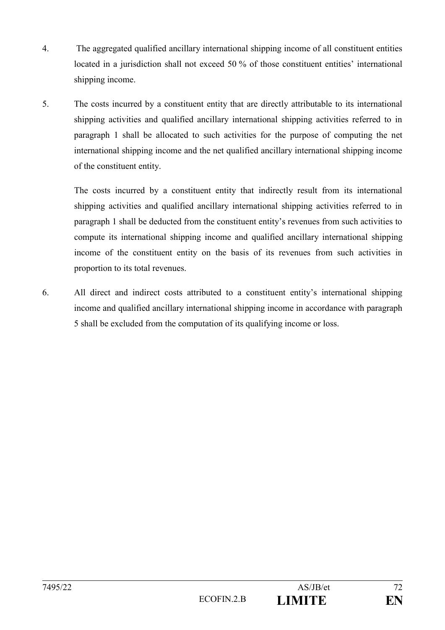- 4. The aggregated qualified ancillary international shipping income of all constituent entities located in a jurisdiction shall not exceed 50 % of those constituent entities' international shipping income.
- 5. The costs incurred by a constituent entity that are directly attributable to its international shipping activities and qualified ancillary international shipping activities referred to in paragraph 1 shall be allocated to such activities for the purpose of computing the net international shipping income and the net qualified ancillary international shipping income of the constituent entity.

The costs incurred by a constituent entity that indirectly result from its international shipping activities and qualified ancillary international shipping activities referred to in paragraph 1 shall be deducted from the constituent entity's revenues from such activities to compute its international shipping income and qualified ancillary international shipping income of the constituent entity on the basis of its revenues from such activities in proportion to its total revenues.

6. All direct and indirect costs attributed to a constituent entity's international shipping income and qualified ancillary international shipping income in accordance with paragraph 5 shall be excluded from the computation of its qualifying income or loss.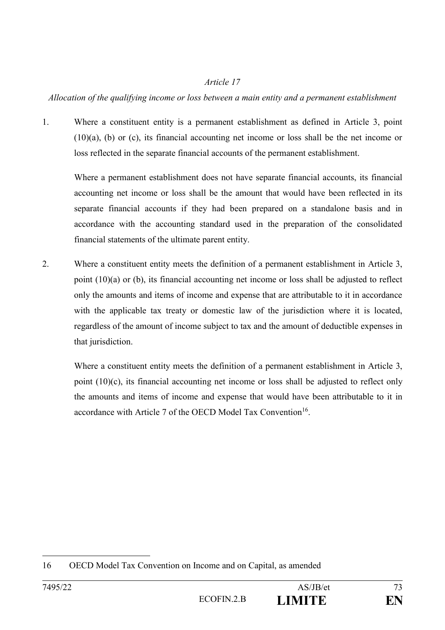## *Allocation of the qualifying income or loss between a main entity and a permanent establishment*

1. Where a constituent entity is a permanent establishment as defined in Article 3, point  $(10)(a)$ , (b) or (c), its financial accounting net income or loss shall be the net income or loss reflected in the separate financial accounts of the permanent establishment.

Where a permanent establishment does not have separate financial accounts, its financial accounting net income or loss shall be the amount that would have been reflected in its separate financial accounts if they had been prepared on a standalone basis and in accordance with the accounting standard used in the preparation of the consolidated financial statements of the ultimate parent entity.

2. Where a constituent entity meets the definition of a permanent establishment in Article 3, point (10)(a) or (b), its financial accounting net income or loss shall be adjusted to reflect only the amounts and items of income and expense that are attributable to it in accordance with the applicable tax treaty or domestic law of the jurisdiction where it is located, regardless of the amount of income subject to tax and the amount of deductible expenses in that jurisdiction.

Where a constituent entity meets the definition of a permanent establishment in Article 3, point (10)(c), its financial accounting net income or loss shall be adjusted to reflect only the amounts and items of income and expense that would have been attributable to it in accordance with Article 7 of the OECD Model Tax Convention<sup>16</sup>.

<sup>&</sup>lt;u>.</u> 16 OECD Model Tax Convention on Income and on Capital, as amended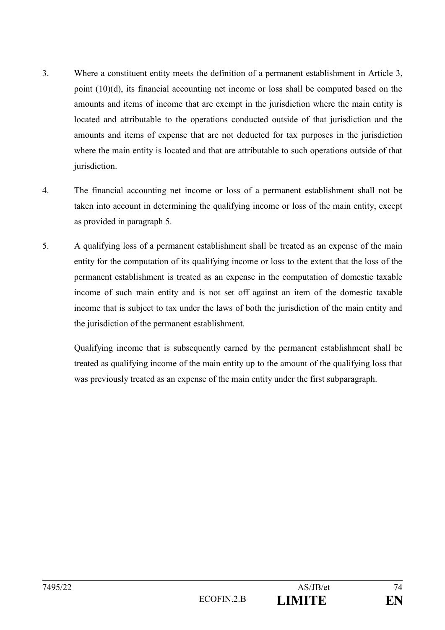- 3. Where a constituent entity meets the definition of a permanent establishment in Article 3, point (10)(d), its financial accounting net income or loss shall be computed based on the amounts and items of income that are exempt in the jurisdiction where the main entity is located and attributable to the operations conducted outside of that jurisdiction and the amounts and items of expense that are not deducted for tax purposes in the jurisdiction where the main entity is located and that are attributable to such operations outside of that jurisdiction.
- 4. The financial accounting net income or loss of a permanent establishment shall not be taken into account in determining the qualifying income or loss of the main entity, except as provided in paragraph 5.
- 5. A qualifying loss of a permanent establishment shall be treated as an expense of the main entity for the computation of its qualifying income or loss to the extent that the loss of the permanent establishment is treated as an expense in the computation of domestic taxable income of such main entity and is not set off against an item of the domestic taxable income that is subject to tax under the laws of both the jurisdiction of the main entity and the jurisdiction of the permanent establishment.

Qualifying income that is subsequently earned by the permanent establishment shall be treated as qualifying income of the main entity up to the amount of the qualifying loss that was previously treated as an expense of the main entity under the first subparagraph.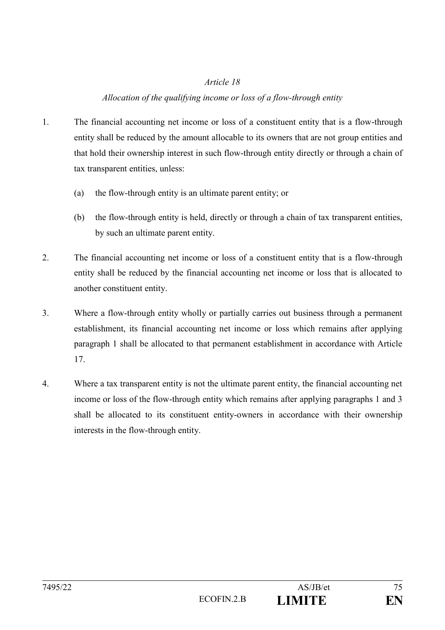## *Allocation of the qualifying income or loss of a flow-through entity*

- 1. The financial accounting net income or loss of a constituent entity that is a flow-through entity shall be reduced by the amount allocable to its owners that are not group entities and that hold their ownership interest in such flow-through entity directly or through a chain of tax transparent entities, unless:
	- (a) the flow-through entity is an ultimate parent entity; or
	- (b) the flow-through entity is held, directly or through a chain of tax transparent entities, by such an ultimate parent entity.
- 2. The financial accounting net income or loss of a constituent entity that is a flow-through entity shall be reduced by the financial accounting net income or loss that is allocated to another constituent entity.
- 3. Where a flow-through entity wholly or partially carries out business through a permanent establishment, its financial accounting net income or loss which remains after applying paragraph 1 shall be allocated to that permanent establishment in accordance with Article 17.
- 4. Where a tax transparent entity is not the ultimate parent entity, the financial accounting net income or loss of the flow-through entity which remains after applying paragraphs 1 and 3 shall be allocated to its constituent entity-owners in accordance with their ownership interests in the flow-through entity.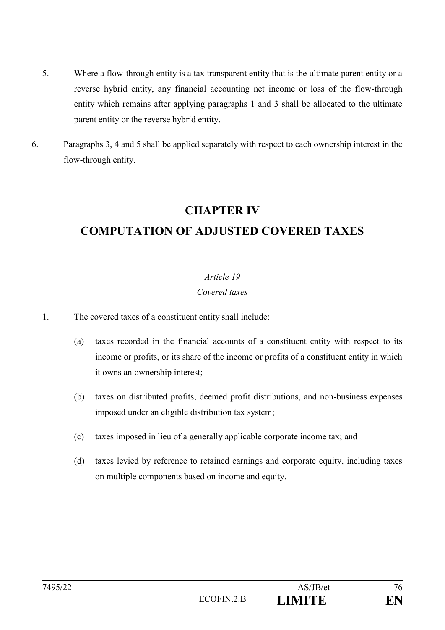- 5. Where a flow-through entity is a tax transparent entity that is the ultimate parent entity or a reverse hybrid entity, any financial accounting net income or loss of the flow-through entity which remains after applying paragraphs 1 and 3 shall be allocated to the ultimate parent entity or the reverse hybrid entity.
- 6. Paragraphs 3, 4 and 5 shall be applied separately with respect to each ownership interest in the flow-through entity.

## **CHAPTER IV**

## **COMPUTATION OF ADJUSTED COVERED TAXES**

## *Article 19*

## *Covered taxes*

- 1. The covered taxes of a constituent entity shall include:
	- (a) taxes recorded in the financial accounts of a constituent entity with respect to its income or profits, or its share of the income or profits of a constituent entity in which it owns an ownership interest;
	- (b) taxes on distributed profits, deemed profit distributions, and non-business expenses imposed under an eligible distribution tax system;
	- (c) taxes imposed in lieu of a generally applicable corporate income tax; and
	- (d) taxes levied by reference to retained earnings and corporate equity, including taxes on multiple components based on income and equity.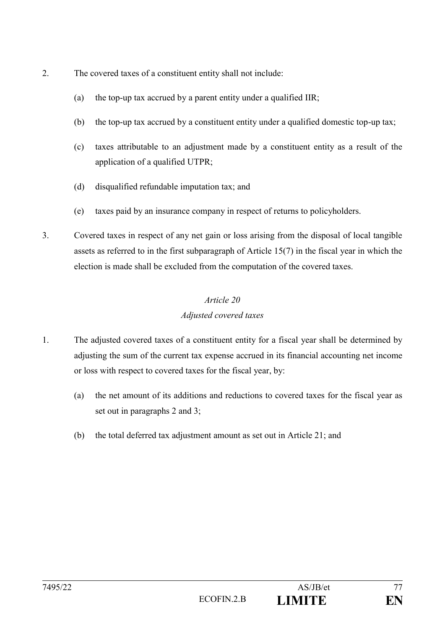- 2. The covered taxes of a constituent entity shall not include:
	- (a) the top-up tax accrued by a parent entity under a qualified IIR;
	- (b) the top-up tax accrued by a constituent entity under a qualified domestic top-up tax;
	- (c) taxes attributable to an adjustment made by a constituent entity as a result of the application of a qualified UTPR;
	- (d) disqualified refundable imputation tax; and
	- (e) taxes paid by an insurance company in respect of returns to policyholders.
- 3. Covered taxes in respect of any net gain or loss arising from the disposal of local tangible assets as referred to in the first subparagraph of Article 15(7) in the fiscal year in which the election is made shall be excluded from the computation of the covered taxes.

## *Article 20 Adjusted covered taxes*

- 1. The adjusted covered taxes of a constituent entity for a fiscal year shall be determined by adjusting the sum of the current tax expense accrued in its financial accounting net income or loss with respect to covered taxes for the fiscal year, by:
	- (a) the net amount of its additions and reductions to covered taxes for the fiscal year as set out in paragraphs 2 and 3;
	- (b) the total deferred tax adjustment amount as set out in Article 21; and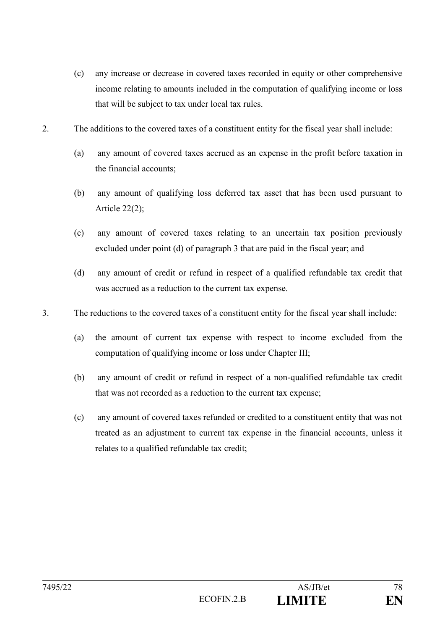- (c) any increase or decrease in covered taxes recorded in equity or other comprehensive income relating to amounts included in the computation of qualifying income or loss that will be subject to tax under local tax rules.
- 2. The additions to the covered taxes of a constituent entity for the fiscal year shall include:
	- (a) any amount of covered taxes accrued as an expense in the profit before taxation in the financial accounts;
	- (b) any amount of qualifying loss deferred tax asset that has been used pursuant to Article  $22(2)$ ;
	- (c) any amount of covered taxes relating to an uncertain tax position previously excluded under point (d) of paragraph 3 that are paid in the fiscal year; and
	- (d) any amount of credit or refund in respect of a qualified refundable tax credit that was accrued as a reduction to the current tax expense.
- 3. The reductions to the covered taxes of a constituent entity for the fiscal year shall include:
	- (a) the amount of current tax expense with respect to income excluded from the computation of qualifying income or loss under Chapter III;
	- (b) any amount of credit or refund in respect of a non-qualified refundable tax credit that was not recorded as a reduction to the current tax expense;
	- (c) any amount of covered taxes refunded or credited to a constituent entity that was not treated as an adjustment to current tax expense in the financial accounts, unless it relates to a qualified refundable tax credit;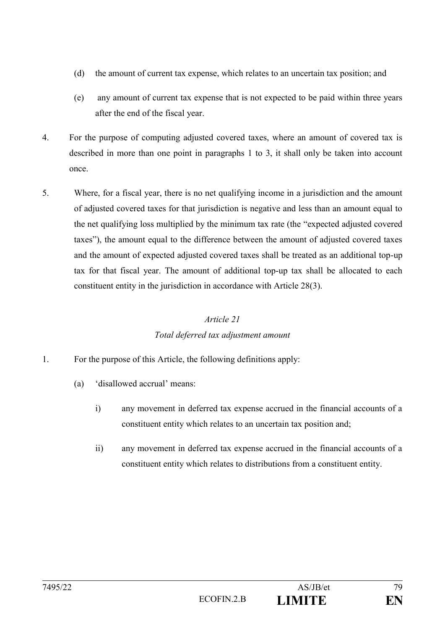- (d) the amount of current tax expense, which relates to an uncertain tax position; and
- (e) any amount of current tax expense that is not expected to be paid within three years after the end of the fiscal year.
- 4. For the purpose of computing adjusted covered taxes, where an amount of covered tax is described in more than one point in paragraphs 1 to 3, it shall only be taken into account once.
- 5. Where, for a fiscal year, there is no net qualifying income in a jurisdiction and the amount of adjusted covered taxes for that jurisdiction is negative and less than an amount equal to the net qualifying loss multiplied by the minimum tax rate (the "expected adjusted covered taxes"), the amount equal to the difference between the amount of adjusted covered taxes and the amount of expected adjusted covered taxes shall be treated as an additional top-up tax for that fiscal year. The amount of additional top-up tax shall be allocated to each constituent entity in the jurisdiction in accordance with Article 28(3).

## *Article 21 Total deferred tax adjustment amount*

- 1. For the purpose of this Article, the following definitions apply:
	- (a) 'disallowed accrual' means:
		- i) any movement in deferred tax expense accrued in the financial accounts of a constituent entity which relates to an uncertain tax position and;
		- ii) any movement in deferred tax expense accrued in the financial accounts of a constituent entity which relates to distributions from a constituent entity.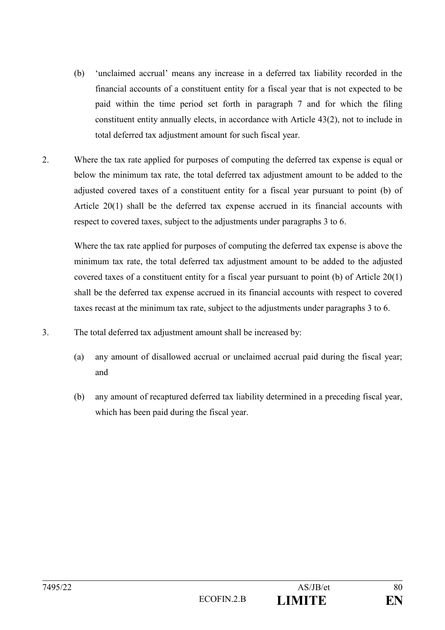- (b) 'unclaimed accrual' means any increase in a deferred tax liability recorded in the financial accounts of a constituent entity for a fiscal year that is not expected to be paid within the time period set forth in paragraph 7 and for which the filing constituent entity annually elects, in accordance with Article 43(2), not to include in total deferred tax adjustment amount for such fiscal year.
- 2. Where the tax rate applied for purposes of computing the deferred tax expense is equal or below the minimum tax rate, the total deferred tax adjustment amount to be added to the adjusted covered taxes of a constituent entity for a fiscal year pursuant to point (b) of Article 20(1) shall be the deferred tax expense accrued in its financial accounts with respect to covered taxes, subject to the adjustments under paragraphs 3 to 6.

Where the tax rate applied for purposes of computing the deferred tax expense is above the minimum tax rate, the total deferred tax adjustment amount to be added to the adjusted covered taxes of a constituent entity for a fiscal year pursuant to point (b) of Article 20(1) shall be the deferred tax expense accrued in its financial accounts with respect to covered taxes recast at the minimum tax rate, subject to the adjustments under paragraphs 3 to 6.

- 3. The total deferred tax adjustment amount shall be increased by:
	- (a) any amount of disallowed accrual or unclaimed accrual paid during the fiscal year; and
	- (b) any amount of recaptured deferred tax liability determined in a preceding fiscal year, which has been paid during the fiscal year.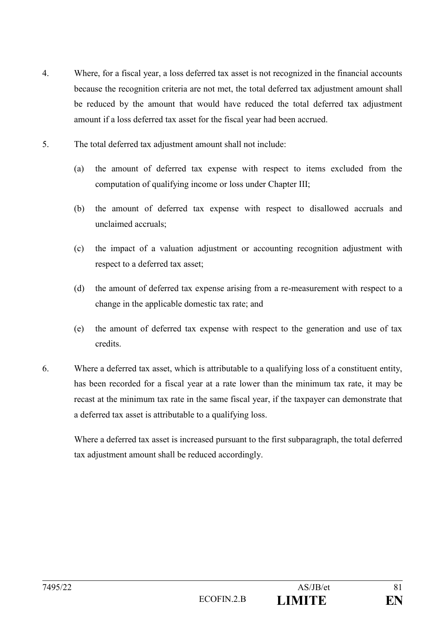- 4. Where, for a fiscal year, a loss deferred tax asset is not recognized in the financial accounts because the recognition criteria are not met, the total deferred tax adjustment amount shall be reduced by the amount that would have reduced the total deferred tax adjustment amount if a loss deferred tax asset for the fiscal year had been accrued.
- 5. The total deferred tax adjustment amount shall not include:
	- (a) the amount of deferred tax expense with respect to items excluded from the computation of qualifying income or loss under Chapter III;
	- (b) the amount of deferred tax expense with respect to disallowed accruals and unclaimed accruals;
	- (c) the impact of a valuation adjustment or accounting recognition adjustment with respect to a deferred tax asset;
	- (d) the amount of deferred tax expense arising from a re-measurement with respect to a change in the applicable domestic tax rate; and
	- (e) the amount of deferred tax expense with respect to the generation and use of tax credits.
- 6. Where a deferred tax asset, which is attributable to a qualifying loss of a constituent entity, has been recorded for a fiscal year at a rate lower than the minimum tax rate, it may be recast at the minimum tax rate in the same fiscal year, if the taxpayer can demonstrate that a deferred tax asset is attributable to a qualifying loss.

Where a deferred tax asset is increased pursuant to the first subparagraph, the total deferred tax adjustment amount shall be reduced accordingly.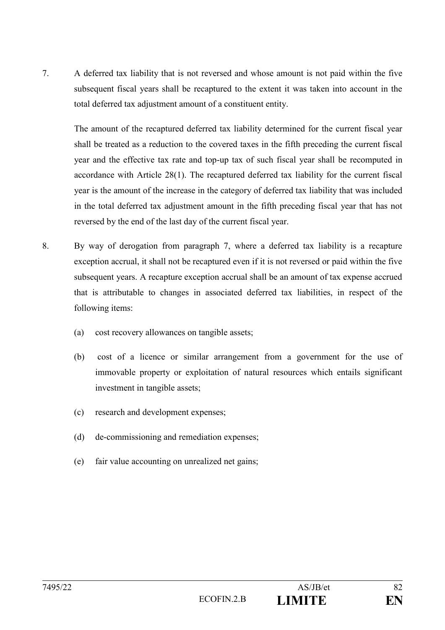7. A deferred tax liability that is not reversed and whose amount is not paid within the five subsequent fiscal years shall be recaptured to the extent it was taken into account in the total deferred tax adjustment amount of a constituent entity.

The amount of the recaptured deferred tax liability determined for the current fiscal year shall be treated as a reduction to the covered taxes in the fifth preceding the current fiscal year and the effective tax rate and top-up tax of such fiscal year shall be recomputed in accordance with Article 28(1). The recaptured deferred tax liability for the current fiscal year is the amount of the increase in the category of deferred tax liability that was included in the total deferred tax adjustment amount in the fifth preceding fiscal year that has not reversed by the end of the last day of the current fiscal year.

- 8. By way of derogation from paragraph 7, where a deferred tax liability is a recapture exception accrual, it shall not be recaptured even if it is not reversed or paid within the five subsequent years. A recapture exception accrual shall be an amount of tax expense accrued that is attributable to changes in associated deferred tax liabilities, in respect of the following items:
	- (a) cost recovery allowances on tangible assets;
	- (b) cost of a licence or similar arrangement from a government for the use of immovable property or exploitation of natural resources which entails significant investment in tangible assets;
	- (c) research and development expenses;
	- (d) de-commissioning and remediation expenses;
	- (e) fair value accounting on unrealized net gains;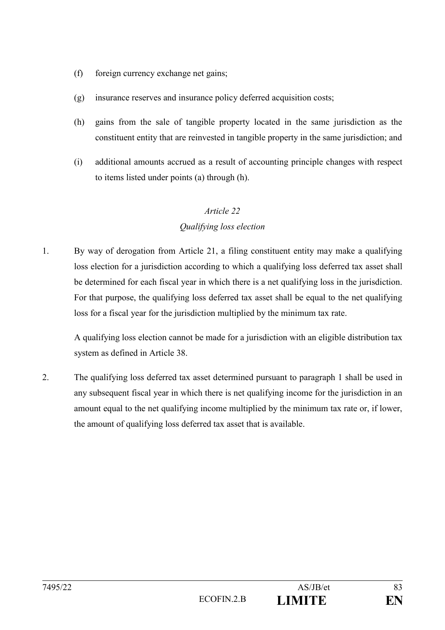- (f) foreign currency exchange net gains;
- (g) insurance reserves and insurance policy deferred acquisition costs;
- (h) gains from the sale of tangible property located in the same jurisdiction as the constituent entity that are reinvested in tangible property in the same jurisdiction; and
- (i) additional amounts accrued as a result of accounting principle changes with respect to items listed under points (a) through (h).

## *Qualifying loss election*

1. By way of derogation from Article 21, a filing constituent entity may make a qualifying loss election for a jurisdiction according to which a qualifying loss deferred tax asset shall be determined for each fiscal year in which there is a net qualifying loss in the jurisdiction. For that purpose, the qualifying loss deferred tax asset shall be equal to the net qualifying loss for a fiscal year for the jurisdiction multiplied by the minimum tax rate.

A qualifying loss election cannot be made for a jurisdiction with an eligible distribution tax system as defined in Article 38.

2. The qualifying loss deferred tax asset determined pursuant to paragraph 1 shall be used in any subsequent fiscal year in which there is net qualifying income for the jurisdiction in an amount equal to the net qualifying income multiplied by the minimum tax rate or, if lower, the amount of qualifying loss deferred tax asset that is available.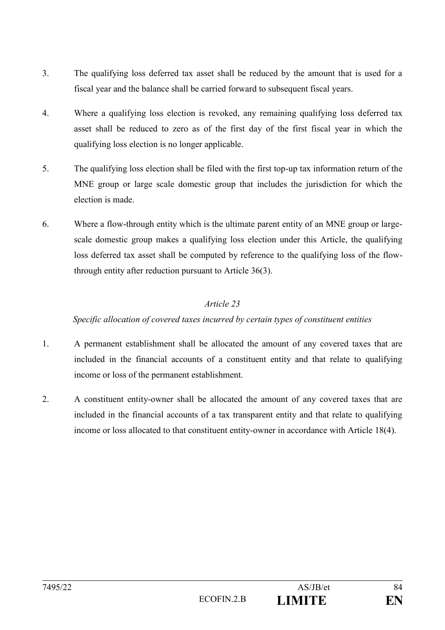- 3. The qualifying loss deferred tax asset shall be reduced by the amount that is used for a fiscal year and the balance shall be carried forward to subsequent fiscal years.
- 4. Where a qualifying loss election is revoked, any remaining qualifying loss deferred tax asset shall be reduced to zero as of the first day of the first fiscal year in which the qualifying loss election is no longer applicable.
- 5. The qualifying loss election shall be filed with the first top-up tax information return of the MNE group or large scale domestic group that includes the jurisdiction for which the election is made.
- 6. Where a flow-through entity which is the ultimate parent entity of an MNE group or largescale domestic group makes a qualifying loss election under this Article, the qualifying loss deferred tax asset shall be computed by reference to the qualifying loss of the flowthrough entity after reduction pursuant to Article 36(3).

## *Specific allocation of covered taxes incurred by certain types of constituent entities*

- 1. A permanent establishment shall be allocated the amount of any covered taxes that are included in the financial accounts of a constituent entity and that relate to qualifying income or loss of the permanent establishment.
- 2. A constituent entity-owner shall be allocated the amount of any covered taxes that are included in the financial accounts of a tax transparent entity and that relate to qualifying income or loss allocated to that constituent entity-owner in accordance with Article 18(4).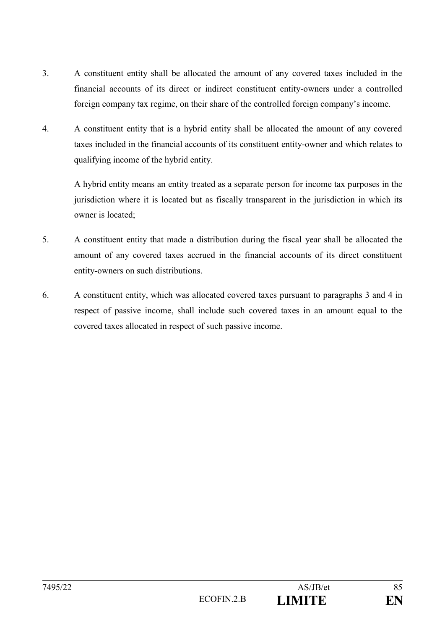- 3. A constituent entity shall be allocated the amount of any covered taxes included in the financial accounts of its direct or indirect constituent entity-owners under a controlled foreign company tax regime, on their share of the controlled foreign company's income.
- 4. A constituent entity that is a hybrid entity shall be allocated the amount of any covered taxes included in the financial accounts of its constituent entity-owner and which relates to qualifying income of the hybrid entity.

A hybrid entity means an entity treated as a separate person for income tax purposes in the jurisdiction where it is located but as fiscally transparent in the jurisdiction in which its owner is located;

- 5. A constituent entity that made a distribution during the fiscal year shall be allocated the amount of any covered taxes accrued in the financial accounts of its direct constituent entity-owners on such distributions.
- 6. A constituent entity, which was allocated covered taxes pursuant to paragraphs 3 and 4 in respect of passive income, shall include such covered taxes in an amount equal to the covered taxes allocated in respect of such passive income.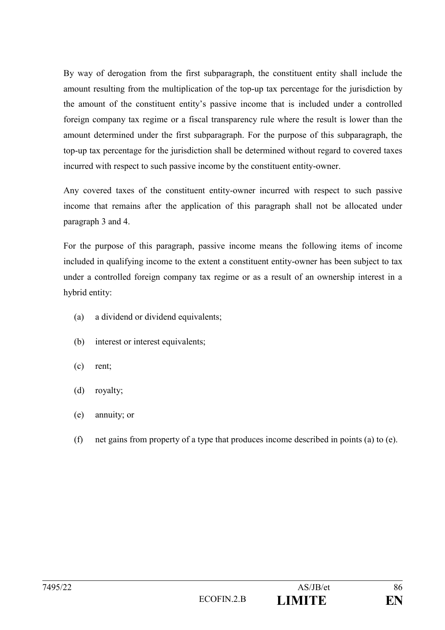By way of derogation from the first subparagraph, the constituent entity shall include the amount resulting from the multiplication of the top-up tax percentage for the jurisdiction by the amount of the constituent entity's passive income that is included under a controlled foreign company tax regime or a fiscal transparency rule where the result is lower than the amount determined under the first subparagraph. For the purpose of this subparagraph, the top-up tax percentage for the jurisdiction shall be determined without regard to covered taxes incurred with respect to such passive income by the constituent entity-owner.

Any covered taxes of the constituent entity-owner incurred with respect to such passive income that remains after the application of this paragraph shall not be allocated under paragraph 3 and 4.

For the purpose of this paragraph, passive income means the following items of income included in qualifying income to the extent a constituent entity-owner has been subject to tax under a controlled foreign company tax regime or as a result of an ownership interest in a hybrid entity:

- (a) a dividend or dividend equivalents;
- (b) interest or interest equivalents;
- (c) rent;
- (d) royalty;
- (e) annuity; or
- (f) net gains from property of a type that produces income described in points (a) to (e).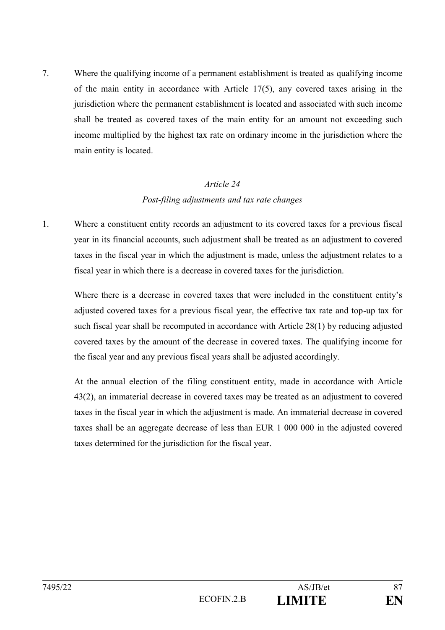7. Where the qualifying income of a permanent establishment is treated as qualifying income of the main entity in accordance with Article 17(5), any covered taxes arising in the jurisdiction where the permanent establishment is located and associated with such income shall be treated as covered taxes of the main entity for an amount not exceeding such income multiplied by the highest tax rate on ordinary income in the jurisdiction where the main entity is located.

## *Article 24 Post-filing adjustments and tax rate changes*

1. Where a constituent entity records an adjustment to its covered taxes for a previous fiscal year in its financial accounts, such adjustment shall be treated as an adjustment to covered taxes in the fiscal year in which the adjustment is made, unless the adjustment relates to a fiscal year in which there is a decrease in covered taxes for the jurisdiction.

Where there is a decrease in covered taxes that were included in the constituent entity's adjusted covered taxes for a previous fiscal year, the effective tax rate and top-up tax for such fiscal year shall be recomputed in accordance with Article 28(1) by reducing adjusted covered taxes by the amount of the decrease in covered taxes. The qualifying income for the fiscal year and any previous fiscal years shall be adjusted accordingly.

At the annual election of the filing constituent entity, made in accordance with Article 43(2), an immaterial decrease in covered taxes may be treated as an adjustment to covered taxes in the fiscal year in which the adjustment is made. An immaterial decrease in covered taxes shall be an aggregate decrease of less than EUR 1 000 000 in the adjusted covered taxes determined for the jurisdiction for the fiscal year.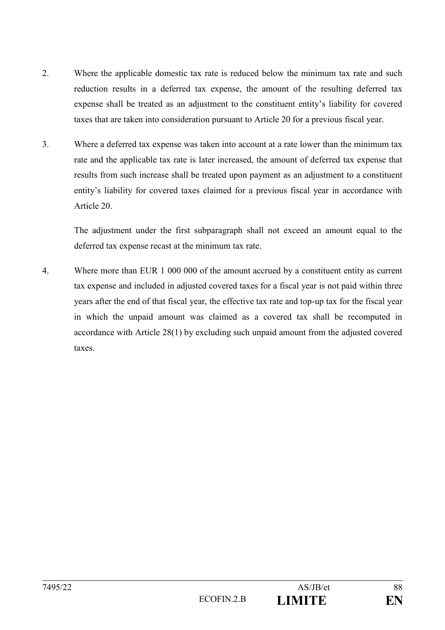- 2. Where the applicable domestic tax rate is reduced below the minimum tax rate and such reduction results in a deferred tax expense, the amount of the resulting deferred tax expense shall be treated as an adjustment to the constituent entity's liability for covered taxes that are taken into consideration pursuant to Article 20 for a previous fiscal year.
- 3. Where a deferred tax expense was taken into account at a rate lower than the minimum tax rate and the applicable tax rate is later increased, the amount of deferred tax expense that results from such increase shall be treated upon payment as an adjustment to a constituent entity's liability for covered taxes claimed for a previous fiscal year in accordance with Article 20.

The adjustment under the first subparagraph shall not exceed an amount equal to the deferred tax expense recast at the minimum tax rate.

4. Where more than EUR 1 000 000 of the amount accrued by a constituent entity as current tax expense and included in adjusted covered taxes for a fiscal year is not paid within three years after the end of that fiscal year, the effective tax rate and top-up tax for the fiscal year in which the unpaid amount was claimed as a covered tax shall be recomputed in accordance with Article 28(1) by excluding such unpaid amount from the adjusted covered taxes.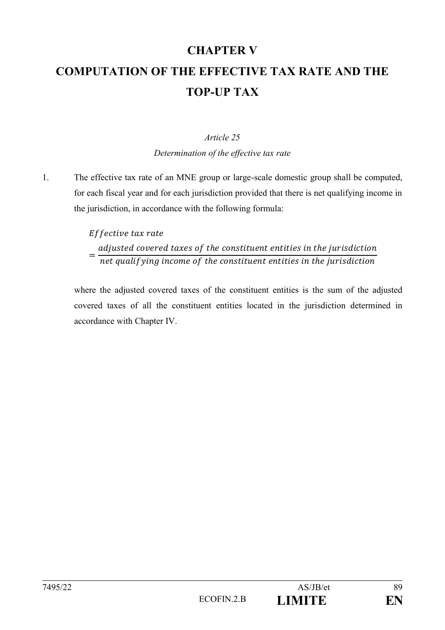# **CHAPTER V COMPUTATION OF THE EFFECTIVE TAX RATE AND THE TOP-UP TAX**

## *Article 25*

*Determination of the effective tax rate*

1. The effective tax rate of an MNE group or large-scale domestic group shall be computed, for each fiscal year and for each jurisdiction provided that there is net qualifying income in the jurisdiction, in accordance with the following formula:

#### Effective tax rate = adjusted covered taxes of the constituent entities in the jurisdiction net qualif ying income of the constituent entities in the jurisdiction

where the adjusted covered taxes of the constituent entities is the sum of the adjusted covered taxes of all the constituent entities located in the jurisdiction determined in accordance with Chapter IV.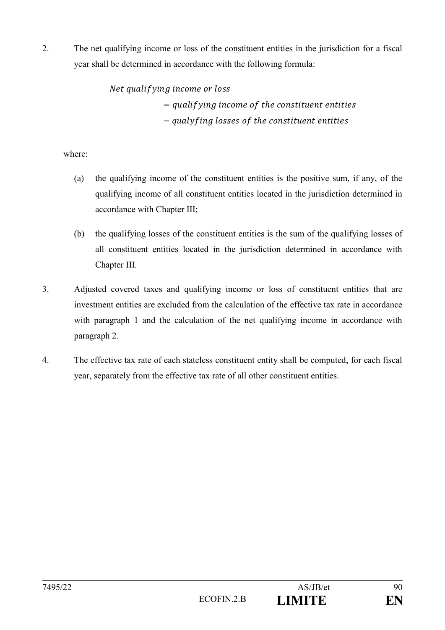2. The net qualifying income or loss of the constituent entities in the jurisdiction for a fiscal year shall be determined in accordance with the following formula:

> Net qualifying income or loss  $=$  qualifying income of the constituent entities − qualyfing losses of the constituent entities

where:

- (a) the qualifying income of the constituent entities is the positive sum, if any, of the qualifying income of all constituent entities located in the jurisdiction determined in accordance with Chapter III;
- (b) the qualifying losses of the constituent entities is the sum of the qualifying losses of all constituent entities located in the jurisdiction determined in accordance with Chapter III.
- 3. Adjusted covered taxes and qualifying income or loss of constituent entities that are investment entities are excluded from the calculation of the effective tax rate in accordance with paragraph 1 and the calculation of the net qualifying income in accordance with paragraph 2.
- 4. The effective tax rate of each stateless constituent entity shall be computed, for each fiscal year, separately from the effective tax rate of all other constituent entities.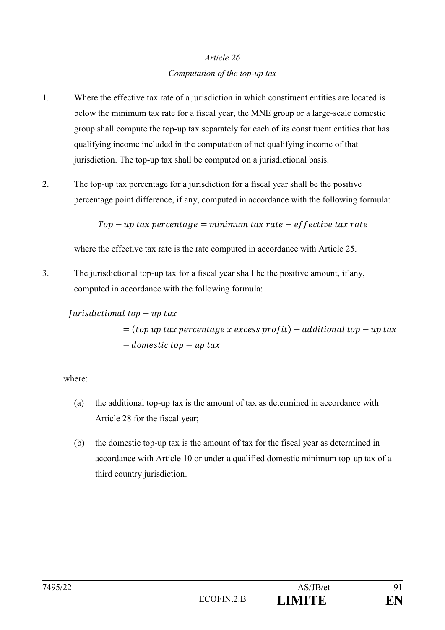## *Article 26 Computation of the top-up tax*

- 1. Where the effective tax rate of a jurisdiction in which constituent entities are located is below the minimum tax rate for a fiscal year, the MNE group or a large-scale domestic group shall compute the top-up tax separately for each of its constituent entities that has qualifying income included in the computation of net qualifying income of that jurisdiction. The top-up tax shall be computed on a jurisdictional basis.
- 2. The top-up tax percentage for a jurisdiction for a fiscal year shall be the positive percentage point difference, if any, computed in accordance with the following formula:

 $Top-up$  tax percentage = minimum tax rate – effective tax rate

where the effective tax rate is the rate computed in accordance with Article 25.

3. The jurisdictional top-up tax for a fiscal year shall be the positive amount, if any, computed in accordance with the following formula:

 $|urisdictional$  top  $-$  up tax

 $=$  (top up tax percentage x excess profit) + additional top  $-$  up tax  $-\textit{domestic top} - \textit{up tax}$ 

where:

- (a) the additional top-up tax is the amount of tax as determined in accordance with Article 28 for the fiscal year;
- (b) the domestic top-up tax is the amount of tax for the fiscal year as determined in accordance with Article 10 or under a qualified domestic minimum top-up tax of a third country jurisdiction.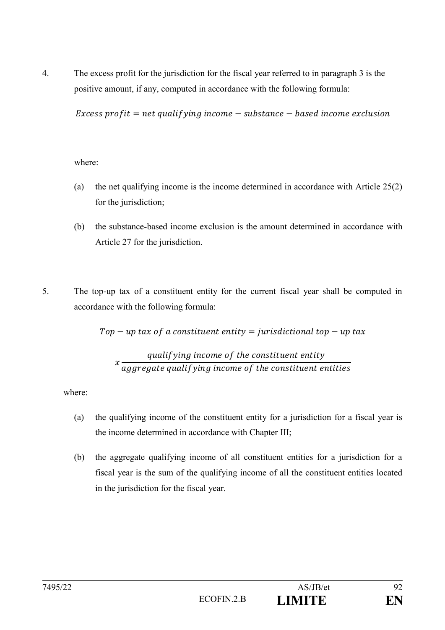4. The excess profit for the jurisdiction for the fiscal year referred to in paragraph 3 is the positive amount, if any, computed in accordance with the following formula:

Excess profit = net qualifying income  $-$  substance  $-$  based income exclusion

where:

- (a) the net qualifying income is the income determined in accordance with Article 25(2) for the jurisdiction;
- (b) the substance-based income exclusion is the amount determined in accordance with Article 27 for the jurisdiction.
- 5. The top-up tax of a constituent entity for the current fiscal year shall be computed in accordance with the following formula:

 $Top-up$  tax of a constituent entity = jurisdictional top  $- up$  tax

*x* 
$$
qualitying
$$
 *income of the constituent entity aggregate qualifying income of the constituent entities*

where:

- (a) the qualifying income of the constituent entity for a jurisdiction for a fiscal year is the income determined in accordance with Chapter III;
- (b) the aggregate qualifying income of all constituent entities for a jurisdiction for a fiscal year is the sum of the qualifying income of all the constituent entities located in the jurisdiction for the fiscal year.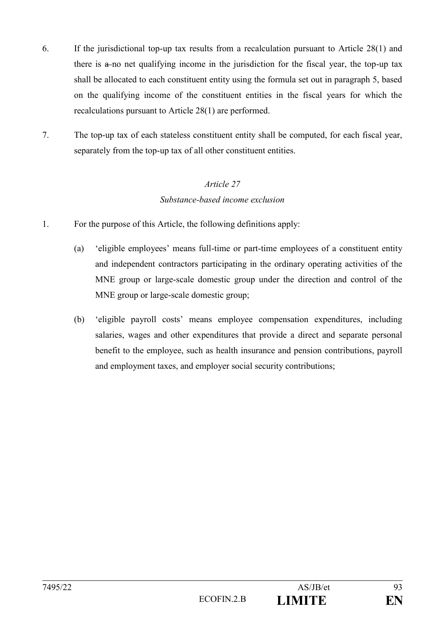- 6. If the jurisdictional top-up tax results from a recalculation pursuant to Article 28(1) and there is a no net qualifying income in the jurisdiction for the fiscal year, the top-up tax shall be allocated to each constituent entity using the formula set out in paragraph 5, based on the qualifying income of the constituent entities in the fiscal years for which the recalculations pursuant to Article 28(1) are performed.
- 7. The top-up tax of each stateless constituent entity shall be computed, for each fiscal year, separately from the top-up tax of all other constituent entities.

## *Article 27 Substance-based income exclusion*

- 1. For the purpose of this Article, the following definitions apply:
	- (a) 'eligible employees' means full-time or part-time employees of a constituent entity and independent contractors participating in the ordinary operating activities of the MNE group or large-scale domestic group under the direction and control of the MNE group or large-scale domestic group;
	- (b) 'eligible payroll costs' means employee compensation expenditures, including salaries, wages and other expenditures that provide a direct and separate personal benefit to the employee, such as health insurance and pension contributions, payroll and employment taxes, and employer social security contributions;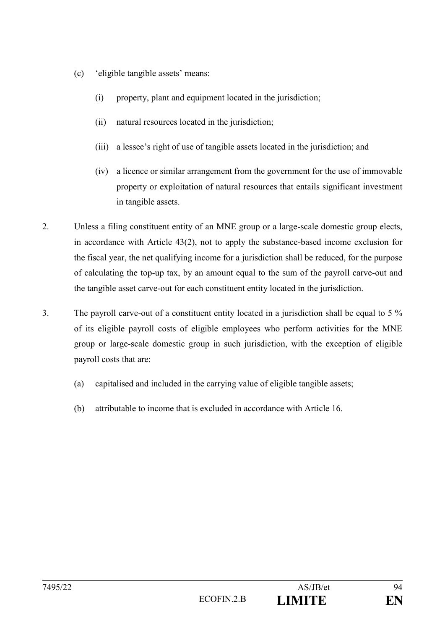- (c) 'eligible tangible assets' means:
	- (i) property, plant and equipment located in the jurisdiction;
	- (ii) natural resources located in the jurisdiction;
	- (iii) a lessee's right of use of tangible assets located in the jurisdiction; and
	- (iv) a licence or similar arrangement from the government for the use of immovable property or exploitation of natural resources that entails significant investment in tangible assets.
- 2. Unless a filing constituent entity of an MNE group or a large-scale domestic group elects, in accordance with Article 43(2), not to apply the substance-based income exclusion for the fiscal year, the net qualifying income for a jurisdiction shall be reduced, for the purpose of calculating the top-up tax, by an amount equal to the sum of the payroll carve-out and the tangible asset carve-out for each constituent entity located in the jurisdiction.
- 3. The payroll carve-out of a constituent entity located in a jurisdiction shall be equal to 5 % of its eligible payroll costs of eligible employees who perform activities for the MNE group or large-scale domestic group in such jurisdiction, with the exception of eligible payroll costs that are:
	- (a) capitalised and included in the carrying value of eligible tangible assets;
	- (b) attributable to income that is excluded in accordance with Article 16.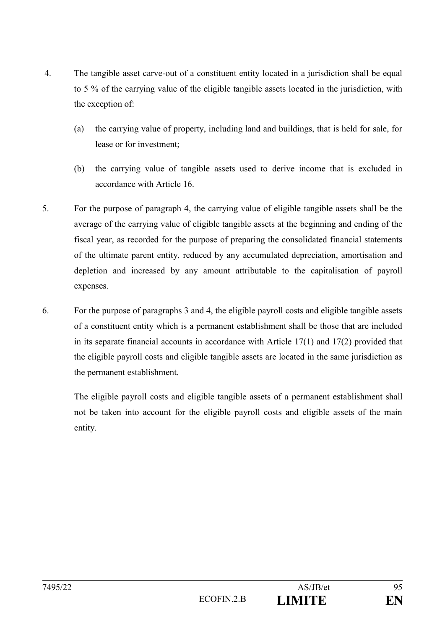- 4. The tangible asset carve-out of a constituent entity located in a jurisdiction shall be equal to 5 % of the carrying value of the eligible tangible assets located in the jurisdiction, with the exception of:
	- (a) the carrying value of property, including land and buildings, that is held for sale, for lease or for investment;
	- (b) the carrying value of tangible assets used to derive income that is excluded in accordance with Article 16.
- 5. For the purpose of paragraph 4, the carrying value of eligible tangible assets shall be the average of the carrying value of eligible tangible assets at the beginning and ending of the fiscal year, as recorded for the purpose of preparing the consolidated financial statements of the ultimate parent entity, reduced by any accumulated depreciation, amortisation and depletion and increased by any amount attributable to the capitalisation of payroll expenses.
- 6. For the purpose of paragraphs 3 and 4, the eligible payroll costs and eligible tangible assets of a constituent entity which is a permanent establishment shall be those that are included in its separate financial accounts in accordance with Article 17(1) and 17(2) provided that the eligible payroll costs and eligible tangible assets are located in the same jurisdiction as the permanent establishment.

The eligible payroll costs and eligible tangible assets of a permanent establishment shall not be taken into account for the eligible payroll costs and eligible assets of the main entity.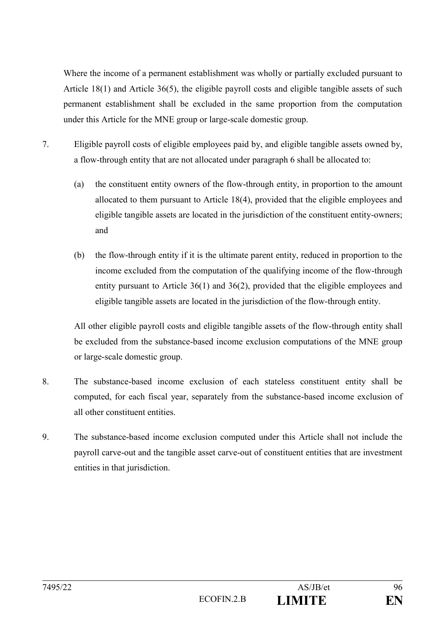Where the income of a permanent establishment was wholly or partially excluded pursuant to Article 18(1) and Article 36(5), the eligible payroll costs and eligible tangible assets of such permanent establishment shall be excluded in the same proportion from the computation under this Article for the MNE group or large-scale domestic group.

- 7. Eligible payroll costs of eligible employees paid by, and eligible tangible assets owned by, a flow-through entity that are not allocated under paragraph 6 shall be allocated to:
	- (a) the constituent entity owners of the flow-through entity, in proportion to the amount allocated to them pursuant to Article 18(4), provided that the eligible employees and eligible tangible assets are located in the jurisdiction of the constituent entity-owners; and
	- (b) the flow-through entity if it is the ultimate parent entity, reduced in proportion to the income excluded from the computation of the qualifying income of the flow-through entity pursuant to Article 36(1) and 36(2), provided that the eligible employees and eligible tangible assets are located in the jurisdiction of the flow-through entity.

All other eligible payroll costs and eligible tangible assets of the flow-through entity shall be excluded from the substance-based income exclusion computations of the MNE group or large-scale domestic group.

- 8. The substance-based income exclusion of each stateless constituent entity shall be computed, for each fiscal year, separately from the substance-based income exclusion of all other constituent entities.
- 9. The substance-based income exclusion computed under this Article shall not include the payroll carve-out and the tangible asset carve-out of constituent entities that are investment entities in that jurisdiction.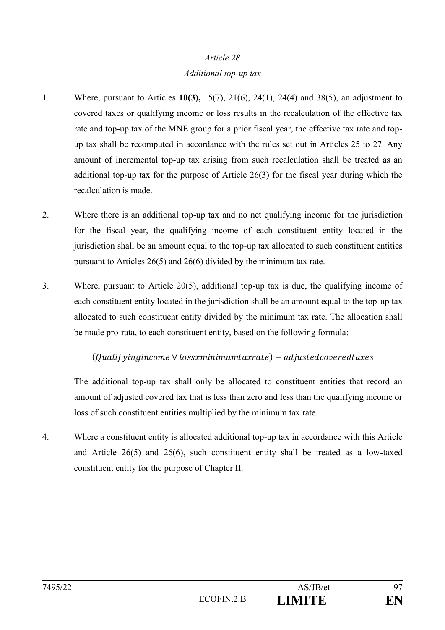## *Additional top-up tax*

- 1. Where, pursuant to Articles **10(3),** 15(7), 21(6), 24(1), 24(4) and 38(5), an adjustment to covered taxes or qualifying income or loss results in the recalculation of the effective tax rate and top-up tax of the MNE group for a prior fiscal year, the effective tax rate and topup tax shall be recomputed in accordance with the rules set out in Articles 25 to 27. Any amount of incremental top-up tax arising from such recalculation shall be treated as an additional top-up tax for the purpose of Article 26(3) for the fiscal year during which the recalculation is made.
- 2. Where there is an additional top-up tax and no net qualifying income for the jurisdiction for the fiscal year, the qualifying income of each constituent entity located in the jurisdiction shall be an amount equal to the top-up tax allocated to such constituent entities pursuant to Articles 26(5) and 26(6) divided by the minimum tax rate.
- 3. Where, pursuant to Article 20(5), additional top-up tax is due, the qualifying income of each constituent entity located in the jurisdiction shall be an amount equal to the top-up tax allocated to such constituent entity divided by the minimum tax rate. The allocation shall be made pro-rata, to each constituent entity, based on the following formula:

## $($ Qualif yingincome  $\vee$  lossxminimumtaxrate $) -$ adjustedcoveredtaxes

The additional top-up tax shall only be allocated to constituent entities that record an amount of adjusted covered tax that is less than zero and less than the qualifying income or loss of such constituent entities multiplied by the minimum tax rate.

4. Where a constituent entity is allocated additional top-up tax in accordance with this Article and Article 26(5) and 26(6), such constituent entity shall be treated as a low-taxed constituent entity for the purpose of Chapter II.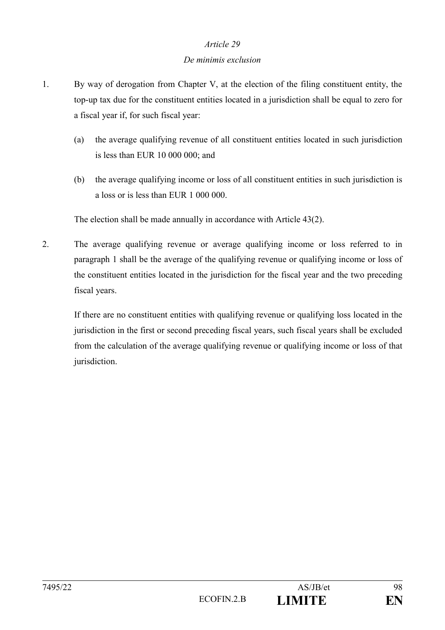#### *De minimis exclusion*

- 1. By way of derogation from Chapter V, at the election of the filing constituent entity, the top-up tax due for the constituent entities located in a jurisdiction shall be equal to zero for a fiscal year if, for such fiscal year:
	- (a) the average qualifying revenue of all constituent entities located in such jurisdiction is less than EUR 10 000 000; and
	- (b) the average qualifying income or loss of all constituent entities in such jurisdiction is a loss or is less than EUR 1 000 000.

The election shall be made annually in accordance with Article 43(2).

2. The average qualifying revenue or average qualifying income or loss referred to in paragraph 1 shall be the average of the qualifying revenue or qualifying income or loss of the constituent entities located in the jurisdiction for the fiscal year and the two preceding fiscal years.

If there are no constituent entities with qualifying revenue or qualifying loss located in the jurisdiction in the first or second preceding fiscal years, such fiscal years shall be excluded from the calculation of the average qualifying revenue or qualifying income or loss of that jurisdiction.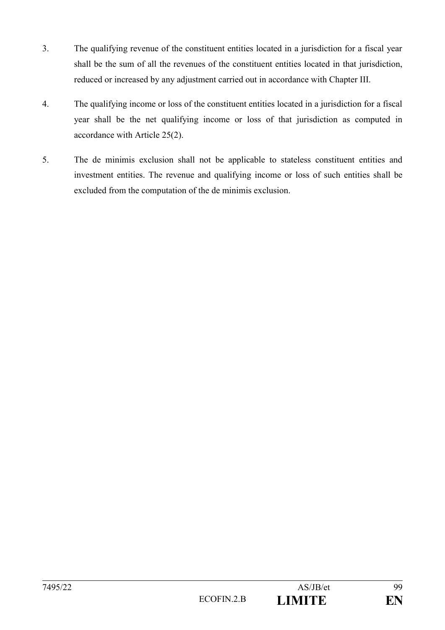- 3. The qualifying revenue of the constituent entities located in a jurisdiction for a fiscal year shall be the sum of all the revenues of the constituent entities located in that jurisdiction, reduced or increased by any adjustment carried out in accordance with Chapter III.
- 4. The qualifying income or loss of the constituent entities located in a jurisdiction for a fiscal year shall be the net qualifying income or loss of that jurisdiction as computed in accordance with Article 25(2).
- 5. The de minimis exclusion shall not be applicable to stateless constituent entities and investment entities. The revenue and qualifying income or loss of such entities shall be excluded from the computation of the de minimis exclusion.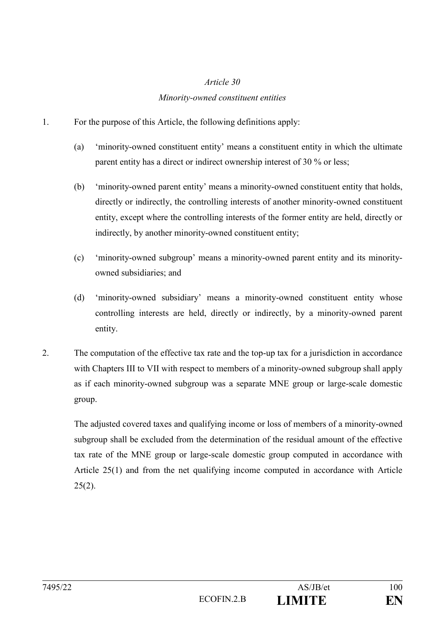## *Minority-owned constituent entities*

- 1. For the purpose of this Article, the following definitions apply:
	- (a) 'minority-owned constituent entity' means a constituent entity in which the ultimate parent entity has a direct or indirect ownership interest of 30 % or less;
	- (b) 'minority-owned parent entity' means a minority-owned constituent entity that holds, directly or indirectly, the controlling interests of another minority-owned constituent entity, except where the controlling interests of the former entity are held, directly or indirectly, by another minority-owned constituent entity;
	- (c) 'minority-owned subgroup' means a minority-owned parent entity and its minorityowned subsidiaries; and
	- (d) 'minority-owned subsidiary' means a minority-owned constituent entity whose controlling interests are held, directly or indirectly, by a minority-owned parent entity.
- 2. The computation of the effective tax rate and the top-up tax for a jurisdiction in accordance with Chapters III to VII with respect to members of a minority-owned subgroup shall apply as if each minority-owned subgroup was a separate MNE group or large-scale domestic group.

The adjusted covered taxes and qualifying income or loss of members of a minority-owned subgroup shall be excluded from the determination of the residual amount of the effective tax rate of the MNE group or large-scale domestic group computed in accordance with Article 25(1) and from the net qualifying income computed in accordance with Article  $25(2)$ .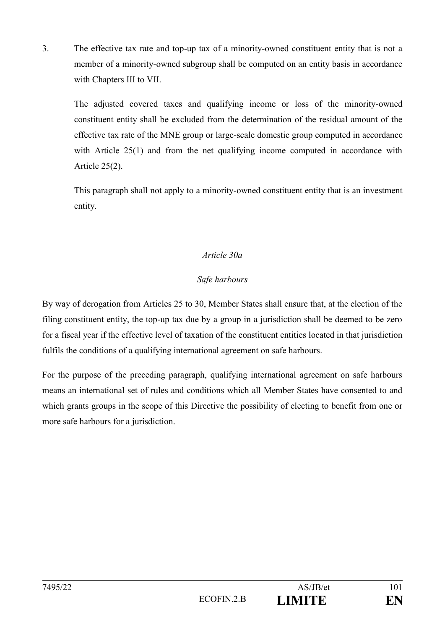3. The effective tax rate and top-up tax of a minority-owned constituent entity that is not a member of a minority-owned subgroup shall be computed on an entity basis in accordance with Chapters III to VII.

The adjusted covered taxes and qualifying income or loss of the minority-owned constituent entity shall be excluded from the determination of the residual amount of the effective tax rate of the MNE group or large-scale domestic group computed in accordance with Article 25(1) and from the net qualifying income computed in accordance with Article 25(2).

This paragraph shall not apply to a minority-owned constituent entity that is an investment entity.

## *Article 30a*

## *Safe harbours*

By way of derogation from Articles 25 to 30, Member States shall ensure that, at the election of the filing constituent entity, the top-up tax due by a group in a jurisdiction shall be deemed to be zero for a fiscal year if the effective level of taxation of the constituent entities located in that jurisdiction fulfils the conditions of a qualifying international agreement on safe harbours.

For the purpose of the preceding paragraph, qualifying international agreement on safe harbours means an international set of rules and conditions which all Member States have consented to and which grants groups in the scope of this Directive the possibility of electing to benefit from one or more safe harbours for a jurisdiction.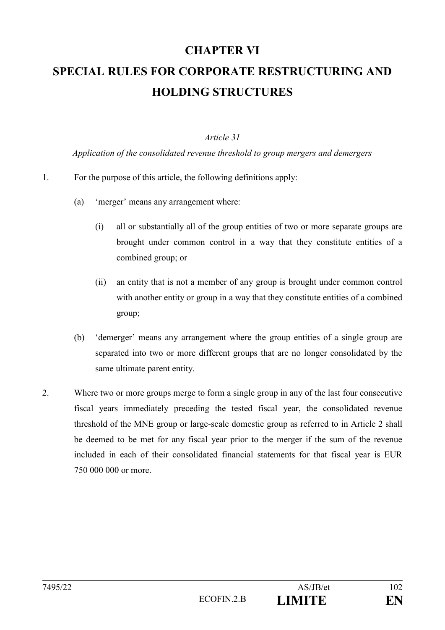# **CHAPTER VI SPECIAL RULES FOR CORPORATE RESTRUCTURING AND HOLDING STRUCTURES**

## *Article 31*

*Application of the consolidated revenue threshold to group mergers and demergers*

#### 1. For the purpose of this article, the following definitions apply:

- (a) 'merger' means any arrangement where:
	- (i) all or substantially all of the group entities of two or more separate groups are brought under common control in a way that they constitute entities of a combined group; or
	- (ii) an entity that is not a member of any group is brought under common control with another entity or group in a way that they constitute entities of a combined group;
- (b) 'demerger' means any arrangement where the group entities of a single group are separated into two or more different groups that are no longer consolidated by the same ultimate parent entity.
- 2. Where two or more groups merge to form a single group in any of the last four consecutive fiscal years immediately preceding the tested fiscal year, the consolidated revenue threshold of the MNE group or large-scale domestic group as referred to in Article 2 shall be deemed to be met for any fiscal year prior to the merger if the sum of the revenue included in each of their consolidated financial statements for that fiscal year is EUR 750 000 000 or more.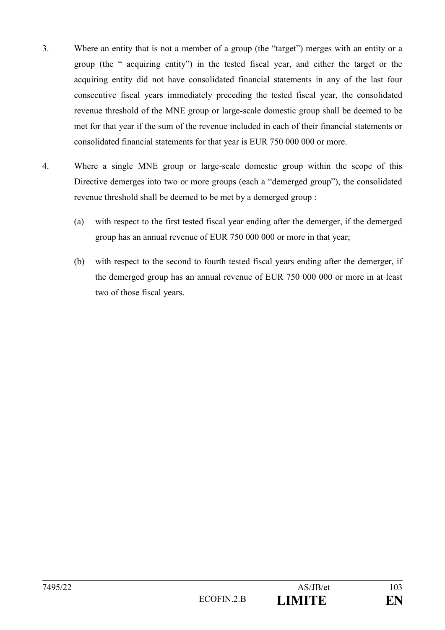- 3. Where an entity that is not a member of a group (the "target") merges with an entity or a group (the " acquiring entity") in the tested fiscal year, and either the target or the acquiring entity did not have consolidated financial statements in any of the last four consecutive fiscal years immediately preceding the tested fiscal year, the consolidated revenue threshold of the MNE group or large-scale domestic group shall be deemed to be met for that year if the sum of the revenue included in each of their financial statements or consolidated financial statements for that year is EUR 750 000 000 or more.
- 4. Where a single MNE group or large-scale domestic group within the scope of this Directive demerges into two or more groups (each a "demerged group"), the consolidated revenue threshold shall be deemed to be met by a demerged group :
	- (a) with respect to the first tested fiscal year ending after the demerger, if the demerged group has an annual revenue of EUR 750 000 000 or more in that year;
	- (b) with respect to the second to fourth tested fiscal years ending after the demerger, if the demerged group has an annual revenue of EUR 750 000 000 or more in at least two of those fiscal years.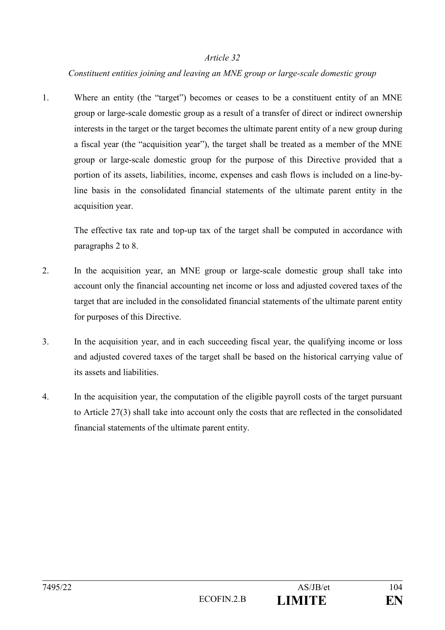## *Constituent entities joining and leaving an MNE group or large-scale domestic group*

1. Where an entity (the "target") becomes or ceases to be a constituent entity of an MNE group or large-scale domestic group as a result of a transfer of direct or indirect ownership interests in the target or the target becomes the ultimate parent entity of a new group during a fiscal year (the "acquisition year"), the target shall be treated as a member of the MNE group or large-scale domestic group for the purpose of this Directive provided that a portion of its assets, liabilities, income, expenses and cash flows is included on a line-byline basis in the consolidated financial statements of the ultimate parent entity in the acquisition year.

The effective tax rate and top-up tax of the target shall be computed in accordance with paragraphs 2 to 8.

- 2. In the acquisition year, an MNE group or large-scale domestic group shall take into account only the financial accounting net income or loss and adjusted covered taxes of the target that are included in the consolidated financial statements of the ultimate parent entity for purposes of this Directive.
- 3. In the acquisition year, and in each succeeding fiscal year, the qualifying income or loss and adjusted covered taxes of the target shall be based on the historical carrying value of its assets and liabilities.
- 4. In the acquisition year, the computation of the eligible payroll costs of the target pursuant to Article 27(3) shall take into account only the costs that are reflected in the consolidated financial statements of the ultimate parent entity.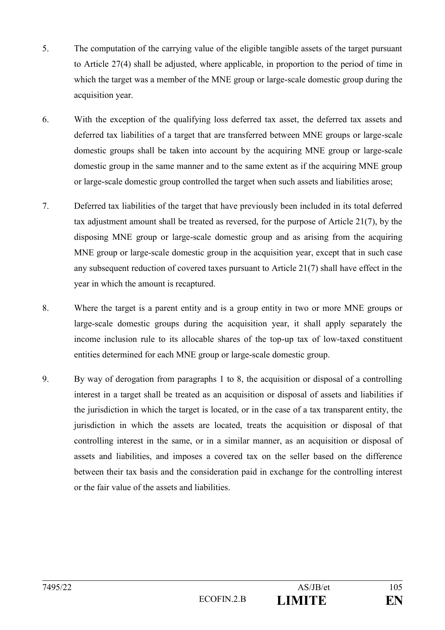- 5. The computation of the carrying value of the eligible tangible assets of the target pursuant to Article 27(4) shall be adjusted, where applicable, in proportion to the period of time in which the target was a member of the MNE group or large-scale domestic group during the acquisition year.
- 6. With the exception of the qualifying loss deferred tax asset, the deferred tax assets and deferred tax liabilities of a target that are transferred between MNE groups or large-scale domestic groups shall be taken into account by the acquiring MNE group or large-scale domestic group in the same manner and to the same extent as if the acquiring MNE group or large-scale domestic group controlled the target when such assets and liabilities arose;
- 7. Deferred tax liabilities of the target that have previously been included in its total deferred tax adjustment amount shall be treated as reversed, for the purpose of Article 21(7), by the disposing MNE group or large-scale domestic group and as arising from the acquiring MNE group or large-scale domestic group in the acquisition year, except that in such case any subsequent reduction of covered taxes pursuant to Article 21(7) shall have effect in the year in which the amount is recaptured.
- 8. Where the target is a parent entity and is a group entity in two or more MNE groups or large-scale domestic groups during the acquisition year, it shall apply separately the income inclusion rule to its allocable shares of the top-up tax of low-taxed constituent entities determined for each MNE group or large-scale domestic group.
- 9. By way of derogation from paragraphs 1 to 8, the acquisition or disposal of a controlling interest in a target shall be treated as an acquisition or disposal of assets and liabilities if the jurisdiction in which the target is located, or in the case of a tax transparent entity, the jurisdiction in which the assets are located, treats the acquisition or disposal of that controlling interest in the same, or in a similar manner, as an acquisition or disposal of assets and liabilities, and imposes a covered tax on the seller based on the difference between their tax basis and the consideration paid in exchange for the controlling interest or the fair value of the assets and liabilities.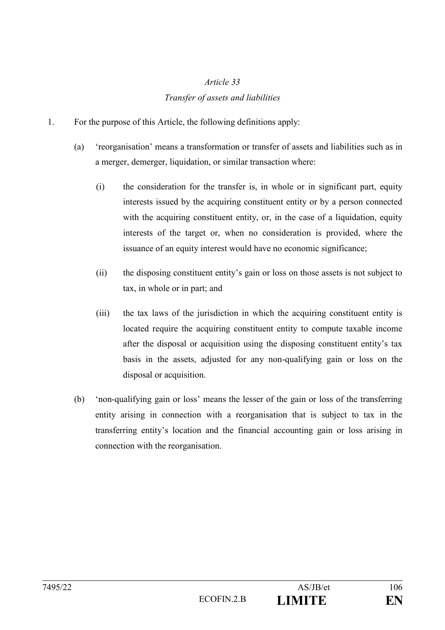## *Transfer of assets and liabilities*

- 1. For the purpose of this Article, the following definitions apply:
	- (a) 'reorganisation' means a transformation or transfer of assets and liabilities such as in a merger, demerger, liquidation, or similar transaction where:
		- (i) the consideration for the transfer is, in whole or in significant part, equity interests issued by the acquiring constituent entity or by a person connected with the acquiring constituent entity, or, in the case of a liquidation, equity interests of the target or, when no consideration is provided, where the issuance of an equity interest would have no economic significance;
		- (ii) the disposing constituent entity's gain or loss on those assets is not subject to tax, in whole or in part; and
		- (iii) the tax laws of the jurisdiction in which the acquiring constituent entity is located require the acquiring constituent entity to compute taxable income after the disposal or acquisition using the disposing constituent entity's tax basis in the assets, adjusted for any non-qualifying gain or loss on the disposal or acquisition.
	- (b) 'non-qualifying gain or loss' means the lesser of the gain or loss of the transferring entity arising in connection with a reorganisation that is subject to tax in the transferring entity's location and the financial accounting gain or loss arising in connection with the reorganisation.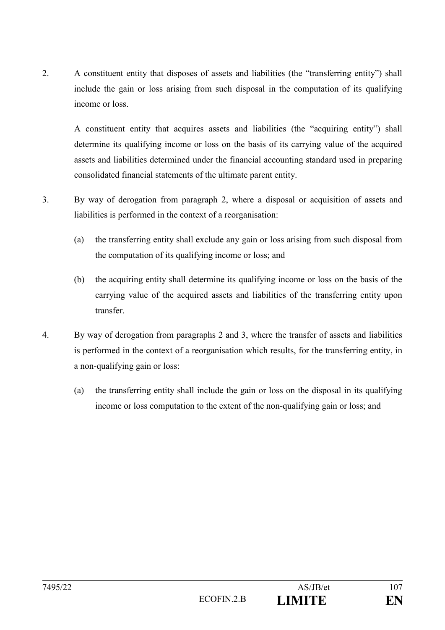2. A constituent entity that disposes of assets and liabilities (the "transferring entity") shall include the gain or loss arising from such disposal in the computation of its qualifying income or loss.

A constituent entity that acquires assets and liabilities (the "acquiring entity") shall determine its qualifying income or loss on the basis of its carrying value of the acquired assets and liabilities determined under the financial accounting standard used in preparing consolidated financial statements of the ultimate parent entity.

- 3. By way of derogation from paragraph 2, where a disposal or acquisition of assets and liabilities is performed in the context of a reorganisation:
	- (a) the transferring entity shall exclude any gain or loss arising from such disposal from the computation of its qualifying income or loss; and
	- (b) the acquiring entity shall determine its qualifying income or loss on the basis of the carrying value of the acquired assets and liabilities of the transferring entity upon transfer.
- 4. By way of derogation from paragraphs 2 and 3, where the transfer of assets and liabilities is performed in the context of a reorganisation which results, for the transferring entity, in a non-qualifying gain or loss:
	- (a) the transferring entity shall include the gain or loss on the disposal in its qualifying income or loss computation to the extent of the non-qualifying gain or loss; and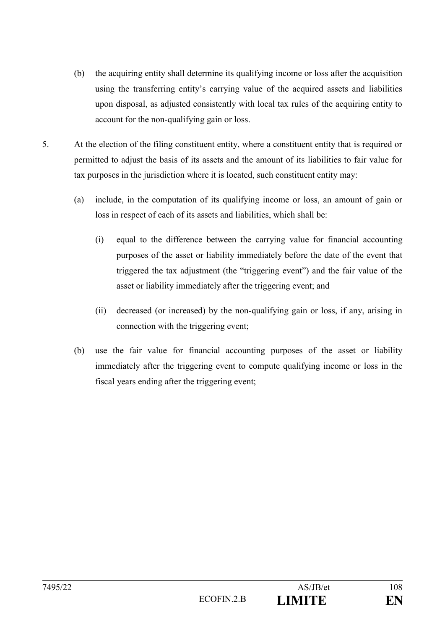- (b) the acquiring entity shall determine its qualifying income or loss after the acquisition using the transferring entity's carrying value of the acquired assets and liabilities upon disposal, as adjusted consistently with local tax rules of the acquiring entity to account for the non-qualifying gain or loss.
- 5. At the election of the filing constituent entity, where a constituent entity that is required or permitted to adjust the basis of its assets and the amount of its liabilities to fair value for tax purposes in the jurisdiction where it is located, such constituent entity may:
	- (a) include, in the computation of its qualifying income or loss, an amount of gain or loss in respect of each of its assets and liabilities, which shall be:
		- (i) equal to the difference between the carrying value for financial accounting purposes of the asset or liability immediately before the date of the event that triggered the tax adjustment (the "triggering event") and the fair value of the asset or liability immediately after the triggering event; and
		- (ii) decreased (or increased) by the non-qualifying gain or loss, if any, arising in connection with the triggering event;
	- (b) use the fair value for financial accounting purposes of the asset or liability immediately after the triggering event to compute qualifying income or loss in the fiscal years ending after the triggering event;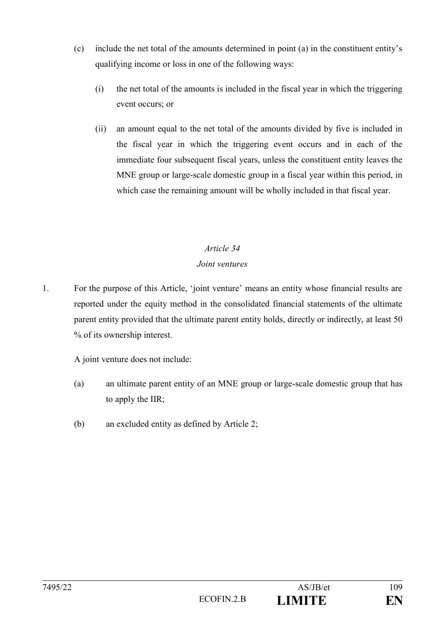- (c) include the net total of the amounts determined in point (a) in the constituent entity's qualifying income or loss in one of the following ways:
	- (i) the net total of the amounts is included in the fiscal year in which the triggering event occurs; or
	- (ii) an amount equal to the net total of the amounts divided by five is included in the fiscal year in which the triggering event occurs and in each of the immediate four subsequent fiscal years, unless the constituent entity leaves the MNE group or large-scale domestic group in a fiscal year within this period, in which case the remaining amount will be wholly included in that fiscal year.

## *Joint ventures*

1. For the purpose of this Article, 'joint venture' means an entity whose financial results are reported under the equity method in the consolidated financial statements of the ultimate parent entity provided that the ultimate parent entity holds, directly or indirectly, at least 50 % of its ownership interest.

A joint venture does not include:

- (a) an ultimate parent entity of an MNE group or large-scale domestic group that has to apply the IIR;
- (b) an excluded entity as defined by Article 2;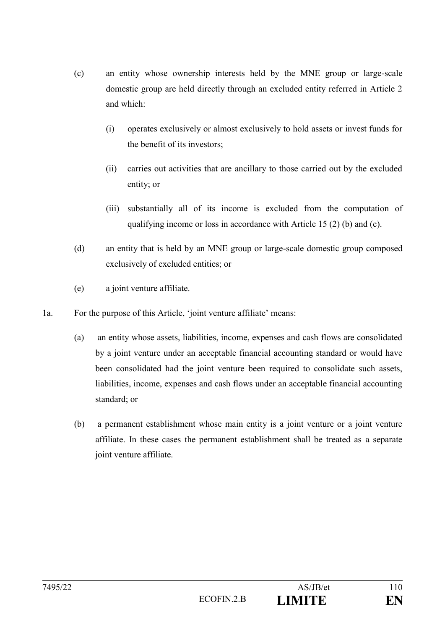- (c) an entity whose ownership interests held by the MNE group or large-scale domestic group are held directly through an excluded entity referred in Article 2 and which:
	- (i) operates exclusively or almost exclusively to hold assets or invest funds for the benefit of its investors;
	- (ii) carries out activities that are ancillary to those carried out by the excluded entity; or
	- (iii) substantially all of its income is excluded from the computation of qualifying income or loss in accordance with Article 15 (2) (b) and (c).
- (d) an entity that is held by an MNE group or large-scale domestic group composed exclusively of excluded entities; or
- (e) a joint venture affiliate.
- 1a. For the purpose of this Article, 'joint venture affiliate' means:
	- (a) an entity whose assets, liabilities, income, expenses and cash flows are consolidated by a joint venture under an acceptable financial accounting standard or would have been consolidated had the joint venture been required to consolidate such assets, liabilities, income, expenses and cash flows under an acceptable financial accounting standard; or
	- (b) a permanent establishment whose main entity is a joint venture or a joint venture affiliate. In these cases the permanent establishment shall be treated as a separate joint venture affiliate.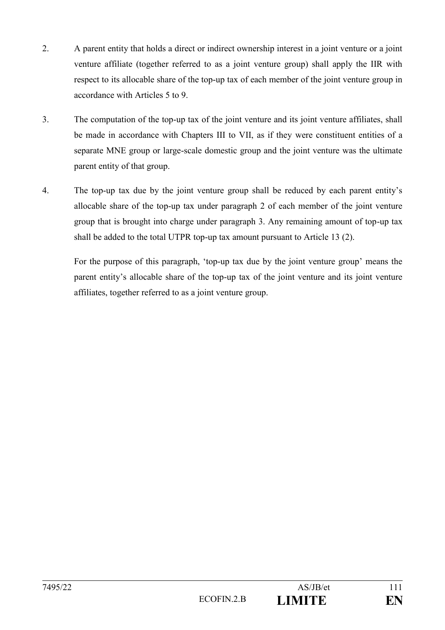- 2. A parent entity that holds a direct or indirect ownership interest in a joint venture or a joint venture affiliate (together referred to as a joint venture group) shall apply the IIR with respect to its allocable share of the top-up tax of each member of the joint venture group in accordance with Articles 5 to 9.
- 3. The computation of the top-up tax of the joint venture and its joint venture affiliates, shall be made in accordance with Chapters III to VII, as if they were constituent entities of a separate MNE group or large-scale domestic group and the joint venture was the ultimate parent entity of that group.
- 4. The top-up tax due by the joint venture group shall be reduced by each parent entity's allocable share of the top-up tax under paragraph 2 of each member of the joint venture group that is brought into charge under paragraph 3. Any remaining amount of top-up tax shall be added to the total UTPR top-up tax amount pursuant to Article 13 (2).

For the purpose of this paragraph, 'top-up tax due by the joint venture group' means the parent entity's allocable share of the top-up tax of the joint venture and its joint venture affiliates, together referred to as a joint venture group.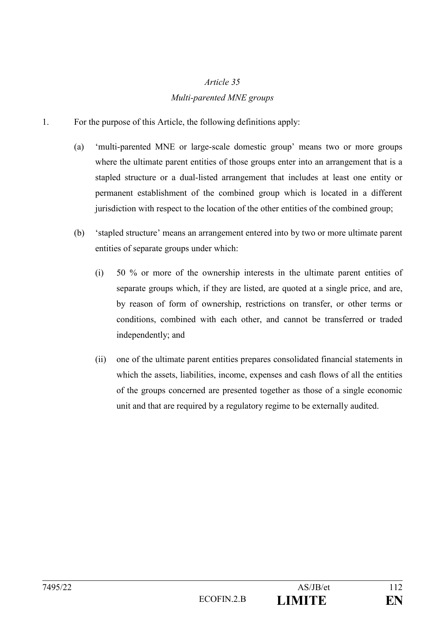## *Multi-parented MNE groups*

- 1. For the purpose of this Article, the following definitions apply:
	- (a) 'multi-parented MNE or large-scale domestic group' means two or more groups where the ultimate parent entities of those groups enter into an arrangement that is a stapled structure or a dual-listed arrangement that includes at least one entity or permanent establishment of the combined group which is located in a different jurisdiction with respect to the location of the other entities of the combined group;
	- (b) 'stapled structure' means an arrangement entered into by two or more ultimate parent entities of separate groups under which:
		- (i) 50 % or more of the ownership interests in the ultimate parent entities of separate groups which, if they are listed, are quoted at a single price, and are, by reason of form of ownership, restrictions on transfer, or other terms or conditions, combined with each other, and cannot be transferred or traded independently; and
		- (ii) one of the ultimate parent entities prepares consolidated financial statements in which the assets, liabilities, income, expenses and cash flows of all the entities of the groups concerned are presented together as those of a single economic unit and that are required by a regulatory regime to be externally audited.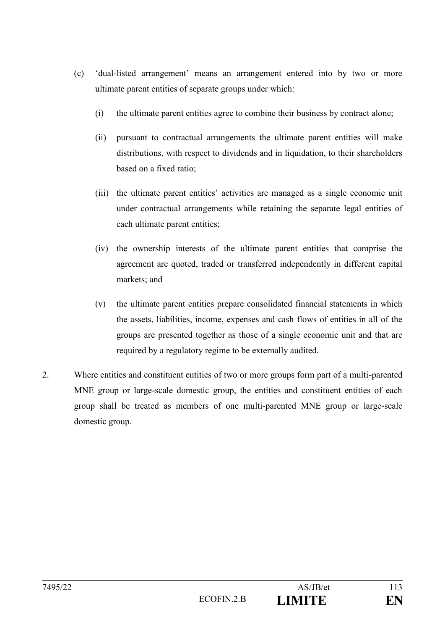- (c) 'dual-listed arrangement' means an arrangement entered into by two or more ultimate parent entities of separate groups under which:
	- (i) the ultimate parent entities agree to combine their business by contract alone;
	- (ii) pursuant to contractual arrangements the ultimate parent entities will make distributions, with respect to dividends and in liquidation, to their shareholders based on a fixed ratio;
	- (iii) the ultimate parent entities' activities are managed as a single economic unit under contractual arrangements while retaining the separate legal entities of each ultimate parent entities;
	- (iv) the ownership interests of the ultimate parent entities that comprise the agreement are quoted, traded or transferred independently in different capital markets; and
	- (v) the ultimate parent entities prepare consolidated financial statements in which the assets, liabilities, income, expenses and cash flows of entities in all of the groups are presented together as those of a single economic unit and that are required by a regulatory regime to be externally audited.
- 2. Where entities and constituent entities of two or more groups form part of a multi-parented MNE group or large-scale domestic group, the entities and constituent entities of each group shall be treated as members of one multi-parented MNE group or large-scale domestic group.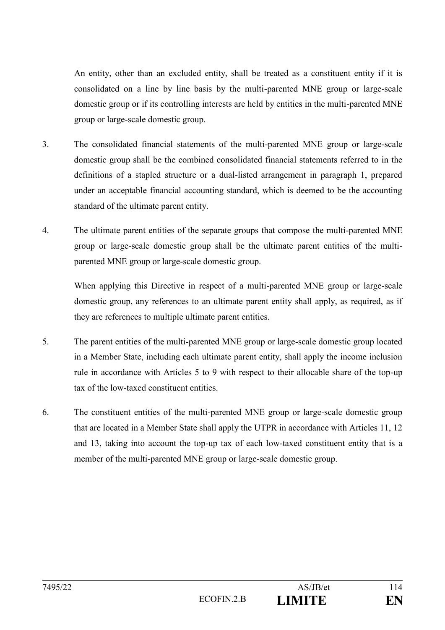An entity, other than an excluded entity, shall be treated as a constituent entity if it is consolidated on a line by line basis by the multi-parented MNE group or large-scale domestic group or if its controlling interests are held by entities in the multi-parented MNE group or large-scale domestic group.

- 3. The consolidated financial statements of the multi-parented MNE group or large-scale domestic group shall be the combined consolidated financial statements referred to in the definitions of a stapled structure or a dual-listed arrangement in paragraph 1, prepared under an acceptable financial accounting standard, which is deemed to be the accounting standard of the ultimate parent entity.
- 4. The ultimate parent entities of the separate groups that compose the multi-parented MNE group or large-scale domestic group shall be the ultimate parent entities of the multiparented MNE group or large-scale domestic group.

When applying this Directive in respect of a multi-parented MNE group or large-scale domestic group, any references to an ultimate parent entity shall apply, as required, as if they are references to multiple ultimate parent entities.

- 5. The parent entities of the multi-parented MNE group or large-scale domestic group located in a Member State, including each ultimate parent entity, shall apply the income inclusion rule in accordance with Articles 5 to 9 with respect to their allocable share of the top-up tax of the low-taxed constituent entities.
- 6. The constituent entities of the multi-parented MNE group or large-scale domestic group that are located in a Member State shall apply the UTPR in accordance with Articles 11, 12 and 13, taking into account the top-up tax of each low-taxed constituent entity that is a member of the multi-parented MNE group or large-scale domestic group.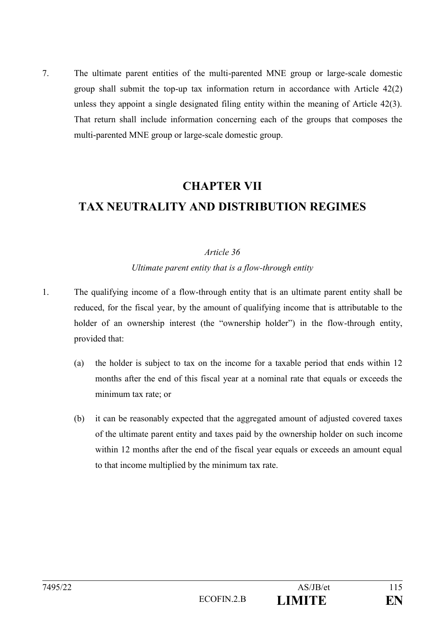7. The ultimate parent entities of the multi-parented MNE group or large-scale domestic group shall submit the top-up tax information return in accordance with Article 42(2) unless they appoint a single designated filing entity within the meaning of Article 42(3). That return shall include information concerning each of the groups that composes the multi-parented MNE group or large-scale domestic group.

# **CHAPTER VII TAX NEUTRALITY AND DISTRIBUTION REGIMES**

### *Article 36*

### *Ultimate parent entity that is a flow-through entity*

- 1. The qualifying income of a flow-through entity that is an ultimate parent entity shall be reduced, for the fiscal year, by the amount of qualifying income that is attributable to the holder of an ownership interest (the "ownership holder") in the flow-through entity, provided that:
	- (a) the holder is subject to tax on the income for a taxable period that ends within 12 months after the end of this fiscal year at a nominal rate that equals or exceeds the minimum tax rate; or
	- (b) it can be reasonably expected that the aggregated amount of adjusted covered taxes of the ultimate parent entity and taxes paid by the ownership holder on such income within 12 months after the end of the fiscal year equals or exceeds an amount equal to that income multiplied by the minimum tax rate.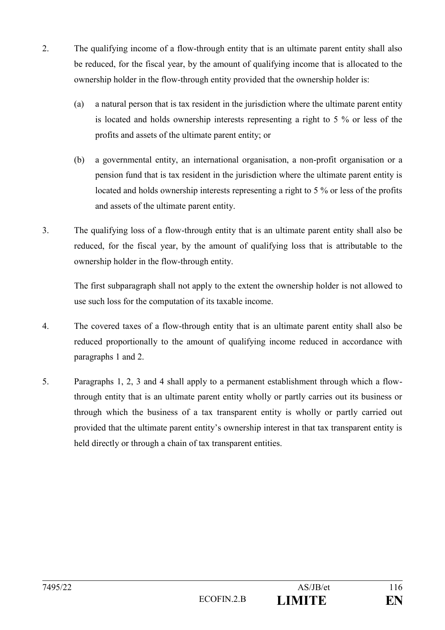- 2. The qualifying income of a flow-through entity that is an ultimate parent entity shall also be reduced, for the fiscal year, by the amount of qualifying income that is allocated to the ownership holder in the flow-through entity provided that the ownership holder is:
	- (a) a natural person that is tax resident in the jurisdiction where the ultimate parent entity is located and holds ownership interests representing a right to 5 % or less of the profits and assets of the ultimate parent entity; or
	- (b) a governmental entity, an international organisation, a non-profit organisation or a pension fund that is tax resident in the jurisdiction where the ultimate parent entity is located and holds ownership interests representing a right to 5 % or less of the profits and assets of the ultimate parent entity.
- 3. The qualifying loss of a flow-through entity that is an ultimate parent entity shall also be reduced, for the fiscal year, by the amount of qualifying loss that is attributable to the ownership holder in the flow-through entity.

The first subparagraph shall not apply to the extent the ownership holder is not allowed to use such loss for the computation of its taxable income.

- 4. The covered taxes of a flow-through entity that is an ultimate parent entity shall also be reduced proportionally to the amount of qualifying income reduced in accordance with paragraphs 1 and 2.
- 5. Paragraphs 1, 2, 3 and 4 shall apply to a permanent establishment through which a flowthrough entity that is an ultimate parent entity wholly or partly carries out its business or through which the business of a tax transparent entity is wholly or partly carried out provided that the ultimate parent entity's ownership interest in that tax transparent entity is held directly or through a chain of tax transparent entities.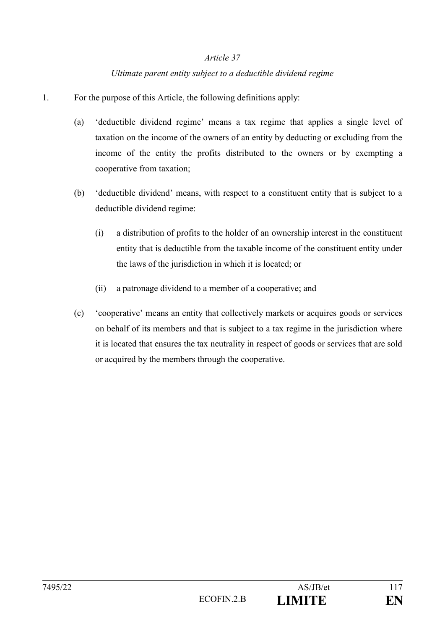## *Ultimate parent entity subject to a deductible dividend regime*

- 1. For the purpose of this Article, the following definitions apply:
	- (a) 'deductible dividend regime' means a tax regime that applies a single level of taxation on the income of the owners of an entity by deducting or excluding from the income of the entity the profits distributed to the owners or by exempting a cooperative from taxation;
	- (b) 'deductible dividend' means, with respect to a constituent entity that is subject to a deductible dividend regime:
		- (i) a distribution of profits to the holder of an ownership interest in the constituent entity that is deductible from the taxable income of the constituent entity under the laws of the jurisdiction in which it is located; or
		- (ii) a patronage dividend to a member of a cooperative; and
	- (c) 'cooperative' means an entity that collectively markets or acquires goods or services on behalf of its members and that is subject to a tax regime in the jurisdiction where it is located that ensures the tax neutrality in respect of goods or services that are sold or acquired by the members through the cooperative.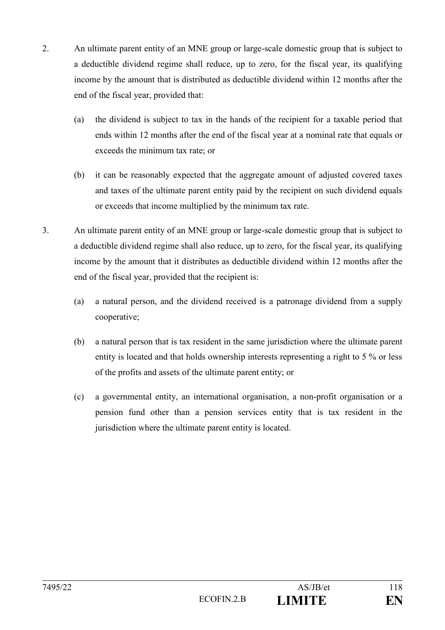- 2. An ultimate parent entity of an MNE group or large-scale domestic group that is subject to a deductible dividend regime shall reduce, up to zero, for the fiscal year, its qualifying income by the amount that is distributed as deductible dividend within 12 months after the end of the fiscal year, provided that:
	- (a) the dividend is subject to tax in the hands of the recipient for a taxable period that ends within 12 months after the end of the fiscal year at a nominal rate that equals or exceeds the minimum tax rate; or
	- (b) it can be reasonably expected that the aggregate amount of adjusted covered taxes and taxes of the ultimate parent entity paid by the recipient on such dividend equals or exceeds that income multiplied by the minimum tax rate.
- 3. An ultimate parent entity of an MNE group or large-scale domestic group that is subject to a deductible dividend regime shall also reduce, up to zero, for the fiscal year, its qualifying income by the amount that it distributes as deductible dividend within 12 months after the end of the fiscal year, provided that the recipient is:
	- (a) a natural person, and the dividend received is a patronage dividend from a supply cooperative;
	- (b) a natural person that is tax resident in the same jurisdiction where the ultimate parent entity is located and that holds ownership interests representing a right to 5 % or less of the profits and assets of the ultimate parent entity; or
	- (c) a governmental entity, an international organisation, a non-profit organisation or a pension fund other than a pension services entity that is tax resident in the jurisdiction where the ultimate parent entity is located.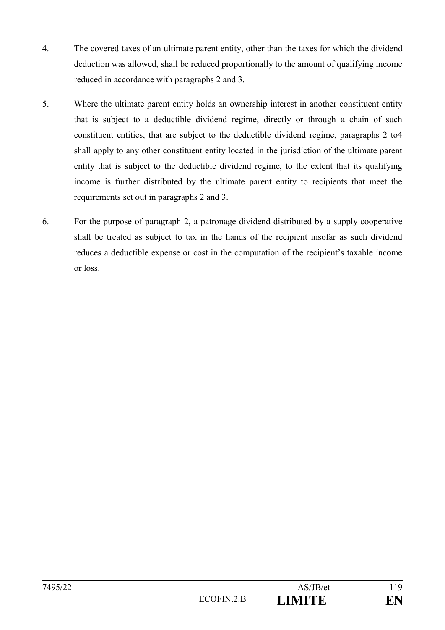- 4. The covered taxes of an ultimate parent entity, other than the taxes for which the dividend deduction was allowed, shall be reduced proportionally to the amount of qualifying income reduced in accordance with paragraphs 2 and 3.
- 5. Where the ultimate parent entity holds an ownership interest in another constituent entity that is subject to a deductible dividend regime, directly or through a chain of such constituent entities, that are subject to the deductible dividend regime, paragraphs 2 to4 shall apply to any other constituent entity located in the jurisdiction of the ultimate parent entity that is subject to the deductible dividend regime, to the extent that its qualifying income is further distributed by the ultimate parent entity to recipients that meet the requirements set out in paragraphs 2 and 3.
- 6. For the purpose of paragraph 2, a patronage dividend distributed by a supply cooperative shall be treated as subject to tax in the hands of the recipient insofar as such dividend reduces a deductible expense or cost in the computation of the recipient's taxable income or loss.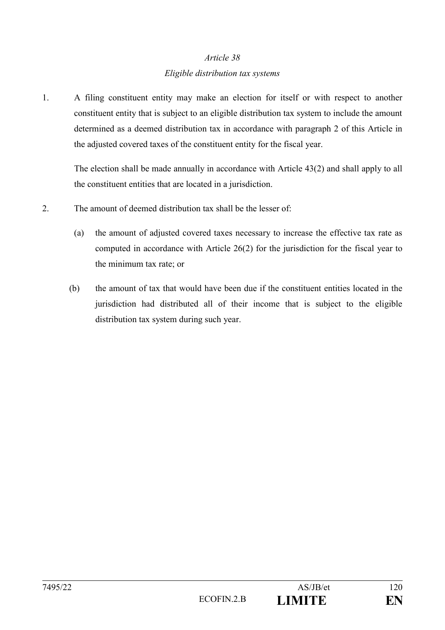## *Article 38 Eligible distribution tax systems*

1. A filing constituent entity may make an election for itself or with respect to another constituent entity that is subject to an eligible distribution tax system to include the amount determined as a deemed distribution tax in accordance with paragraph 2 of this Article in the adjusted covered taxes of the constituent entity for the fiscal year.

The election shall be made annually in accordance with Article 43(2) and shall apply to all the constituent entities that are located in a jurisdiction.

- 2. The amount of deemed distribution tax shall be the lesser of:
	- (a) the amount of adjusted covered taxes necessary to increase the effective tax rate as computed in accordance with Article 26(2) for the jurisdiction for the fiscal year to the minimum tax rate; or
	- (b) the amount of tax that would have been due if the constituent entities located in the jurisdiction had distributed all of their income that is subject to the eligible distribution tax system during such year.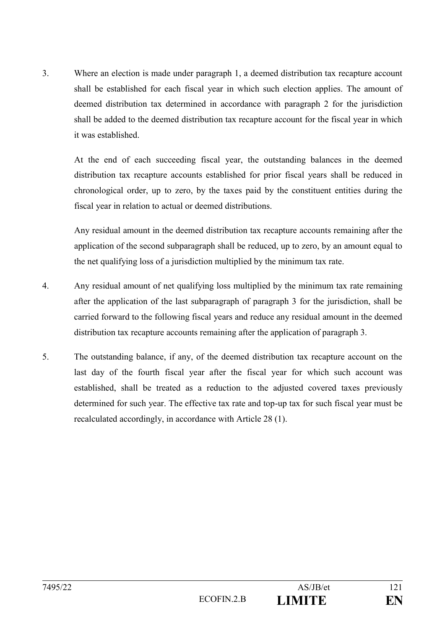3. Where an election is made under paragraph 1, a deemed distribution tax recapture account shall be established for each fiscal year in which such election applies. The amount of deemed distribution tax determined in accordance with paragraph 2 for the jurisdiction shall be added to the deemed distribution tax recapture account for the fiscal year in which it was established.

At the end of each succeeding fiscal year, the outstanding balances in the deemed distribution tax recapture accounts established for prior fiscal years shall be reduced in chronological order, up to zero, by the taxes paid by the constituent entities during the fiscal year in relation to actual or deemed distributions.

Any residual amount in the deemed distribution tax recapture accounts remaining after the application of the second subparagraph shall be reduced, up to zero, by an amount equal to the net qualifying loss of a jurisdiction multiplied by the minimum tax rate.

- 4. Any residual amount of net qualifying loss multiplied by the minimum tax rate remaining after the application of the last subparagraph of paragraph 3 for the jurisdiction, shall be carried forward to the following fiscal years and reduce any residual amount in the deemed distribution tax recapture accounts remaining after the application of paragraph 3.
- 5. The outstanding balance, if any, of the deemed distribution tax recapture account on the last day of the fourth fiscal year after the fiscal year for which such account was established, shall be treated as a reduction to the adjusted covered taxes previously determined for such year. The effective tax rate and top-up tax for such fiscal year must be recalculated accordingly, in accordance with Article 28 (1).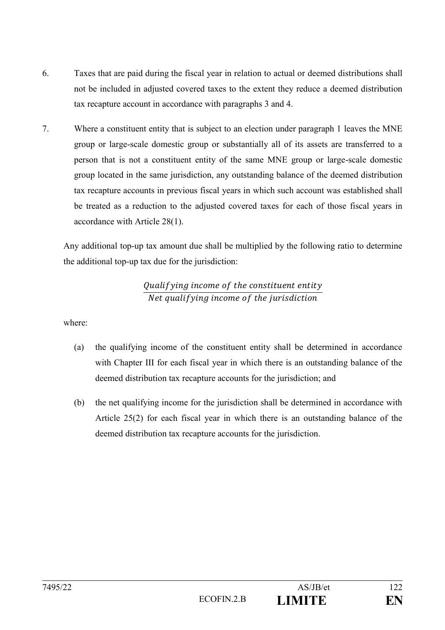- 6. Taxes that are paid during the fiscal year in relation to actual or deemed distributions shall not be included in adjusted covered taxes to the extent they reduce a deemed distribution tax recapture account in accordance with paragraphs 3 and 4.
- 7. Where a constituent entity that is subject to an election under paragraph 1 leaves the MNE group or large-scale domestic group or substantially all of its assets are transferred to a person that is not a constituent entity of the same MNE group or large-scale domestic group located in the same jurisdiction, any outstanding balance of the deemed distribution tax recapture accounts in previous fiscal years in which such account was established shall be treated as a reduction to the adjusted covered taxes for each of those fiscal years in accordance with Article 28(1).

Any additional top-up tax amount due shall be multiplied by the following ratio to determine the additional top-up tax due for the jurisdiction:

## Qualifying income of the constituent entity Net qualif ving income of the jurisdiction

where:

- (a) the qualifying income of the constituent entity shall be determined in accordance with Chapter III for each fiscal year in which there is an outstanding balance of the deemed distribution tax recapture accounts for the jurisdiction; and
- (b) the net qualifying income for the jurisdiction shall be determined in accordance with Article 25(2) for each fiscal year in which there is an outstanding balance of the deemed distribution tax recapture accounts for the jurisdiction.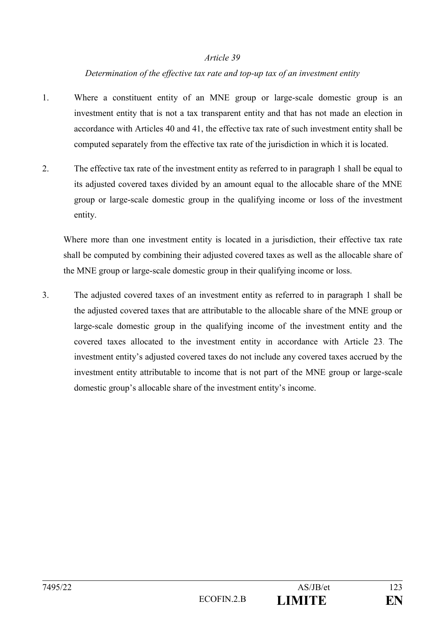### *Determination of the effective tax rate and top-up tax of an investment entity*

- 1. Where a constituent entity of an MNE group or large-scale domestic group is an investment entity that is not a tax transparent entity and that has not made an election in accordance with Articles 40 and 41, the effective tax rate of such investment entity shall be computed separately from the effective tax rate of the jurisdiction in which it is located.
- 2. The effective tax rate of the investment entity as referred to in paragraph 1 shall be equal to its adjusted covered taxes divided by an amount equal to the allocable share of the MNE group or large-scale domestic group in the qualifying income or loss of the investment entity.

Where more than one investment entity is located in a jurisdiction, their effective tax rate shall be computed by combining their adjusted covered taxes as well as the allocable share of the MNE group or large-scale domestic group in their qualifying income or loss.

3. The adjusted covered taxes of an investment entity as referred to in paragraph 1 shall be the adjusted covered taxes that are attributable to the allocable share of the MNE group or large-scale domestic group in the qualifying income of the investment entity and the covered taxes allocated to the investment entity in accordance with Article 23. The investment entity's adjusted covered taxes do not include any covered taxes accrued by the investment entity attributable to income that is not part of the MNE group or large-scale domestic group's allocable share of the investment entity's income.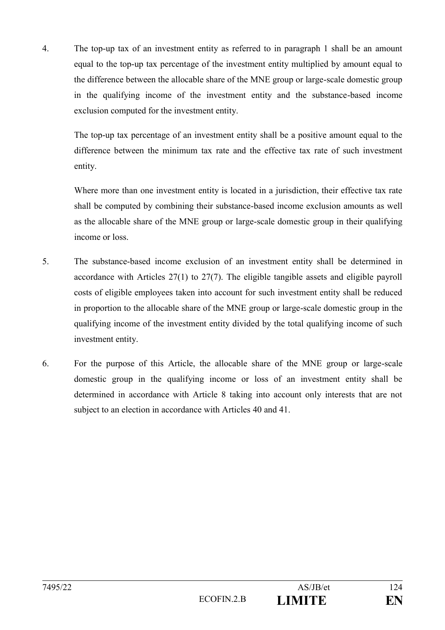4. The top-up tax of an investment entity as referred to in paragraph 1 shall be an amount equal to the top-up tax percentage of the investment entity multiplied by amount equal to the difference between the allocable share of the MNE group or large-scale domestic group in the qualifying income of the investment entity and the substance-based income exclusion computed for the investment entity.

The top-up tax percentage of an investment entity shall be a positive amount equal to the difference between the minimum tax rate and the effective tax rate of such investment entity.

Where more than one investment entity is located in a jurisdiction, their effective tax rate shall be computed by combining their substance-based income exclusion amounts as well as the allocable share of the MNE group or large-scale domestic group in their qualifying income or loss.

- 5. The substance-based income exclusion of an investment entity shall be determined in accordance with Articles 27(1) to 27(7). The eligible tangible assets and eligible payroll costs of eligible employees taken into account for such investment entity shall be reduced in proportion to the allocable share of the MNE group or large-scale domestic group in the qualifying income of the investment entity divided by the total qualifying income of such investment entity.
- 6. For the purpose of this Article, the allocable share of the MNE group or large-scale domestic group in the qualifying income or loss of an investment entity shall be determined in accordance with Article 8 taking into account only interests that are not subject to an election in accordance with Articles 40 and 41.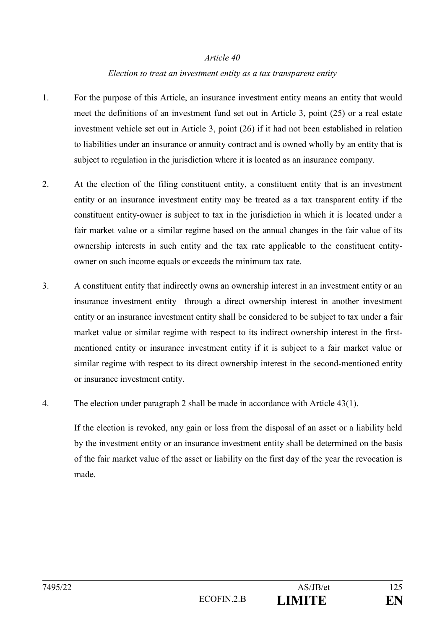#### *Election to treat an investment entity as a tax transparent entity*

- 1. For the purpose of this Article, an insurance investment entity means an entity that would meet the definitions of an investment fund set out in Article 3, point (25) or a real estate investment vehicle set out in Article 3, point (26) if it had not been established in relation to liabilities under an insurance or annuity contract and is owned wholly by an entity that is subject to regulation in the jurisdiction where it is located as an insurance company.
- 2. At the election of the filing constituent entity, a constituent entity that is an investment entity or an insurance investment entity may be treated as a tax transparent entity if the constituent entity-owner is subject to tax in the jurisdiction in which it is located under a fair market value or a similar regime based on the annual changes in the fair value of its ownership interests in such entity and the tax rate applicable to the constituent entityowner on such income equals or exceeds the minimum tax rate.
- 3. A constituent entity that indirectly owns an ownership interest in an investment entity or an insurance investment entity through a direct ownership interest in another investment entity or an insurance investment entity shall be considered to be subject to tax under a fair market value or similar regime with respect to its indirect ownership interest in the firstmentioned entity or insurance investment entity if it is subject to a fair market value or similar regime with respect to its direct ownership interest in the second-mentioned entity or insurance investment entity.
- 4. The election under paragraph 2 shall be made in accordance with Article 43(1).

If the election is revoked, any gain or loss from the disposal of an asset or a liability held by the investment entity or an insurance investment entity shall be determined on the basis of the fair market value of the asset or liability on the first day of the year the revocation is made.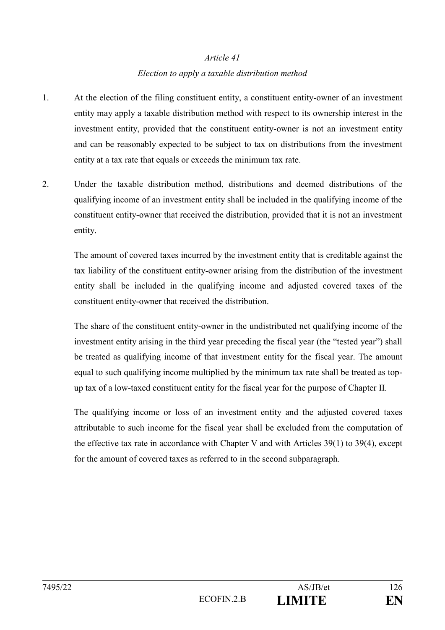# *Article 41 Election to apply a taxable distribution method*

- 1. At the election of the filing constituent entity, a constituent entity-owner of an investment entity may apply a taxable distribution method with respect to its ownership interest in the investment entity, provided that the constituent entity-owner is not an investment entity and can be reasonably expected to be subject to tax on distributions from the investment entity at a tax rate that equals or exceeds the minimum tax rate.
- 2. Under the taxable distribution method, distributions and deemed distributions of the qualifying income of an investment entity shall be included in the qualifying income of the constituent entity-owner that received the distribution, provided that it is not an investment entity.

The amount of covered taxes incurred by the investment entity that is creditable against the tax liability of the constituent entity-owner arising from the distribution of the investment entity shall be included in the qualifying income and adjusted covered taxes of the constituent entity-owner that received the distribution.

The share of the constituent entity-owner in the undistributed net qualifying income of the investment entity arising in the third year preceding the fiscal year (the "tested year") shall be treated as qualifying income of that investment entity for the fiscal year. The amount equal to such qualifying income multiplied by the minimum tax rate shall be treated as topup tax of a low-taxed constituent entity for the fiscal year for the purpose of Chapter II.

The qualifying income or loss of an investment entity and the adjusted covered taxes attributable to such income for the fiscal year shall be excluded from the computation of the effective tax rate in accordance with Chapter V and with Articles 39(1) to 39(4), except for the amount of covered taxes as referred to in the second subparagraph.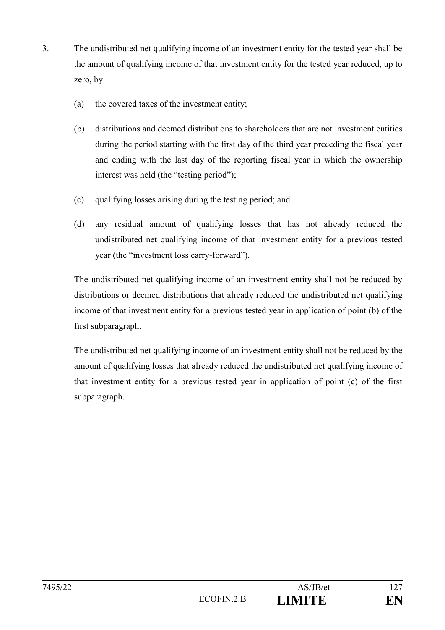- 3. The undistributed net qualifying income of an investment entity for the tested year shall be the amount of qualifying income of that investment entity for the tested year reduced, up to zero, by:
	- (a) the covered taxes of the investment entity;
	- (b) distributions and deemed distributions to shareholders that are not investment entities during the period starting with the first day of the third year preceding the fiscal year and ending with the last day of the reporting fiscal year in which the ownership interest was held (the "testing period");
	- (c) qualifying losses arising during the testing period; and
	- (d) any residual amount of qualifying losses that has not already reduced the undistributed net qualifying income of that investment entity for a previous tested year (the "investment loss carry-forward").

The undistributed net qualifying income of an investment entity shall not be reduced by distributions or deemed distributions that already reduced the undistributed net qualifying income of that investment entity for a previous tested year in application of point (b) of the first subparagraph.

The undistributed net qualifying income of an investment entity shall not be reduced by the amount of qualifying losses that already reduced the undistributed net qualifying income of that investment entity for a previous tested year in application of point (c) of the first subparagraph.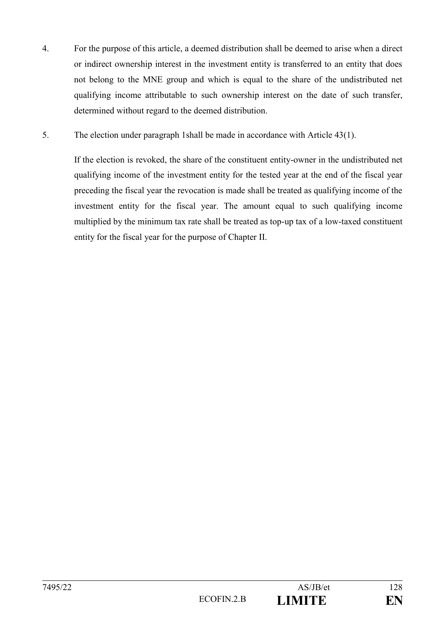- 4. For the purpose of this article, a deemed distribution shall be deemed to arise when a direct or indirect ownership interest in the investment entity is transferred to an entity that does not belong to the MNE group and which is equal to the share of the undistributed net qualifying income attributable to such ownership interest on the date of such transfer, determined without regard to the deemed distribution.
- 5. The election under paragraph 1shall be made in accordance with Article 43(1).

If the election is revoked, the share of the constituent entity-owner in the undistributed net qualifying income of the investment entity for the tested year at the end of the fiscal year preceding the fiscal year the revocation is made shall be treated as qualifying income of the investment entity for the fiscal year. The amount equal to such qualifying income multiplied by the minimum tax rate shall be treated as top-up tax of a low-taxed constituent entity for the fiscal year for the purpose of Chapter II.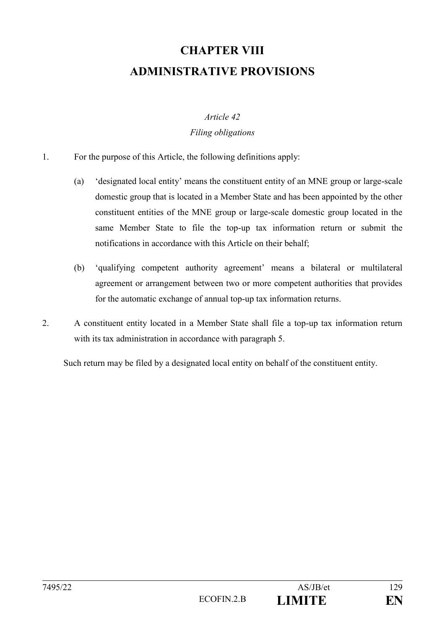# **CHAPTER VIII ADMINISTRATIVE PROVISIONS**

# *Article 42 Filing obligations*

- 1. For the purpose of this Article, the following definitions apply:
	- (a) 'designated local entity' means the constituent entity of an MNE group or large-scale domestic group that is located in a Member State and has been appointed by the other constituent entities of the MNE group or large-scale domestic group located in the same Member State to file the top-up tax information return or submit the notifications in accordance with this Article on their behalf;
	- (b) 'qualifying competent authority agreement' means a bilateral or multilateral agreement or arrangement between two or more competent authorities that provides for the automatic exchange of annual top-up tax information returns.
- 2. A constituent entity located in a Member State shall file a top-up tax information return with its tax administration in accordance with paragraph 5.

Such return may be filed by a designated local entity on behalf of the constituent entity.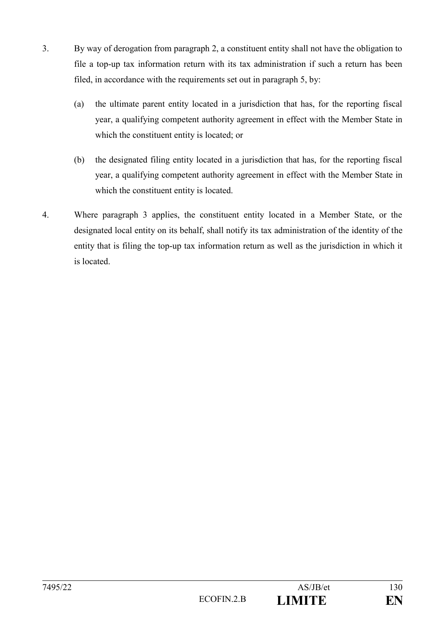- 3. By way of derogation from paragraph 2, a constituent entity shall not have the obligation to file a top-up tax information return with its tax administration if such a return has been filed, in accordance with the requirements set out in paragraph 5, by:
	- (a) the ultimate parent entity located in a jurisdiction that has, for the reporting fiscal year, a qualifying competent authority agreement in effect with the Member State in which the constituent entity is located; or
	- (b) the designated filing entity located in a jurisdiction that has, for the reporting fiscal year, a qualifying competent authority agreement in effect with the Member State in which the constituent entity is located.
- 4. Where paragraph 3 applies, the constituent entity located in a Member State, or the designated local entity on its behalf, shall notify its tax administration of the identity of the entity that is filing the top-up tax information return as well as the jurisdiction in which it is located.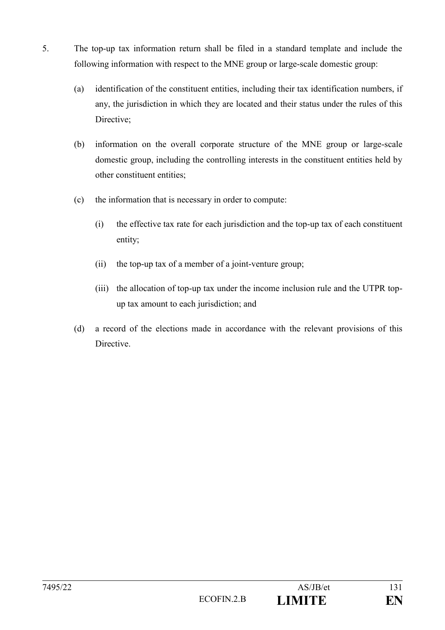- 5. The top-up tax information return shall be filed in a standard template and include the following information with respect to the MNE group or large-scale domestic group:
	- (a) identification of the constituent entities, including their tax identification numbers, if any, the jurisdiction in which they are located and their status under the rules of this Directive;
	- (b) information on the overall corporate structure of the MNE group or large-scale domestic group, including the controlling interests in the constituent entities held by other constituent entities;
	- (c) the information that is necessary in order to compute:
		- (i) the effective tax rate for each jurisdiction and the top-up tax of each constituent entity;
		- (ii) the top-up tax of a member of a joint-venture group;
		- (iii) the allocation of top-up tax under the income inclusion rule and the UTPR topup tax amount to each jurisdiction; and
	- (d) a record of the elections made in accordance with the relevant provisions of this Directive.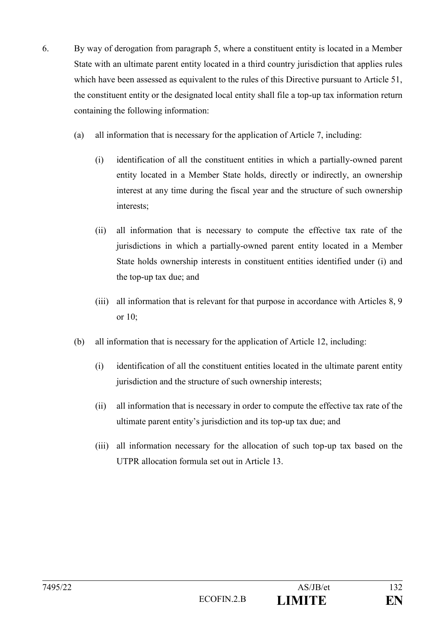- 6. By way of derogation from paragraph 5, where a constituent entity is located in a Member State with an ultimate parent entity located in a third country jurisdiction that applies rules which have been assessed as equivalent to the rules of this Directive pursuant to Article 51, the constituent entity or the designated local entity shall file a top-up tax information return containing the following information:
	- (a) all information that is necessary for the application of Article 7, including:
		- (i) identification of all the constituent entities in which a partially-owned parent entity located in a Member State holds, directly or indirectly, an ownership interest at any time during the fiscal year and the structure of such ownership interests;
		- (ii) all information that is necessary to compute the effective tax rate of the jurisdictions in which a partially-owned parent entity located in a Member State holds ownership interests in constituent entities identified under (i) and the top-up tax due; and
		- (iii) all information that is relevant for that purpose in accordance with Articles 8, 9 or 10;
	- (b) all information that is necessary for the application of Article 12, including:
		- (i) identification of all the constituent entities located in the ultimate parent entity jurisdiction and the structure of such ownership interests;
		- (ii) all information that is necessary in order to compute the effective tax rate of the ultimate parent entity's jurisdiction and its top-up tax due; and
		- (iii) all information necessary for the allocation of such top-up tax based on the UTPR allocation formula set out in Article 13.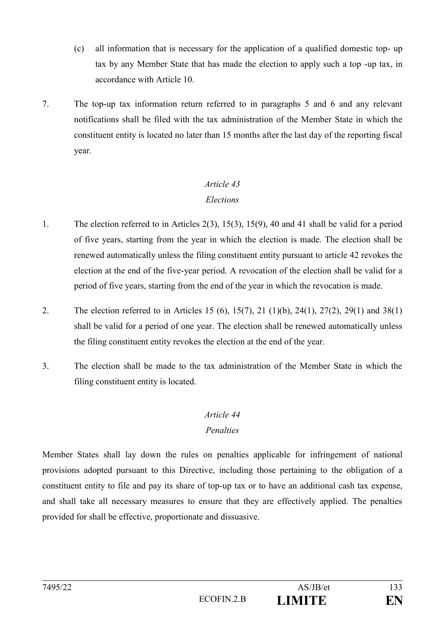- (c) all information that is necessary for the application of a qualified domestic top- up tax by any Member State that has made the election to apply such a top -up tax, in accordance with Article 10.
- 7. The top-up tax information return referred to in paragraphs 5 and 6 and any relevant notifications shall be filed with the tax administration of the Member State in which the constituent entity is located no later than 15 months after the last day of the reporting fiscal year.

## *Elections*

- 1. The election referred to in Articles 2(3), 15(3), 15(9), 40 and 41 shall be valid for a period of five years, starting from the year in which the election is made. The election shall be renewed automatically unless the filing constituent entity pursuant to article 42 revokes the election at the end of the five-year period. A revocation of the election shall be valid for a period of five years, starting from the end of the year in which the revocation is made.
- 2. The election referred to in Articles 15 (6), 15(7), 21 (1)(b), 24(1), 27(2), 29(1) and 38(1) shall be valid for a period of one year. The election shall be renewed automatically unless the filing constituent entity revokes the election at the end of the year.
- 3. The election shall be made to the tax administration of the Member State in which the filing constituent entity is located.

## *Article 44*

## *Penalties*

Member States shall lay down the rules on penalties applicable for infringement of national provisions adopted pursuant to this Directive, including those pertaining to the obligation of a constituent entity to file and pay its share of top-up tax or to have an additional cash tax expense, and shall take all necessary measures to ensure that they are effectively applied. The penalties provided for shall be effective, proportionate and dissuasive.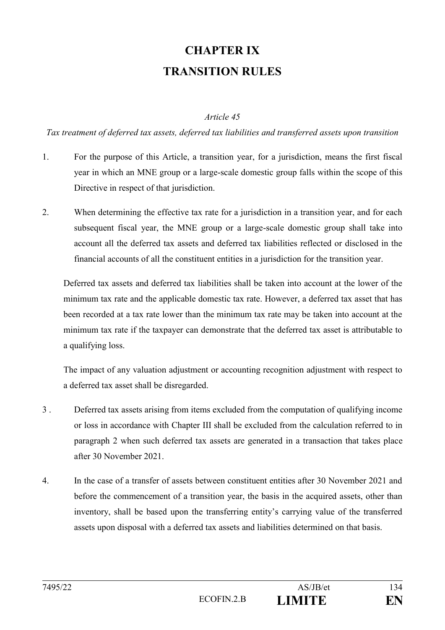# **CHAPTER IX TRANSITION RULES**

#### *Article 45*

*Tax treatment of deferred tax assets, deferred tax liabilities and transferred assets upon transition*

- 1. For the purpose of this Article, a transition year, for a jurisdiction, means the first fiscal year in which an MNE group or a large-scale domestic group falls within the scope of this Directive in respect of that jurisdiction.
- 2. When determining the effective tax rate for a jurisdiction in a transition year, and for each subsequent fiscal year, the MNE group or a large-scale domestic group shall take into account all the deferred tax assets and deferred tax liabilities reflected or disclosed in the financial accounts of all the constituent entities in a jurisdiction for the transition year.

Deferred tax assets and deferred tax liabilities shall be taken into account at the lower of the minimum tax rate and the applicable domestic tax rate. However, a deferred tax asset that has been recorded at a tax rate lower than the minimum tax rate may be taken into account at the minimum tax rate if the taxpayer can demonstrate that the deferred tax asset is attributable to a qualifying loss.

The impact of any valuation adjustment or accounting recognition adjustment with respect to a deferred tax asset shall be disregarded.

- 3 . Deferred tax assets arising from items excluded from the computation of qualifying income or loss in accordance with Chapter III shall be excluded from the calculation referred to in paragraph 2 when such deferred tax assets are generated in a transaction that takes place after 30 November 2021.
- 4. In the case of a transfer of assets between constituent entities after 30 November 2021 and before the commencement of a transition year, the basis in the acquired assets, other than inventory, shall be based upon the transferring entity's carrying value of the transferred assets upon disposal with a deferred tax assets and liabilities determined on that basis.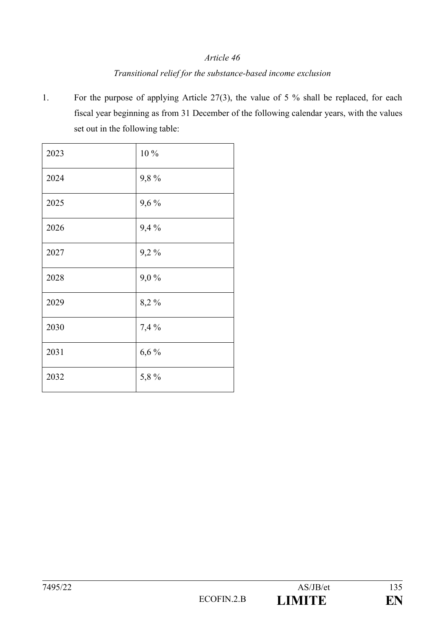## *Article 46 Transitional relief for the substance-based income exclusion*

1. For the purpose of applying Article 27(3), the value of 5 % shall be replaced, for each fiscal year beginning as from 31 December of the following calendar years, with the values set out in the following table:

| 2023 | 10 %  |
|------|-------|
| 2024 | 9,8%  |
| 2025 | 9,6%  |
| 2026 | 9,4%  |
| 2027 | 9,2%  |
| 2028 | 9,0%  |
| 2029 | 8,2%  |
| 2030 | 7,4 % |
| 2031 | 6,6%  |
| 2032 | 5,8%  |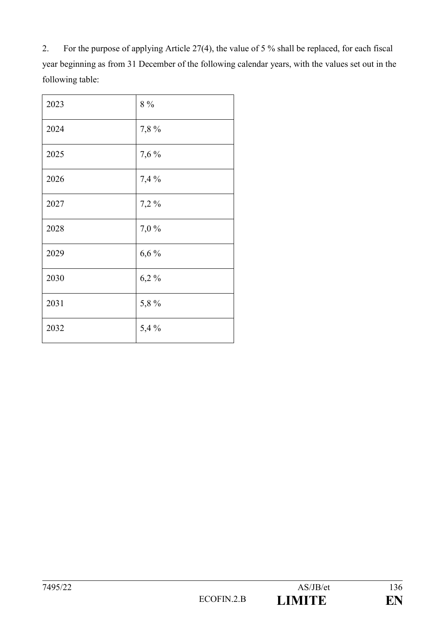2. For the purpose of applying Article 27(4), the value of 5 % shall be replaced, for each fiscal year beginning as from 31 December of the following calendar years, with the values set out in the following table:

| 2023 | $8\ \%$ |
|------|---------|
| 2024 | 7,8%    |
| 2025 | 7,6 %   |
| 2026 | 7,4 %   |
| 2027 | 7,2%    |
| 2028 | 7,0%    |
| 2029 | 6,6%    |
| 2030 | 6,2%    |
| 2031 | 5,8%    |
| 2032 | 5,4%    |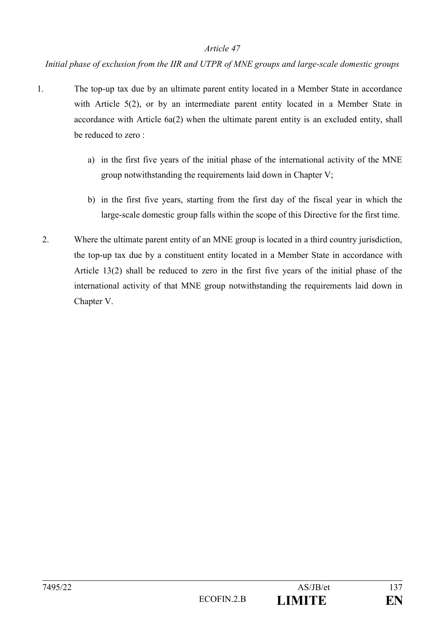*Initial phase of exclusion from the IIR and UTPR of MNE groups and large-scale domestic groups*

- 1. The top-up tax due by an ultimate parent entity located in a Member State in accordance with Article 5(2), or by an intermediate parent entity located in a Member State in accordance with Article 6a(2) when the ultimate parent entity is an excluded entity, shall be reduced to zero :
	- a) in the first five years of the initial phase of the international activity of the MNE group notwithstanding the requirements laid down in Chapter V;
	- b) in the first five years, starting from the first day of the fiscal year in which the large-scale domestic group falls within the scope of this Directive for the first time.
	- 2. Where the ultimate parent entity of an MNE group is located in a third country jurisdiction, the top-up tax due by a constituent entity located in a Member State in accordance with Article 13(2) shall be reduced to zero in the first five years of the initial phase of the international activity of that MNE group notwithstanding the requirements laid down in Chapter V.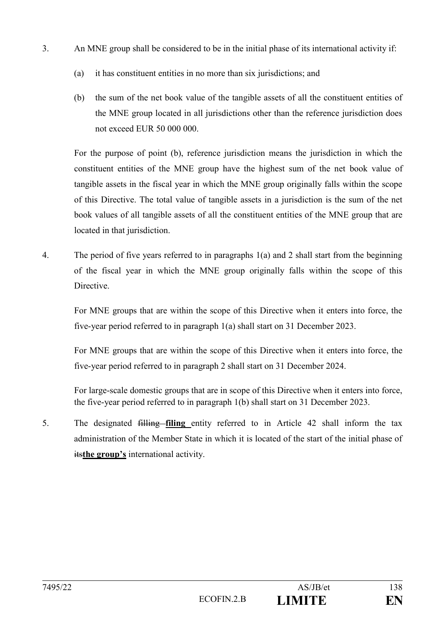- 3. An MNE group shall be considered to be in the initial phase of its international activity if:
	- (a) it has constituent entities in no more than six jurisdictions; and
	- (b) the sum of the net book value of the tangible assets of all the constituent entities of the MNE group located in all jurisdictions other than the reference jurisdiction does not exceed EUR 50 000 000.

For the purpose of point (b), reference jurisdiction means the jurisdiction in which the constituent entities of the MNE group have the highest sum of the net book value of tangible assets in the fiscal year in which the MNE group originally falls within the scope of this Directive. The total value of tangible assets in a jurisdiction is the sum of the net book values of all tangible assets of all the constituent entities of the MNE group that are located in that jurisdiction.

4. The period of five years referred to in paragraphs 1(a) and 2 shall start from the beginning of the fiscal year in which the MNE group originally falls within the scope of this **Directive** 

For MNE groups that are within the scope of this Directive when it enters into force, the five-year period referred to in paragraph 1(a) shall start on 31 December 2023.

For MNE groups that are within the scope of this Directive when it enters into force, the five-year period referred to in paragraph 2 shall start on 31 December 2024.

For large-scale domestic groups that are in scope of this Directive when it enters into force, the five-year period referred to in paragraph 1(b) shall start on 31 December 2023.

5. The designated filling **filing** entity referred to in Article 42 shall inform the tax administration of the Member State in which it is located of the start of the initial phase of its**the group's** international activity.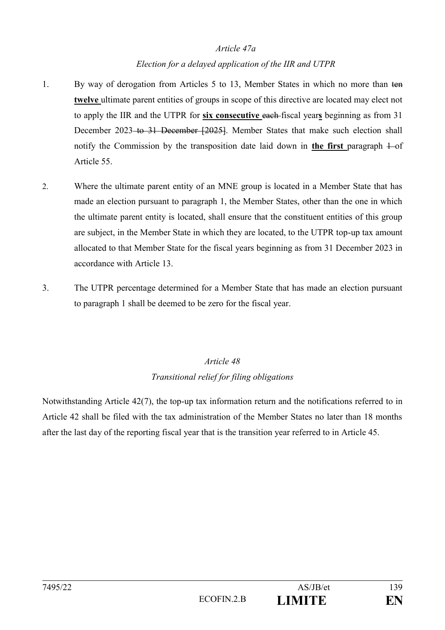### *Article 47a*

## *Election for a delayed application of the IIR and UTPR*

- 1. By way of derogation from Articles 5 to 13, Member States in which no more than ten **twelve** ultimate parent entities of groups in scope of this directive are located may elect not to apply the IIR and the UTPR for **six consecutive** each fiscal year**s** beginning as from 31 December 2023 to 31 December [2025]. Member States that make such election shall notify the Commission by the transposition date laid down in **the first** paragraph  $\pm$ -of Article 55.
- 2. Where the ultimate parent entity of an MNE group is located in a Member State that has made an election pursuant to paragraph 1, the Member States, other than the one in which the ultimate parent entity is located, shall ensure that the constituent entities of this group are subject, in the Member State in which they are located, to the UTPR top-up tax amount allocated to that Member State for the fiscal years beginning as from 31 December 2023 in accordance with Article 13.
- 3. The UTPR percentage determined for a Member State that has made an election pursuant to paragraph 1 shall be deemed to be zero for the fiscal year.

# *Article 48 Transitional relief for filing obligations*

Notwithstanding Article 42(7), the top-up tax information return and the notifications referred to in Article 42 shall be filed with the tax administration of the Member States no later than 18 months after the last day of the reporting fiscal year that is the transition year referred to in Article 45.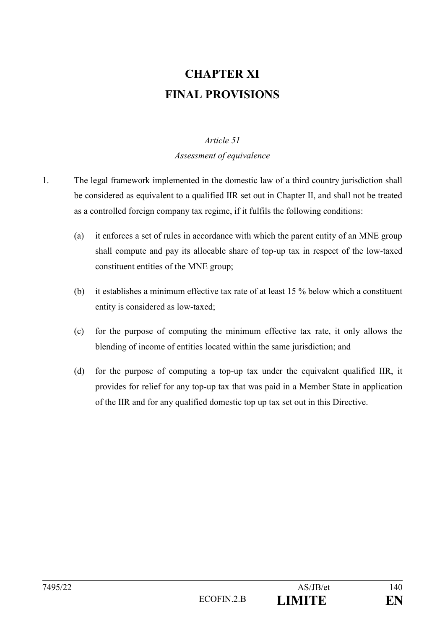# **CHAPTER XI FINAL PROVISIONS**

## *Article 51*

*Assessment of equivalence*

- 1. The legal framework implemented in the domestic law of a third country jurisdiction shall be considered as equivalent to a qualified IIR set out in Chapter II, and shall not be treated as a controlled foreign company tax regime, if it fulfils the following conditions:
	- (a) it enforces a set of rules in accordance with which the parent entity of an MNE group shall compute and pay its allocable share of top-up tax in respect of the low-taxed constituent entities of the MNE group;
	- (b) it establishes a minimum effective tax rate of at least 15 % below which a constituent entity is considered as low-taxed;
	- (c) for the purpose of computing the minimum effective tax rate, it only allows the blending of income of entities located within the same jurisdiction; and
	- (d) for the purpose of computing a top-up tax under the equivalent qualified IIR, it provides for relief for any top-up tax that was paid in a Member State in application of the IIR and for any qualified domestic top up tax set out in this Directive.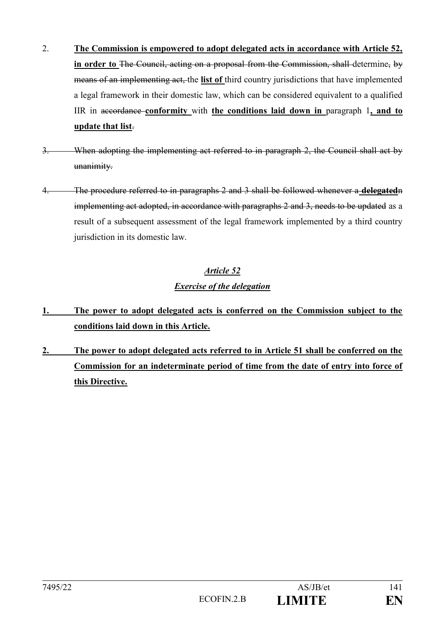- 2. **The Commission is empowered to adopt delegated acts in accordance with Article 52, in order to** The Council, acting on a proposal from the Commission, shall determine, by means of an implementing act, the **list of** third country jurisdictions that have implemented a legal framework in their domestic law, which can be considered equivalent to a qualified IIR in accordance **conformity** with **the conditions laid down in** paragraph 1**, and to update that list**.
- 3. When adopting the implementing act referred to in paragraph 2, the Council shall act by unanimity.
- 4. The procedure referred to in paragraphs 2 and 3 shall be followed whenever a **delegated**n implementing act adopted, in accordance with paragraphs 2 and 3, needs to be updated as a result of a subsequent assessment of the legal framework implemented by a third country jurisdiction in its domestic law.

# *Article 52 Exercise of the delegation*

- **1. The power to adopt delegated acts is conferred on the Commission subject to the conditions laid down in this Article.**
- **2. The power to adopt delegated acts referred to in Article 51 shall be conferred on the Commission for an indeterminate period of time from the date of entry into force of this Directive.**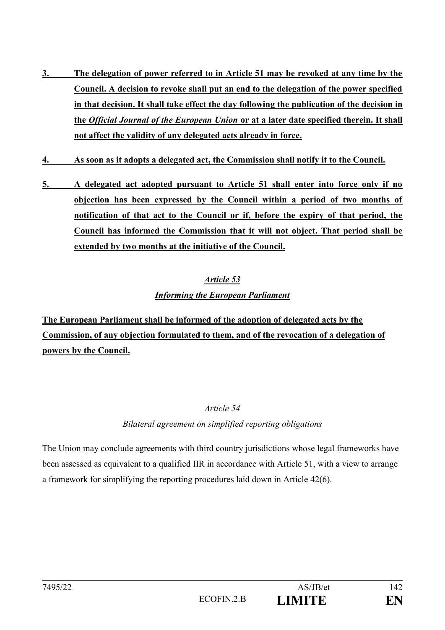- **3. The delegation of power referred to in Article 51 may be revoked at any time by the Council. A decision to revoke shall put an end to the delegation of the power specified in that decision. It shall take effect the day following the publication of the decision in the** *Official Journal of the European Union* **or at a later date specified therein. It shall not affect the validity of any delegated acts already in force.**
- **4. As soon as it adopts a delegated act, the Commission shall notify it to the Council.**
- **5. A delegated act adopted pursuant to Article 51 shall enter into force only if no objection has been expressed by the Council within a period of two months of notification of that act to the Council or if, before the expiry of that period, the Council has informed the Commission that it will not object. That period shall be extended by two months at the initiative of the Council.**

# *Article 53 Informing the European Parliament*

**The European Parliament shall be informed of the adoption of delegated acts by the Commission, of any objection formulated to them, and of the revocation of a delegation of powers by the Council.**

## *Article 54*

## *Bilateral agreement on simplified reporting obligations*

The Union may conclude agreements with third country jurisdictions whose legal frameworks have been assessed as equivalent to a qualified IIR in accordance with Article 51, with a view to arrange a framework for simplifying the reporting procedures laid down in Article 42(6).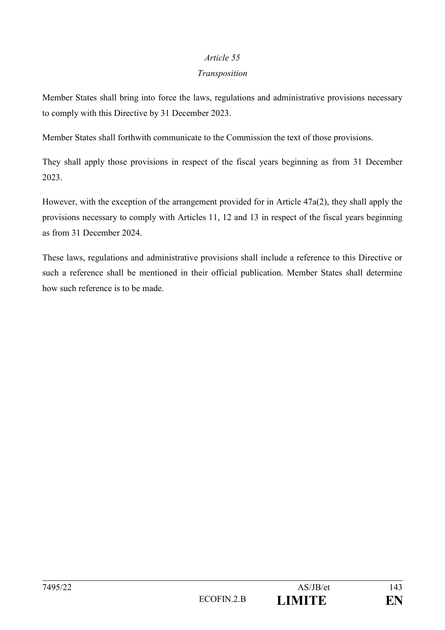### *Transposition*

Member States shall bring into force the laws, regulations and administrative provisions necessary to comply with this Directive by 31 December 2023.

Member States shall forthwith communicate to the Commission the text of those provisions.

They shall apply those provisions in respect of the fiscal years beginning as from 31 December 2023.

However, with the exception of the arrangement provided for in Article 47a(2), they shall apply the provisions necessary to comply with Articles 11, 12 and 13 in respect of the fiscal years beginning as from 31 December 2024.

These laws, regulations and administrative provisions shall include a reference to this Directive or such a reference shall be mentioned in their official publication. Member States shall determine how such reference is to be made.